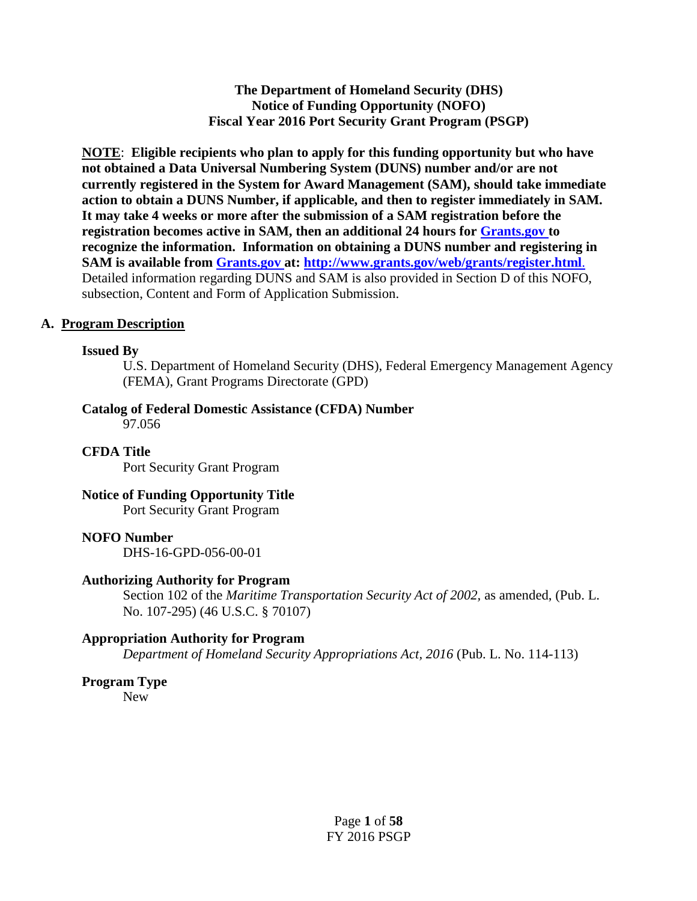**The Department of Homeland Security (DHS) Notice of Funding Opportunity (NOFO) Fiscal Year 2016 Port Security Grant Program (PSGP)** 

**NOTE**: **Eligible recipients who plan to apply for this funding opportunity but who have not obtained a Data Universal Numbering System (DUNS) number and/or are not currently registered in the System for Award Management (SAM), should take immediate action to obtain a DUNS Number, if applicable, and then to register immediately in SAM. It may take 4 weeks or more after the submission of a SAM registration before the registration becomes active in SAM, then an additional 24 hours for [Grants.gov](http://www.grants.gov/) to recognize the information. Information on obtaining a DUNS number and registering in SAM is available from [Grants.gov](http://www.grants.gov/) at: <http://www.grants.gov/web/grants/register.html>**. Detailed information regarding DUNS and SAM is also provided in Section D of this NOFO, subsection, Content and Form of Application Submission.

#### **A. Program Description**

#### **Issued By**

U.S. Department of Homeland Security (DHS), Federal Emergency Management Agency (FEMA), Grant Programs Directorate (GPD)

#### **Catalog of Federal Domestic Assistance (CFDA) Number**

97.056

#### **CFDA Title**

Port Security Grant Program

## **Notice of Funding Opportunity Title**

Port Security Grant Program

#### **NOFO Number**

DHS-16-GPD-056-00-01

#### **Authorizing Authority for Program**

Section 102 of the *Maritime Transportation Security Act of 2002*, as amended, (Pub. L. No. 107-295) (46 U.S.C. § 70107)

#### **Appropriation Authority for Program**

*Department of Homeland Security Appropriations Act, 2016 (Pub. L. No. 114-113)* 

#### **Program Type**

New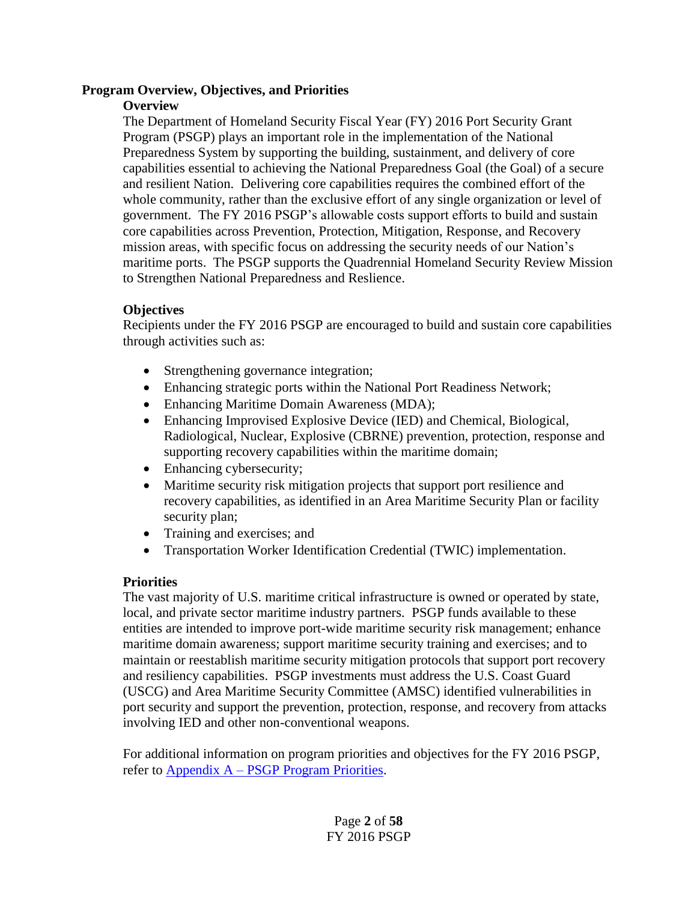#### **Program Overview, Objectives, and Priorities**

#### **Overview**

The Department of Homeland Security Fiscal Year (FY) 2016 Port Security Grant Program (PSGP) plays an important role in the implementation of the National Preparedness System by supporting the building, sustainment, and delivery of core capabilities essential to achieving the National Preparedness Goal (the Goal) of a secure and resilient Nation. Delivering core capabilities requires the combined effort of the whole community, rather than the exclusive effort of any single organization or level of government. The FY 2016 PSGP's allowable costs support efforts to build and sustain core capabilities across Prevention, Protection, Mitigation, Response, and Recovery mission areas, with specific focus on addressing the security needs of our Nation's maritime ports. The PSGP supports the Quadrennial Homeland Security Review Mission to Strengthen National Preparedness and Reslience.

## **Objectives**

Recipients under the FY 2016 PSGP are encouraged to build and sustain core capabilities through activities such as:

- Strengthening governance integration;
- Enhancing strategic ports within the National Port Readiness Network;
- Enhancing Maritime Domain Awareness (MDA);
- Enhancing Improvised Explosive Device (IED) and Chemical, Biological, Radiological, Nuclear, Explosive (CBRNE) prevention, protection, response and supporting recovery capabilities within the maritime domain;
- Enhancing cybersecurity;
- Maritime security risk mitigation projects that support port resilience and recovery capabilities, as identified in an Area Maritime Security Plan or facility security plan;
- Training and exercises; and
- Transportation Worker Identification Credential (TWIC) implementation.

# **Priorities**

The vast majority of U.S. maritime critical infrastructure is owned or operated by state, local, and private sector maritime industry partners. PSGP funds available to these entities are intended to improve port-wide maritime security risk management; enhance maritime domain awareness; support maritime security training and exercises; and to maintain or reestablish maritime security mitigation protocols that support port recovery and resiliency capabilities. PSGP investments must address the U.S. Coast Guard (USCG) and Area Maritime Security Committee (AMSC) identified vulnerabilities in port security and support the prevention, protection, response, and recovery from attacks involving IED and other non-conventional weapons.

For additional information on program priorities and objectives for the FY 2016 PSGP, refer to Appendix A – [PSGP Program Priorities.](#page-28-0)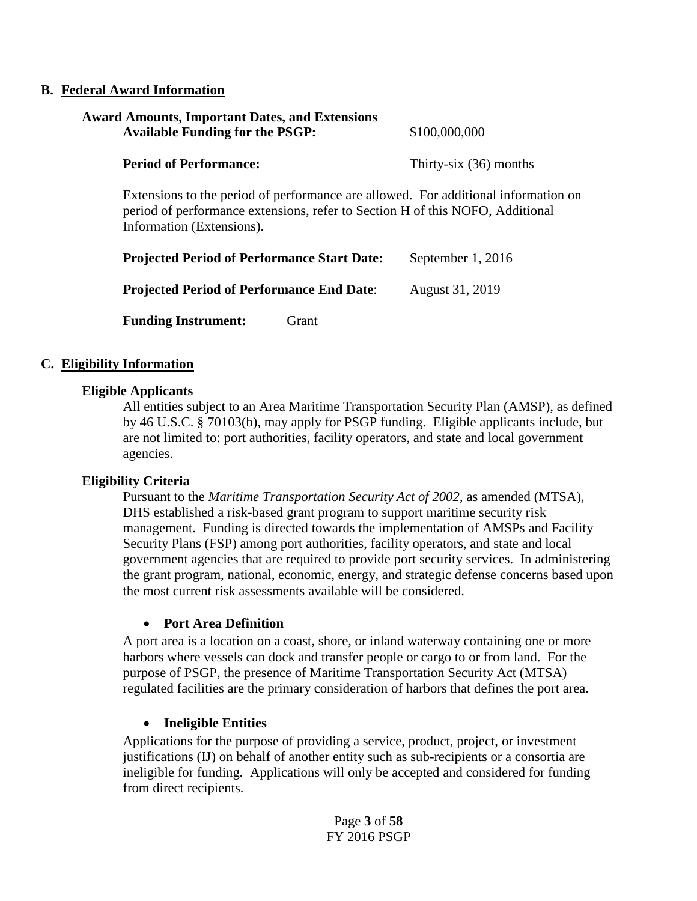#### **B. Federal Award Information**

| <b>Award Amounts, Important Dates, and Extensions</b><br><b>Available Funding for the PSGP:</b> | \$100,000,000            |
|-------------------------------------------------------------------------------------------------|--------------------------|
| <b>Period of Performance:</b>                                                                   | Thirty-six $(36)$ months |
| Extensions to the period of performance are allowed. For additional inform                      |                          |

Extensions to the period of performance are allowed. For additional information on period of performance extensions, refer to Section H of this NOFO, Additional Information (Extensions).

| <b>Projected Period of Performance Start Date:</b> | September 1, 2016 |  |
|----------------------------------------------------|-------------------|--|
| <b>Projected Period of Performance End Date:</b>   | August 31, 2019   |  |
| <b>Funding Instrument:</b><br>Grant                |                   |  |

#### **C. Eligibility Information**

#### **Eligible Applicants**

All entities subject to an Area Maritime Transportation Security Plan (AMSP), as defined by 46 U.S.C. § 70103(b), may apply for PSGP funding. Eligible applicants include, but are not limited to: port authorities, facility operators, and state and local government agencies.

#### **Eligibility Criteria**

Pursuant to the *Maritime Transportation Security Act of 2002,* as amended (MTSA), DHS established a risk-based grant program to support maritime security risk management. Funding is directed towards the implementation of AMSPs and Facility Security Plans (FSP) among port authorities, facility operators, and state and local government agencies that are required to provide port security services. In administering the grant program, national, economic, energy, and strategic defense concerns based upon the most current risk assessments available will be considered.

#### **Port Area Definition**

A port area is a location on a coast, shore, or inland waterway containing one or more harbors where vessels can dock and transfer people or cargo to or from land. For the purpose of PSGP, the presence of Maritime Transportation Security Act (MTSA) regulated facilities are the primary consideration of harbors that defines the port area.

#### **Ineligible Entities**

Applications for the purpose of providing a service, product, project, or investment justifications (IJ) on behalf of another entity such as sub-recipients or a consortia are ineligible for funding. Applications will only be accepted and considered for funding from direct recipients.

> Page **3** of **58** FY 2016 PSGP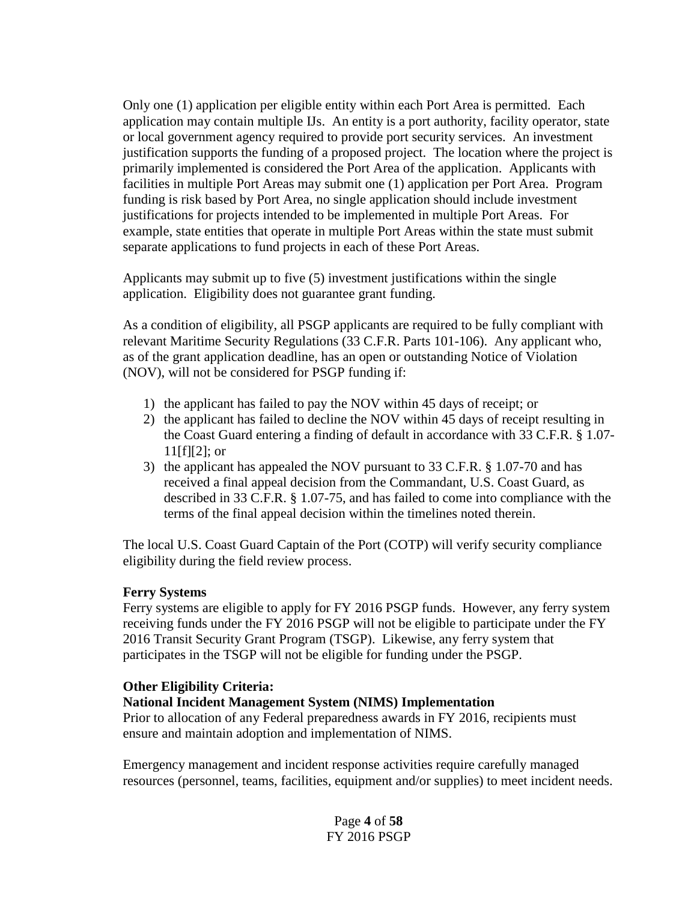Only one (1) application per eligible entity within each Port Area is permitted. Each application may contain multiple IJs. An entity is a port authority, facility operator, state or local government agency required to provide port security services. An investment justification supports the funding of a proposed project. The location where the project is primarily implemented is considered the Port Area of the application. Applicants with facilities in multiple Port Areas may submit one (1) application per Port Area. Program funding is risk based by Port Area, no single application should include investment justifications for projects intended to be implemented in multiple Port Areas. For example, state entities that operate in multiple Port Areas within the state must submit separate applications to fund projects in each of these Port Areas.

Applicants may submit up to five (5) investment justifications within the single application. Eligibility does not guarantee grant funding.

As a condition of eligibility, all PSGP applicants are required to be fully compliant with relevant Maritime Security Regulations (33 C.F.R. Parts 101-106). Any applicant who, as of the grant application deadline, has an open or outstanding Notice of Violation (NOV), will not be considered for PSGP funding if:

- 1) the applicant has failed to pay the NOV within 45 days of receipt; or
- 2) the applicant has failed to decline the NOV within 45 days of receipt resulting in the Coast Guard entering a finding of default in accordance with 33 C.F.R. § 1.07-  $11[f][2]$ ; or
- 3) the applicant has appealed the NOV pursuant to 33 C.F.R. § 1.07-70 and has received a final appeal decision from the Commandant, U.S. Coast Guard, as described in 33 C.F.R. § 1.07-75, and has failed to come into compliance with the terms of the final appeal decision within the timelines noted therein.

The local U.S. Coast Guard Captain of the Port (COTP) will verify security compliance eligibility during the field review process.

#### **Ferry Systems**

Ferry systems are eligible to apply for FY 2016 PSGP funds. However, any ferry system receiving funds under the FY 2016 PSGP will not be eligible to participate under the FY 2016 Transit Security Grant Program (TSGP). Likewise, any ferry system that participates in the TSGP will not be eligible for funding under the PSGP.

#### **Other Eligibility Criteria:**

#### **National Incident Management System (NIMS) Implementation**

Prior to allocation of any Federal preparedness awards in FY 2016, recipients must ensure and maintain adoption and implementation of NIMS.

Emergency management and incident response activities require carefully managed resources (personnel, teams, facilities, equipment and/or supplies) to meet incident needs.

> Page **4** of **58** FY 2016 PSGP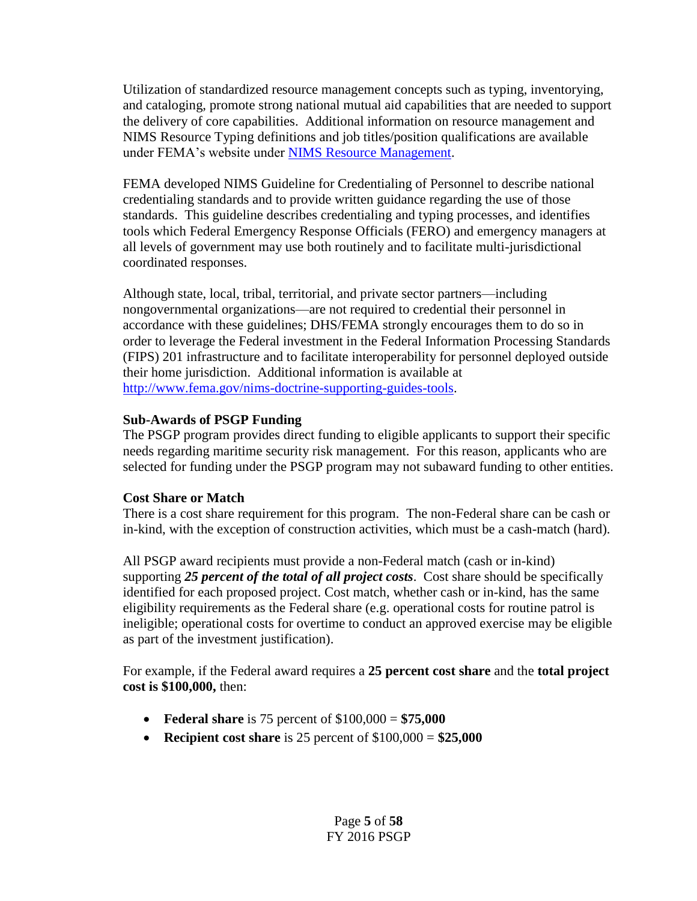Utilization of standardized resource management concepts such as typing, inventorying, and cataloging, promote strong national mutual aid capabilities that are needed to support the delivery of core capabilities. Additional information on resource management and NIMS Resource Typing definitions and job titles/position qualifications are available under FEMA's website under [NIMS Resource Management.](http://www.fema.gov/resource-management-mutual-aid)

FEMA developed NIMS Guideline for Credentialing of Personnel to describe national credentialing standards and to provide written guidance regarding the use of those standards. This guideline describes credentialing and typing processes, and identifies tools which Federal Emergency Response Officials (FERO) and emergency managers at all levels of government may use both routinely and to facilitate multi-jurisdictional coordinated responses.

Although state, local, tribal, territorial, and private sector partners—including nongovernmental organizations—are not required to credential their personnel in accordance with these guidelines; DHS/FEMA strongly encourages them to do so in order to leverage the Federal investment in the Federal Information Processing Standards (FIPS) 201 infrastructure and to facilitate interoperability for personnel deployed outside their home jurisdiction. Additional information is available at [http://www.fema.gov/nims-doctrine-supporting-guides-tools.](http://www.fema.gov/nims-doctrine-supporting-guides-tools)

## **Sub-Awards of PSGP Funding**

The PSGP program provides direct funding to eligible applicants to support their specific needs regarding maritime security risk management. For this reason, applicants who are selected for funding under the PSGP program may not subaward funding to other entities.

# **Cost Share or Match**

There is a cost share requirement for this program. The non-Federal share can be cash or in-kind, with the exception of construction activities, which must be a cash-match (hard).

All PSGP award recipients must provide a non-Federal match (cash or in-kind) supporting *25 percent of the total of all project costs*. Cost share should be specifically identified for each proposed project. Cost match, whether cash or in-kind, has the same eligibility requirements as the Federal share (e.g. operational costs for routine patrol is ineligible; operational costs for overtime to conduct an approved exercise may be eligible as part of the investment justification).

For example, if the Federal award requires a **25 percent cost share** and the **total project cost is \$100,000,** then:

- **Federal share** is 75 percent of \$100,000 = **\$75,000**
- **Recipient cost share** is 25 percent of  $$100,000 = $25,000$

Page **5** of **58** FY 2016 PSGP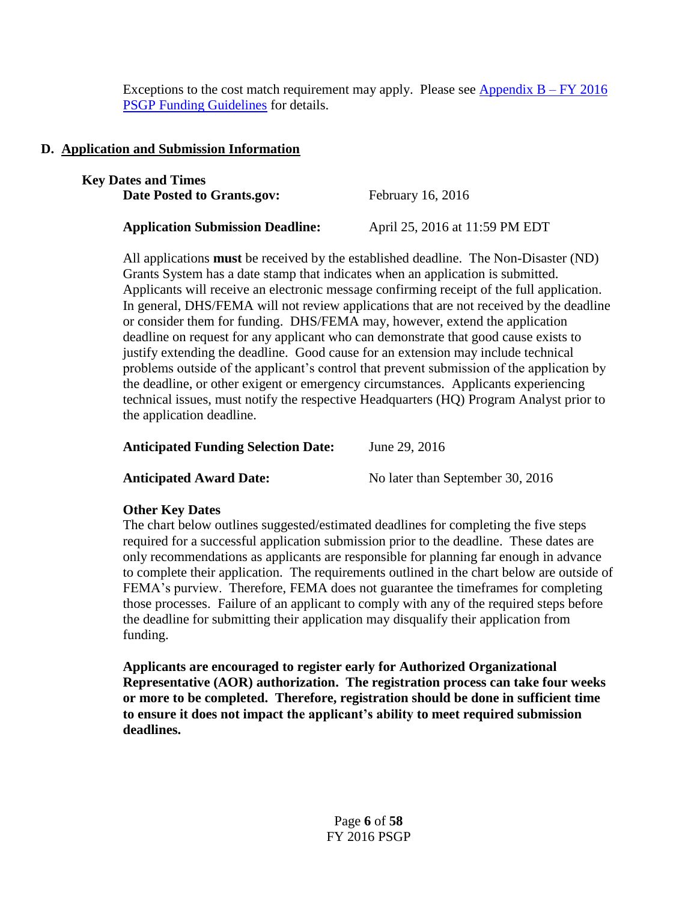Exceptions to the cost match requirement may apply. Please see [Appendix B](#page-32-0) *–* FY 2016 [PSGP Funding Guidelines](#page-32-0) for details.

# **D. Application and Submission Information**

| <b>Key Dates and Times</b>              |                                |
|-----------------------------------------|--------------------------------|
| Date Posted to Grants.gov:              | February $16, 2016$            |
| <b>Application Submission Deadline:</b> | April 25, 2016 at 11:59 PM EDT |

All applications **must** be received by the established deadline. The Non-Disaster (ND) Grants System has a date stamp that indicates when an application is submitted. Applicants will receive an electronic message confirming receipt of the full application. In general, DHS/FEMA will not review applications that are not received by the deadline or consider them for funding. DHS/FEMA may, however, extend the application deadline on request for any applicant who can demonstrate that good cause exists to justify extending the deadline. Good cause for an extension may include technical problems outside of the applicant's control that prevent submission of the application by the deadline, or other exigent or emergency circumstances. Applicants experiencing technical issues, must notify the respective Headquarters (HQ) Program Analyst prior to the application deadline.

## **Anticipated Funding Selection Date:** June 29, 2016

**Anticipated Award Date:** No later than September 30, 2016

## **Other Key Dates**

The chart below outlines suggested/estimated deadlines for completing the five steps required for a successful application submission prior to the deadline. These dates are only recommendations as applicants are responsible for planning far enough in advance to complete their application. The requirements outlined in the chart below are outside of FEMA's purview. Therefore, FEMA does not guarantee the timeframes for completing those processes. Failure of an applicant to comply with any of the required steps before the deadline for submitting their application may disqualify their application from funding.

**Applicants are encouraged to register early for Authorized Organizational Representative (AOR) authorization. The registration process can take four weeks or more to be completed. Therefore, registration should be done in sufficient time to ensure it does not impact the applicant's ability to meet required submission deadlines.**

> Page **6** of **58** FY 2016 PSGP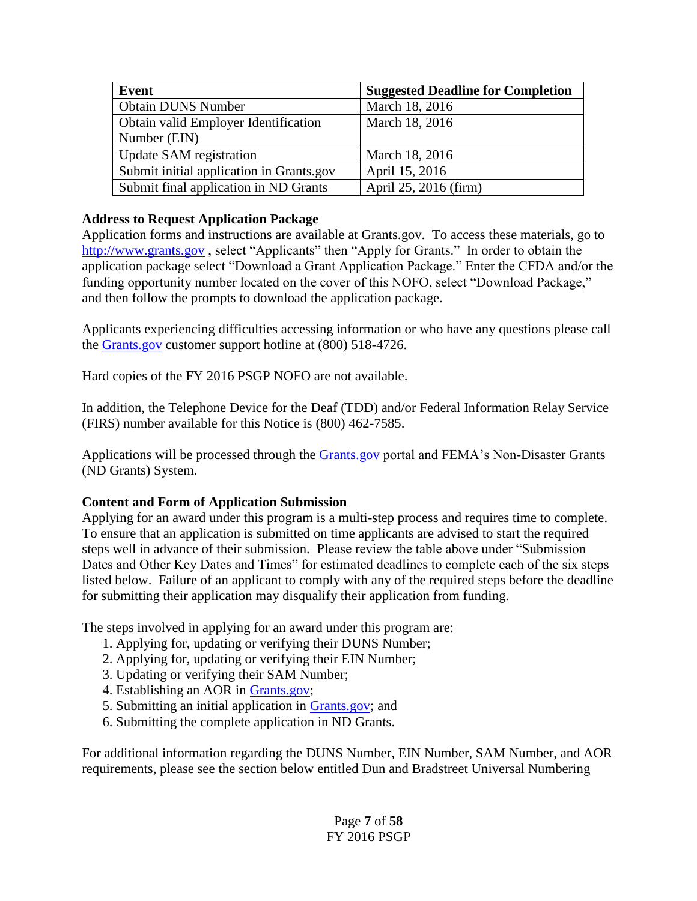| Event                                    | <b>Suggested Deadline for Completion</b> |
|------------------------------------------|------------------------------------------|
| <b>Obtain DUNS Number</b>                | March 18, 2016                           |
| Obtain valid Employer Identification     | March 18, 2016                           |
| Number (EIN)                             |                                          |
| Update SAM registration                  | March 18, 2016                           |
| Submit initial application in Grants.gov | April 15, 2016                           |
| Submit final application in ND Grants    | April 25, 2016 (firm)                    |

# **Address to Request Application Package**

Application forms and instructions are available at Grants.gov. To access these materials, go to [http://www.grants.gov](http://www.grants.gov/), select "Applicants" then "Apply for Grants." In order to obtain the application package select "Download a Grant Application Package." Enter the CFDA and/or the funding opportunity number located on the cover of this NOFO, select "Download Package," and then follow the prompts to download the application package.

Applicants experiencing difficulties accessing information or who have any questions please call the [Grants.gov](http://www.grants.gov/) customer support hotline at (800) 518-4726.

Hard copies of the FY 2016 PSGP NOFO are not available.

In addition, the Telephone Device for the Deaf (TDD) and/or Federal Information Relay Service (FIRS) number available for this Notice is (800) 462-7585.

Applications will be processed through the [Grants.gov](http://www.grants.gov/) portal and FEMA's Non-Disaster Grants (ND Grants) System.

## **Content and Form of Application Submission**

Applying for an award under this program is a multi-step process and requires time to complete. To ensure that an application is submitted on time applicants are advised to start the required steps well in advance of their submission. Please review the table above under "Submission Dates and Other Key Dates and Times" for estimated deadlines to complete each of the six steps listed below. Failure of an applicant to comply with any of the required steps before the deadline for submitting their application may disqualify their application from funding.

The steps involved in applying for an award under this program are:

- 1. Applying for, updating or verifying their DUNS Number;
- 2. Applying for, updating or verifying their EIN Number;
- 3. Updating or verifying their SAM Number;
- 4. Establishing an AOR in [Grants.gov;](http://www.grants.gov/)
- 5. Submitting an initial application in [Grants.gov;](http://www.grants.gov/) and
- 6. Submitting the complete application in ND Grants.

For additional information regarding the DUNS Number, EIN Number, SAM Number, and AOR requirements, please see the section below entitled Dun and Bradstreet Universal Numbering

> Page **7** of **58** FY 2016 PSGP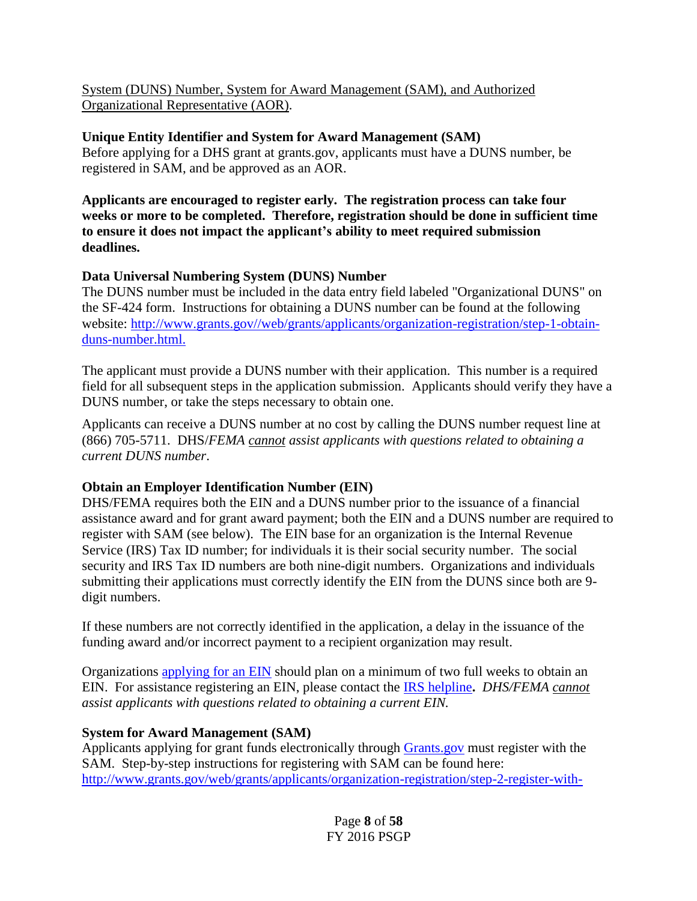System (DUNS) Number, System for Award Management (SAM), and Authorized Organizational Representative (AOR).

# **Unique Entity Identifier and System for Award Management (SAM)**

Before applying for a DHS grant at grants.gov, applicants must have a DUNS number, be registered in SAM, and be approved as an AOR.

**Applicants are encouraged to register early. The registration process can take four weeks or more to be completed. Therefore, registration should be done in sufficient time to ensure it does not impact the applicant's ability to meet required submission deadlines.** 

## **Data Universal Numbering System (DUNS) Number**

The DUNS number must be included in the data entry field labeled "Organizational DUNS" on the SF-424 form. Instructions for obtaining a DUNS number can be found at the following website: [http://www.grants.gov//web/grants/applicants/organization-registration/step-1-obtain](http://www.grants.gov/web/grants/applicants/organization-registration/step-1-obtain-duns-number.html)[duns-number.html.](http://www.grants.gov/web/grants/applicants/organization-registration/step-1-obtain-duns-number.html)

The applicant must provide a DUNS number with their application. This number is a required field for all subsequent steps in the application submission. Applicants should verify they have a DUNS number, or take the steps necessary to obtain one.

Applicants can receive a DUNS number at no cost by calling the DUNS number request line at (866) 705-5711. DHS/*FEMA cannot assist applicants with questions related to obtaining a current DUNS number*.

# **Obtain an Employer Identification Number (EIN)**

DHS/FEMA requires both the EIN and a DUNS number prior to the issuance of a financial assistance award and for grant award payment; both the EIN and a DUNS number are required to register with SAM (see below). The EIN base for an organization is the Internal Revenue Service (IRS) Tax ID number; for individuals it is their social security number. The social security and IRS Tax ID numbers are both nine-digit numbers. Organizations and individuals submitting their applications must correctly identify the EIN from the DUNS since both are 9 digit numbers.

If these numbers are not correctly identified in the application, a delay in the issuance of the funding award and/or incorrect payment to a recipient organization may result.

Organizations [applying for an EIN](http://www.irs.gov/Businesses/Small-Businesses-&-Self-Employed/Apply-for-an-Employer-Identification-Number-(EIN)-Online) should plan on a minimum of two full weeks to obtain an EIN. For assistance registering an EIN, please contact the [IRS helpline](https://www.irs.gov/uac/Telephone-Assistance)**.** *DHS/FEMA cannot assist applicants with questions related to obtaining a current EIN.* 

## **System for Award Management (SAM)**

Applicants applying for grant funds electronically through [Grants.gov](http://www.grants.gov/web/grants/applicants/applicant-resources.html) must register with the SAM. Step-by-step instructions for registering with SAM can be found here: [http://www.grants.gov/web/grants/applicants/organization-registration/step-2-register-with-](http://www.grants.gov/web/grants/applicants/organization-registration/step-2-register-with-sam.html)

> Page **8** of **58** FY 2016 PSGP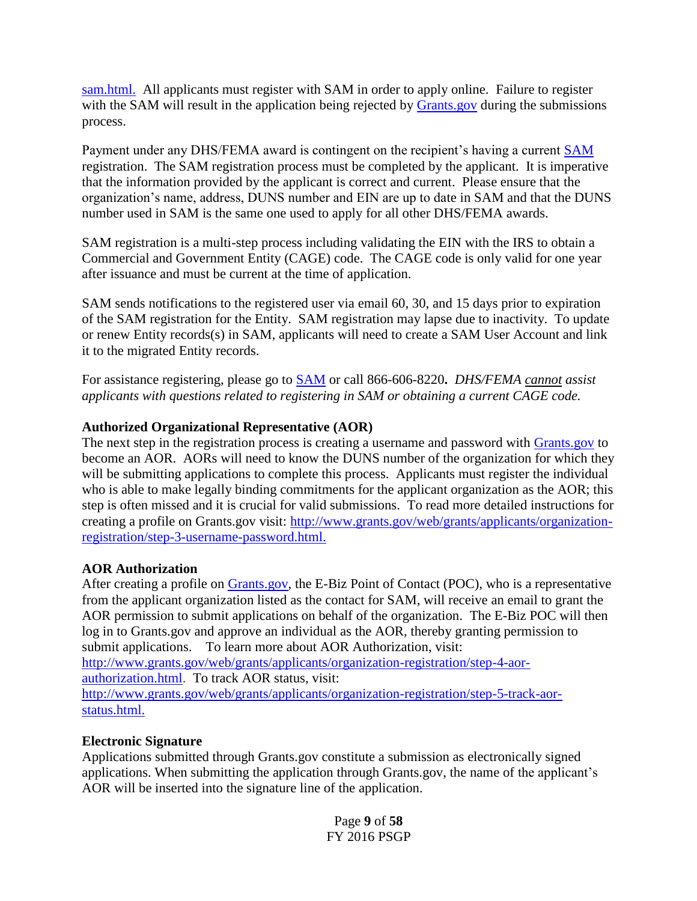[sam.html.](http://www.grants.gov/web/grants/applicants/organization-registration/step-2-register-with-sam.html) All applicants must register with SAM in order to apply online. Failure to register with the SAM will result in the application being rejected by [Grants.gov](http://www.grants.gov/web/grants/applicants/applicant-resources.html) during the submissions process.

Payment under any DHS/FEMA award is contingent on the recipient's having a current [SAM](http://www.sam.gov/) registration. The SAM registration process must be completed by the applicant. It is imperative that the information provided by the applicant is correct and current. Please ensure that the organization's name, address, DUNS number and EIN are up to date in SAM and that the DUNS number used in SAM is the same one used to apply for all other DHS/FEMA awards.

SAM registration is a multi-step process including validating the EIN with the IRS to obtain a Commercial and Government Entity (CAGE) code. The CAGE code is only valid for one year after issuance and must be current at the time of application.

SAM sends notifications to the registered user via email 60, 30, and 15 days prior to expiration of the SAM registration for the Entity. SAM registration may lapse due to inactivity. To update or renew Entity records(s) in SAM, applicants will need to create a SAM User Account and link it to the migrated Entity records.

For assistance registering, please go to [SAM](http://www.sam.gov/) or call 866-606-8220**.** *DHS/FEMA cannot assist applicants with questions related to registering in SAM or obtaining a current CAGE code.*

#### **Authorized Organizational Representative (AOR)**

The next step in the registration process is creating a username and password with **Grants.gov** to become an AOR. AORs will need to know the DUNS number of the organization for which they will be submitting applications to complete this process. Applicants must register the individual who is able to make legally binding commitments for the applicant organization as the AOR; this step is often missed and it is crucial for valid submissions. To read more detailed instructions for creating a profile on Grants.gov visit: [http://www.grants.gov/web/grants/applicants/organization](http://www.grants.gov/web/grants/applicants/organization-registration/step-3-username-password.html)[registration/step-3-username-password.html.](http://www.grants.gov/web/grants/applicants/organization-registration/step-3-username-password.html)

## **AOR Authorization**

After creating a profile on [Grants.gov,](http://www.grants.gov/web/grants/applicants/applicant-resources.html) the E-Biz Point of Contact (POC), who is a representative from the applicant organization listed as the contact for SAM, will receive an email to grant the AOR permission to submit applications on behalf of the organization. The E-Biz POC will then log in to Grants.gov and approve an individual as the AOR, thereby granting permission to submit applications. To learn more about AOR Authorization, visit: [http://www.grants.gov/web/grants/applicants/organization-registration/step-4-aor](http://www.grants.gov/web/grants/applicants/organization-registration/step-4-aor-authorization.html)[authorization.html.](http://www.grants.gov/web/grants/applicants/organization-registration/step-4-aor-authorization.html) To track AOR status, visit: [http://www.grants.gov/web/grants/applicants/organization-registration/step-5-track-aor](http://www.grants.gov/web/grants/applicants/organization-registration/step-5-track-aor-status.html)[status.html.](http://www.grants.gov/web/grants/applicants/organization-registration/step-5-track-aor-status.html)

## **Electronic Signature**

Applications submitted through Grants.gov constitute a submission as electronically signed applications. When submitting the application through Grants.gov, the name of the applicant's AOR will be inserted into the signature line of the application.

> Page **9** of **58** FY 2016 PSGP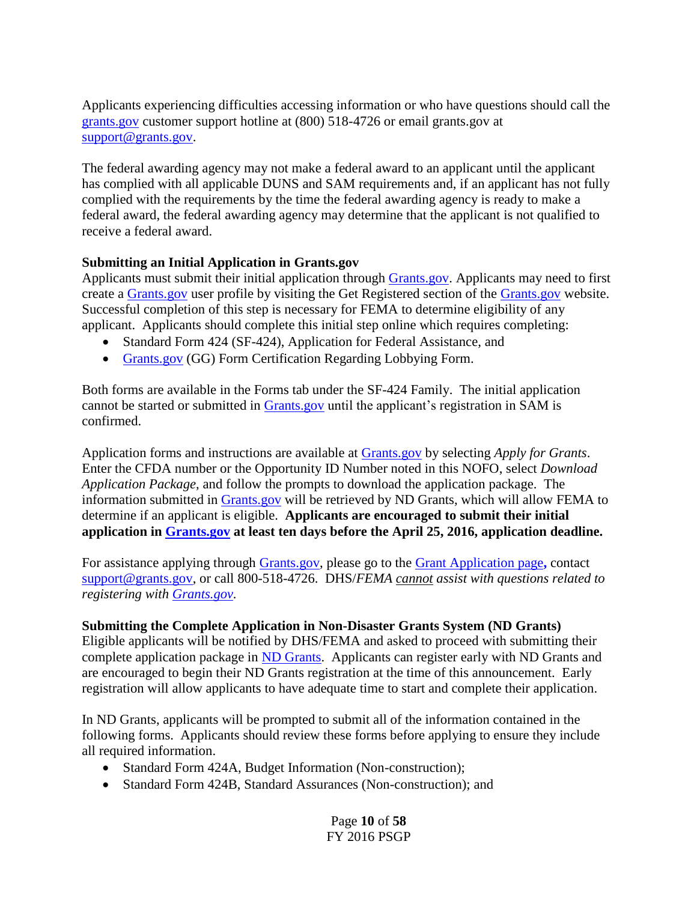Applicants experiencing difficulties accessing information or who have questions should call the [grants.gov](file:///C:/Documents%20and%20Settings/sheath/Local%20Settings/Temporary%20Internet%20Files/Content.Outlook/AppData/Local/Microsoft/Windows/stacey.street/Local%20Settings/Documents%20and%20Settings/lwatson6/Local%20Settings/Temporary%20Internet%20Files/Local%20Settings/Temporary%20I) customer support hotline at (800) 518-4726 or email grants.gov at [support@grants.gov.](file:///C:/Users/Lonnie.McDougal/AppData/Local/Microsoft/Windows/Temporary%20Internet%20Files/Content.Outlook/6NT3MCJD/support@grants.gov)

The federal awarding agency may not make a federal award to an applicant until the applicant has complied with all applicable DUNS and SAM requirements and, if an applicant has not fully complied with the requirements by the time the federal awarding agency is ready to make a federal award, the federal awarding agency may determine that the applicant is not qualified to receive a federal award.

## **Submitting an Initial Application in Grants.gov**

Applicants must submit their initial application through [Grants.gov.](http://www.grants.gov/) Applicants may need to first create a [Grants.gov](http://www.grants.gov/) user profile by visiting the Get Registered section of the [Grants.gov](http://www.grants.gov/) website. Successful completion of this step is necessary for FEMA to determine eligibility of any applicant. Applicants should complete this initial step online which requires completing:

- Standard Form 424 (SF-424), Application for Federal Assistance, and
- [Grants.gov](http://www.grants.gov/) (GG) Form Certification Regarding Lobbying Form.

Both forms are available in the Forms tab under the SF-424 Family. The initial application cannot be started or submitted in **Grants.gov** until the applicant's registration in SAM is confirmed.

Application forms and instructions are available at [Grants.gov](http://www.grants.gov/) by selecting *Apply for Grants*. Enter the CFDA number or the Opportunity ID Number noted in this NOFO, select *Download Application Package*, and follow the prompts to download the application package. The information submitted in [Grants.gov](http://www.grants.gov/) will be retrieved by ND Grants, which will allow FEMA to determine if an applicant is eligible. **Applicants are encouraged to submit their initial application in [Grants.gov](http://www.grants.gov/) at least ten days before the April 25, 2016, application deadline.**

For assistance applying through [Grants.gov,](http://www.grants.gov/) please go to the [Grant Application page](http://www.grants.gov/web/grants/applicants/grant-application-process.html)**,** contact [support@grants.gov,](mailto:support@grants.gov?subject=GRANTS.GOV%20Support%20Center) or call 800-518-4726. DHS/*FEMA cannot assist with questions related to registering with [Grants.gov.](http://www.grants.gov/)*

#### **Submitting the Complete Application in Non-Disaster Grants System (ND Grants)**

Eligible applicants will be notified by DHS/FEMA and asked to proceed with submitting their complete application package in [ND Grants.](https://portal.fema.gov/) Applicants can register early with ND Grants and are encouraged to begin their ND Grants registration at the time of this announcement. Early registration will allow applicants to have adequate time to start and complete their application.

In ND Grants, applicants will be prompted to submit all of the information contained in the following forms. Applicants should review these forms before applying to ensure they include all required information.

- Standard Form 424A, Budget Information (Non-construction);
- Standard Form 424B, Standard Assurances (Non-construction); and

Page **10** of **58** FY 2016 PSGP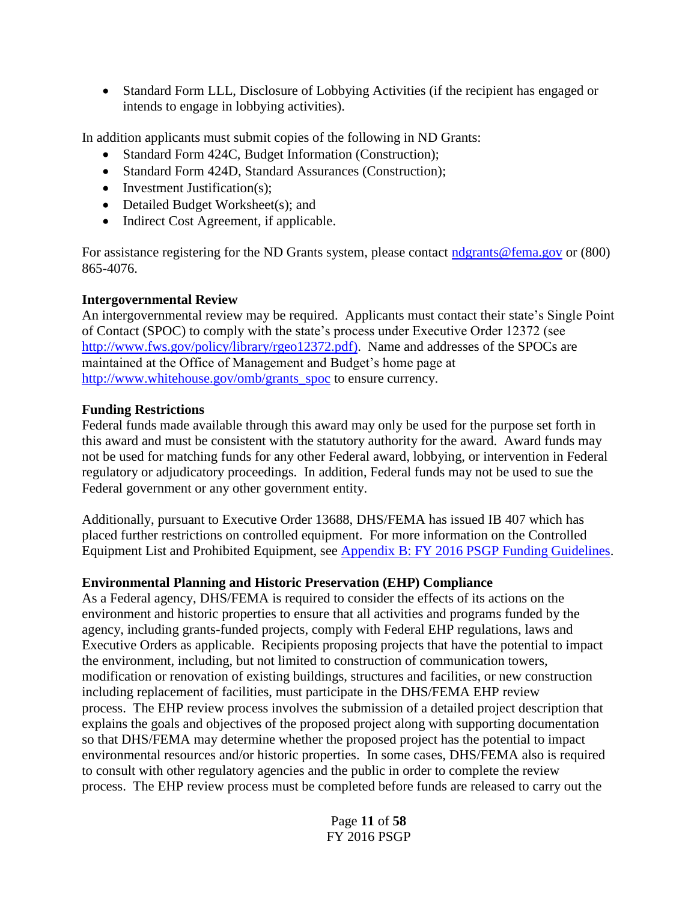Standard Form LLL, Disclosure of Lobbying Activities (if the recipient has engaged or intends to engage in lobbying activities).

In addition applicants must submit copies of the following in ND Grants:

- Standard Form 424C, Budget Information (Construction);
- Standard Form 424D, Standard Assurances (Construction);
- Investment Justification(s);
- Detailed Budget Worksheet(s); and
- Indirect Cost Agreement, if applicable.

For assistance registering for the ND Grants system, please contact [ndgrants@fema.gov](mailto:ndgrants@fema.gov) or (800) 865-4076.

## **Intergovernmental Review**

An intergovernmental review may be required. Applicants must contact their state's Single Point of Contact (SPOC) to comply with the state's process under Executive Order 12372 (see [http://www.fws.gov/policy/library/rgeo12372.pdf\)](http://www.fws.gov/policy/library/rgeo12372.pdf). Name and addresses of the SPOCs are maintained at the Office of Management and Budget's home page at [http://www.whitehouse.gov/omb/grants\\_spoc](http://www.whitehouse.gov/omb/grants_spoc)\_to\_ensure currency.

#### **Funding Restrictions**

Federal funds made available through this award may only be used for the purpose set forth in this award and must be consistent with the statutory authority for the award. Award funds may not be used for matching funds for any other Federal award, lobbying, or intervention in Federal regulatory or adjudicatory proceedings. In addition, Federal funds may not be used to sue the Federal government or any other government entity.

Additionally, pursuant to Executive Order 13688, DHS/FEMA has issued IB 407 which has placed further restrictions on controlled equipment. For more information on the Controlled Equipment List and Prohibited Equipment, see [Appendix B: FY 2016 PSGP Funding Guidelines.](#page-32-0)

## **Environmental Planning and Historic Preservation (EHP) Compliance**

As a Federal agency, DHS/FEMA is required to consider the effects of its actions on the environment and historic properties to ensure that all activities and programs funded by the agency, including grants-funded projects, comply with Federal EHP regulations, laws and Executive Orders as applicable. Recipients proposing projects that have the potential to impact the environment, including, but not limited to construction of communication towers, modification or renovation of existing buildings, structures and facilities, or new construction including replacement of facilities, must participate in the DHS/FEMA EHP review process. The EHP review process involves the submission of a detailed project description that explains the goals and objectives of the proposed project along with supporting documentation so that DHS/FEMA may determine whether the proposed project has the potential to impact environmental resources and/or historic properties. In some cases, DHS/FEMA also is required to consult with other regulatory agencies and the public in order to complete the review process. The EHP review process must be completed before funds are released to carry out the

> Page **11** of **58** FY 2016 PSGP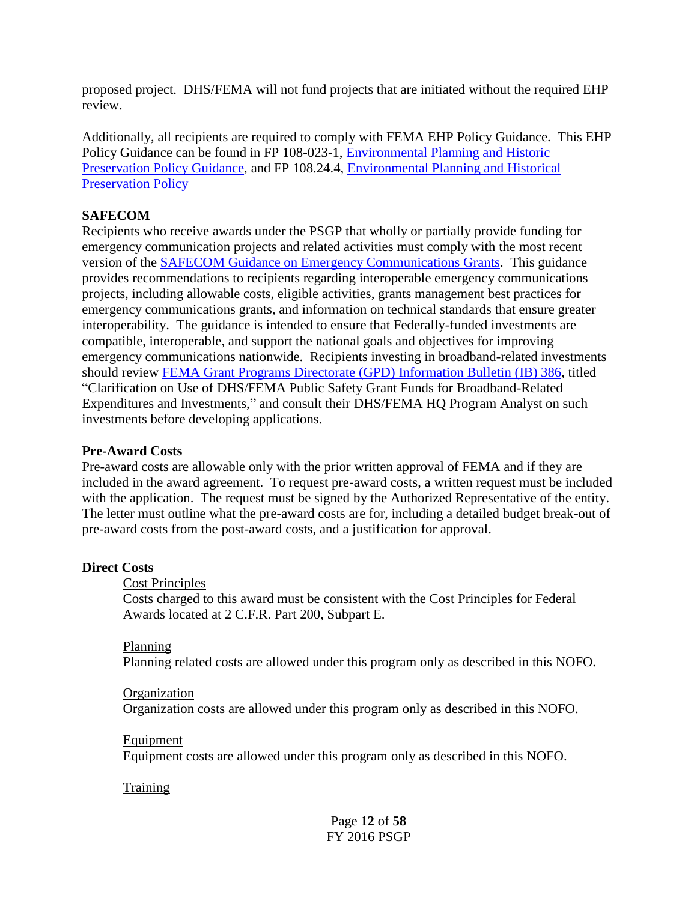proposed project. DHS/FEMA will not fund projects that are initiated without the required EHP review.

Additionally, all recipients are required to comply with FEMA EHP Policy Guidance. This EHP Policy Guidance can be found in FP 108-023-1, [Environmental Planning and Historic](https://www.fema.gov/media-library/assets/documents/85376)  [Preservation Policy Guidance,](https://www.fema.gov/media-library/assets/documents/85376) and FP 108.24.4, [Environmental Planning](http://www.fema.gov/media-library-data/1388411752234-6ddb79121951a68e9ba036d2569aa488/18Dec13-NoNEPAReview.pdf) and Historical [Preservation Policy](http://www.fema.gov/media-library-data/1388411752234-6ddb79121951a68e9ba036d2569aa488/18Dec13-NoNEPAReview.pdf)

#### **SAFECOM**

Recipients who receive awards under the PSGP that wholly or partially provide funding for emergency communication projects and related activities must comply with the most recent version of the [SAFECOM Guidance on Emergency Communications Grants.](http://www.safecomprogram.gov/grant/Default.aspx) This guidance provides recommendations to recipients regarding interoperable emergency communications projects, including allowable costs, eligible activities, grants management best practices for emergency communications grants, and information on technical standards that ensure greater interoperability. The guidance is intended to ensure that Federally-funded investments are compatible, interoperable, and support the national goals and objectives for improving emergency communications nationwide. Recipients investing in broadband-related investments should review [FEMA Grant Programs Directorate \(GPD\)](http://www.fema.gov/media-library-data/20130726-1837-25045-1238/ib_386.pdf) Information Bulletin (IB) 386, titled "Clarification on Use of DHS/FEMA Public Safety Grant Funds for Broadband-Related Expenditures and Investments," and consult their DHS/FEMA HQ Program Analyst on such investments before developing applications.

#### **Pre-Award Costs**

Pre-award costs are allowable only with the prior written approval of FEMA and if they are included in the award agreement. To request pre-award costs, a written request must be included with the application. The request must be signed by the Authorized Representative of the entity. The letter must outline what the pre-award costs are for, including a detailed budget break-out of pre-award costs from the post-award costs, and a justification for approval.

#### **Direct Costs**

#### Cost Principles

Costs charged to this award must be consistent with the Cost Principles for Federal Awards located at 2 C.F.R. Part 200, Subpart E.

#### Planning

Planning related costs are allowed under this program only as described in this NOFO.

#### **Organization**

Organization costs are allowed under this program only as described in this NOFO.

#### Equipment

Equipment costs are allowed under this program only as described in this NOFO.

#### **Training**

Page **12** of **58** FY 2016 PSGP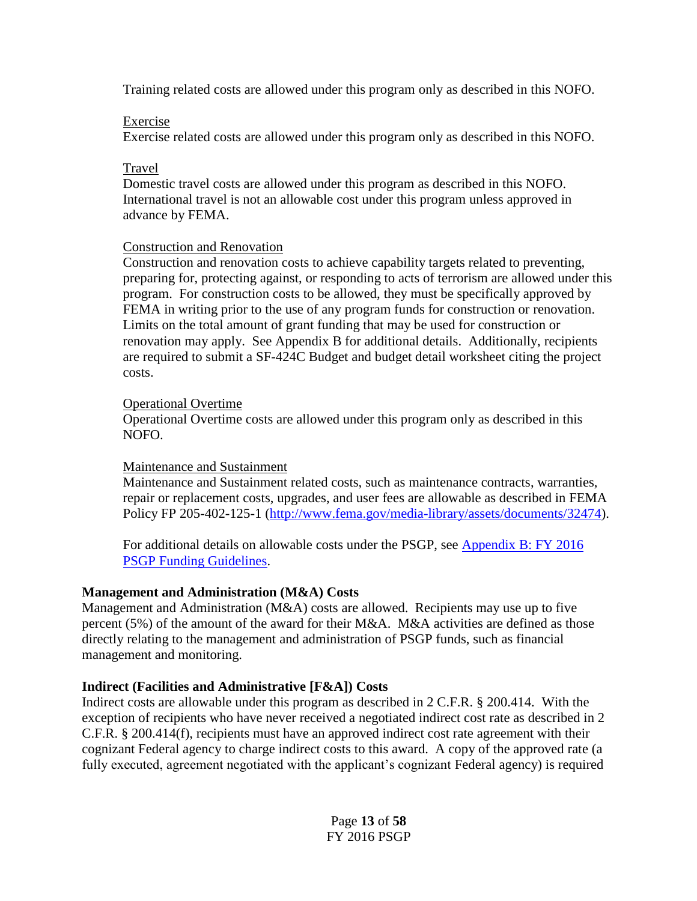Training related costs are allowed under this program only as described in this NOFO.

#### Exercise

Exercise related costs are allowed under this program only as described in this NOFO.

## Travel

Domestic travel costs are allowed under this program as described in this NOFO. International travel is not an allowable cost under this program unless approved in advance by FEMA.

#### Construction and Renovation

Construction and renovation costs to achieve capability targets related to preventing, preparing for, protecting against, or responding to acts of terrorism are allowed under this program. For construction costs to be allowed, they must be specifically approved by FEMA in writing prior to the use of any program funds for construction or renovation. Limits on the total amount of grant funding that may be used for construction or renovation may apply. See Appendix B for additional details. Additionally, recipients are required to submit a SF-424C Budget and budget detail worksheet citing the project costs.

#### Operational Overtime

Operational Overtime costs are allowed under this program only as described in this NOFO.

#### Maintenance and Sustainment

Maintenance and Sustainment related costs, such as maintenance contracts, warranties, repair or replacement costs, upgrades, and user fees are allowable as described in FEMA Policy FP 205-402-125-1 [\(http://www.fema.gov/media-library/assets/documents/32474\)](http://www.fema.gov/media-library/assets/documents/32474).

For additional details on allowable costs under the PSGP, see [Appendix B:](#page-32-0) FY 2016 PSGP [Funding Guidelines.](#page-32-0)

## **Management and Administration (M&A) Costs**

Management and Administration (M&A) costs are allowed. Recipients may use up to five percent (5%) of the amount of the award for their M&A. M&A activities are defined as those directly relating to the management and administration of PSGP funds, such as financial management and monitoring.

## **Indirect (Facilities and Administrative [F&A]) Costs**

Indirect costs are allowable under this program as described in 2 C.F.R. § 200.414. With the exception of recipients who have never received a negotiated indirect cost rate as described in 2 C.F.R. § 200.414(f), recipients must have an approved indirect cost rate agreement with their cognizant Federal agency to charge indirect costs to this award. A copy of the approved rate (a fully executed, agreement negotiated with the applicant's cognizant Federal agency) is required

> Page **13** of **58** FY 2016 PSGP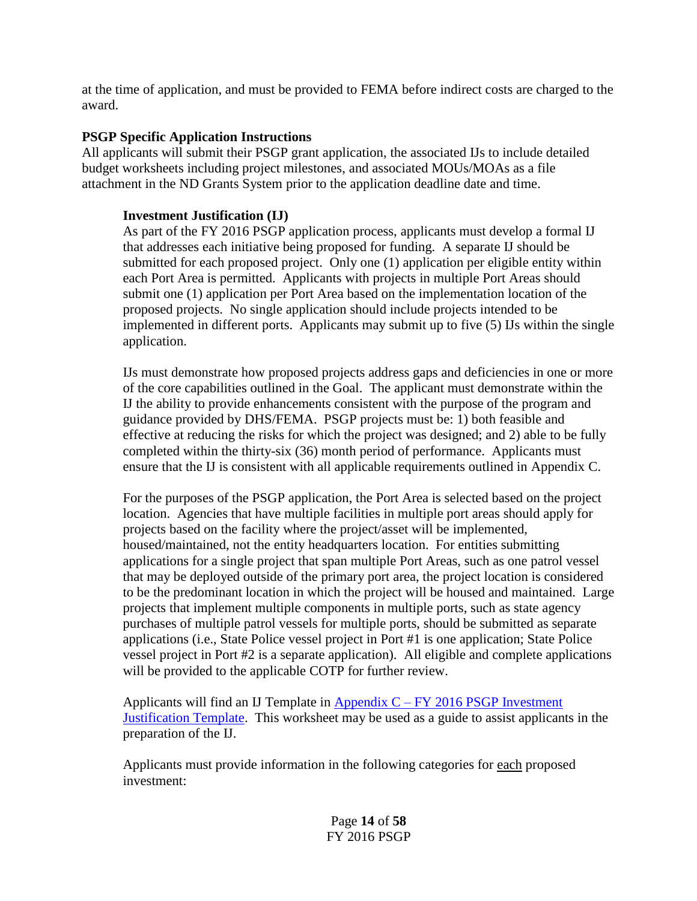at the time of application, and must be provided to FEMA before indirect costs are charged to the award.

#### **PSGP Specific Application Instructions**

All applicants will submit their PSGP grant application, the associated IJs to include detailed budget worksheets including project milestones, and associated MOUs/MOAs as a file attachment in the ND Grants System prior to the application deadline date and time.

#### **Investment Justification (IJ)**

As part of the FY 2016 PSGP application process, applicants must develop a formal IJ that addresses each initiative being proposed for funding. A separate IJ should be submitted for each proposed project. Only one (1) application per eligible entity within each Port Area is permitted. Applicants with projects in multiple Port Areas should submit one (1) application per Port Area based on the implementation location of the proposed projects. No single application should include projects intended to be implemented in different ports. Applicants may submit up to five (5) IJs within the single application.

IJs must demonstrate how proposed projects address gaps and deficiencies in one or more of the core capabilities outlined in the Goal. The applicant must demonstrate within the IJ the ability to provide enhancements consistent with the purpose of the program and guidance provided by DHS/FEMA. PSGP projects must be: 1) both feasible and effective at reducing the risks for which the project was designed; and 2) able to be fully completed within the thirty-six (36) month period of performance. Applicants must ensure that the IJ is consistent with all applicable requirements outlined in Appendix C.

For the purposes of the PSGP application, the Port Area is selected based on the project location. Agencies that have multiple facilities in multiple port areas should apply for projects based on the facility where the project/asset will be implemented, housed/maintained, not the entity headquarters location. For entities submitting applications for a single project that span multiple Port Areas, such as one patrol vessel that may be deployed outside of the primary port area, the project location is considered to be the predominant location in which the project will be housed and maintained. Large projects that implement multiple components in multiple ports, such as state agency purchases of multiple patrol vessels for multiple ports, should be submitted as separate applications (i.e., State Police vessel project in Port #1 is one application; State Police vessel project in Port #2 is a separate application). All eligible and complete applications will be provided to the applicable COTP for further review.

Applicants will find an IJ Template in Appendix  $C - FY$  2016 PSGP Investment **[Justification Template.](#page-48-0)** This worksheet may be used as a guide to assist applicants in the preparation of the IJ.

Applicants must provide information in the following categories for each proposed investment:

> Page **14** of **58** FY 2016 PSGP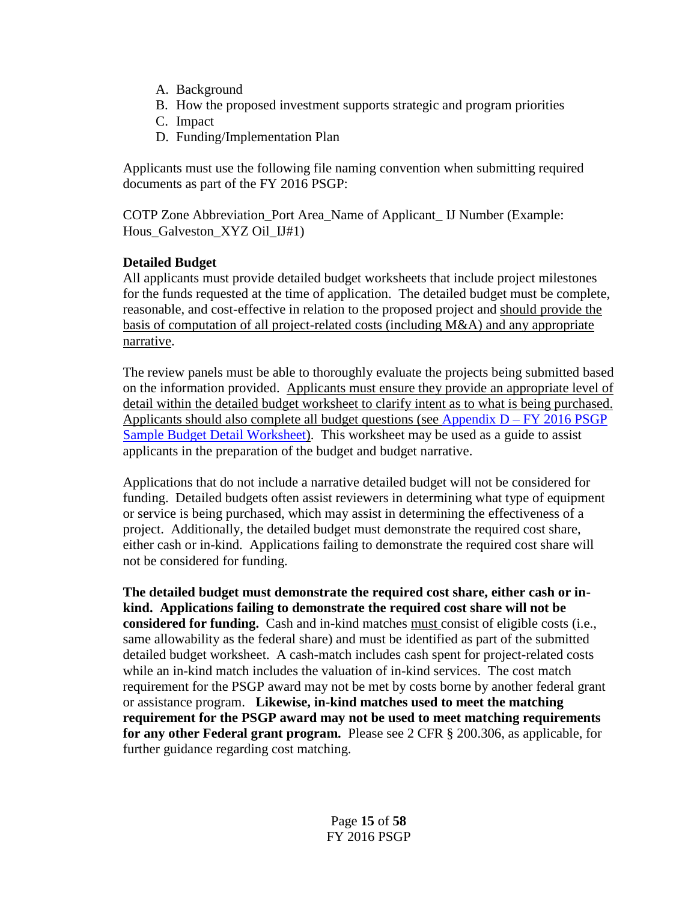- A. Background
- B. How the proposed investment supports strategic and program priorities
- C. Impact
- D. Funding/Implementation Plan

Applicants must use the following file naming convention when submitting required documents as part of the FY 2016 PSGP:

COTP Zone Abbreviation\_Port Area\_Name of Applicant\_ IJ Number (Example: Hous\_Galveston\_XYZ Oil\_IJ#1)

#### **Detailed Budget**

All applicants must provide detailed budget worksheets that include project milestones for the funds requested at the time of application. The detailed budget must be complete, reasonable, and cost-effective in relation to the proposed project and should provide the basis of computation of all project-related costs (including M&A) and any appropriate narrative.

The review panels must be able to thoroughly evaluate the projects being submitted based on the information provided. Applicants must ensure they provide an appropriate level of detail within the detailed budget worksheet to clarify intent as to what is being purchased. Applicants should also complete all budget questions (see Appendix  $D - FY$  2016 PSGP [Sample Budget Detail Worksheet\)](#page-51-0). This worksheet may be used as a guide to assist applicants in the preparation of the budget and budget narrative.

Applications that do not include a narrative detailed budget will not be considered for funding. Detailed budgets often assist reviewers in determining what type of equipment or service is being purchased, which may assist in determining the effectiveness of a project. Additionally, the detailed budget must demonstrate the required cost share, either cash or in-kind. Applications failing to demonstrate the required cost share will not be considered for funding.

**The detailed budget must demonstrate the required cost share, either cash or inkind. Applications failing to demonstrate the required cost share will not be considered for funding.** Cash and in-kind matches must consist of eligible costs (i.e., same allowability as the federal share) and must be identified as part of the submitted detailed budget worksheet. A cash-match includes cash spent for project-related costs while an in-kind match includes the valuation of in-kind services. The cost match requirement for the PSGP award may not be met by costs borne by another federal grant or assistance program. **Likewise, in-kind matches used to meet the matching requirement for the PSGP award may not be used to meet matching requirements for any other Federal grant program.** Please see 2 CFR § 200.306, as applicable, for further guidance regarding cost matching.

> Page **15** of **58** FY 2016 PSGP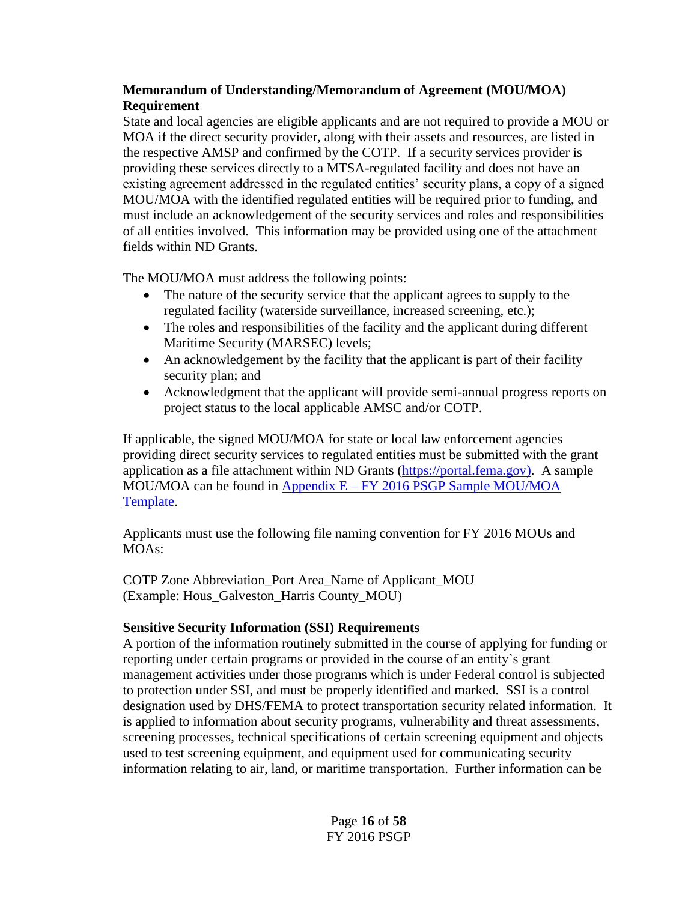# **Memorandum of Understanding/Memorandum of Agreement (MOU/MOA) Requirement**

State and local agencies are eligible applicants and are not required to provide a MOU or MOA if the direct security provider, along with their assets and resources, are listed in the respective AMSP and confirmed by the COTP. If a security services provider is providing these services directly to a MTSA-regulated facility and does not have an existing agreement addressed in the regulated entities' security plans, a copy of a signed MOU/MOA with the identified regulated entities will be required prior to funding, and must include an acknowledgement of the security services and roles and responsibilities of all entities involved. This information may be provided using one of the attachment fields within ND Grants.

The MOU/MOA must address the following points:

- The nature of the security service that the applicant agrees to supply to the regulated facility (waterside surveillance, increased screening, etc.);
- The roles and responsibilities of the facility and the applicant during different Maritime Security (MARSEC) levels;
- An acknowledgement by the facility that the applicant is part of their facility security plan; and
- Acknowledgment that the applicant will provide semi-annual progress reports on project status to the local applicable AMSC and/or COTP.

If applicable, the signed MOU/MOA for state or local law enforcement agencies providing direct security services to regulated entities must be submitted with the grant application as a file attachment within ND Grants [\(https://portal.fema.gov\)](https://portal.fema.gov/). A sample MOU/MOA can be found in Appendix E – FY 2016 PSGP Sample MOU/MOA [Template.](#page-55-0)

Applicants must use the following file naming convention for FY 2016 MOUs and MOAs:

COTP Zone Abbreviation\_Port Area\_Name of Applicant\_MOU (Example: Hous\_Galveston\_Harris County\_MOU)

## **Sensitive Security Information (SSI) Requirements**

A portion of the information routinely submitted in the course of applying for funding or reporting under certain programs or provided in the course of an entity's grant management activities under those programs which is under Federal control is subjected to protection under SSI, and must be properly identified and marked. SSI is a control designation used by DHS/FEMA to protect transportation security related information. It is applied to information about security programs, vulnerability and threat assessments, screening processes, technical specifications of certain screening equipment and objects used to test screening equipment, and equipment used for communicating security information relating to air, land, or maritime transportation. Further information can be

> Page **16** of **58** FY 2016 PSGP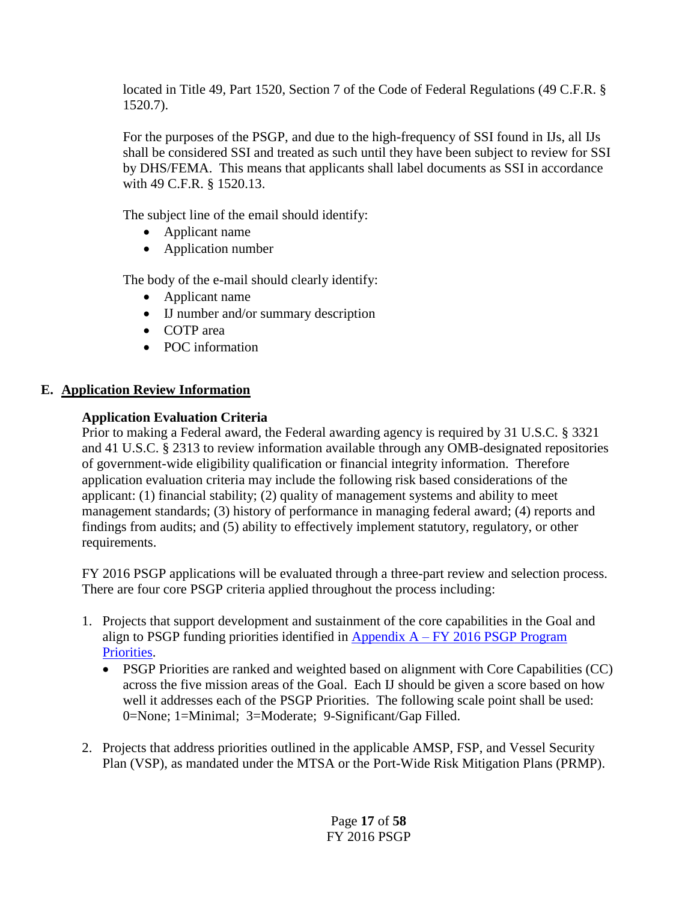located in Title 49, Part 1520, Section 7 of the Code of Federal Regulations (49 C.F.R. § 1520.7).

For the purposes of the PSGP, and due to the high-frequency of SSI found in IJs, all IJs shall be considered SSI and treated as such until they have been subject to review for SSI by DHS/FEMA. This means that applicants shall label documents as SSI in accordance with 49 C.F.R. § 1520.13.

The subject line of the email should identify:

- Applicant name
- Application number

The body of the e-mail should clearly identify:

- Applicant name
- IJ number and/or summary description
- COTP area
- POC information

# **E. Application Review Information**

# **Application Evaluation Criteria**

Prior to making a Federal award, the Federal awarding agency is required by 31 U.S.C. § 3321 and 41 U.S.C. § 2313 to review information available through any OMB-designated repositories of government-wide eligibility qualification or financial integrity information. Therefore application evaluation criteria may include the following risk based considerations of the applicant: (1) financial stability; (2) quality of management systems and ability to meet management standards; (3) history of performance in managing federal award; (4) reports and findings from audits; and (5) ability to effectively implement statutory, regulatory, or other requirements.

FY 2016 PSGP applications will be evaluated through a three-part review and selection process. There are four core PSGP criteria applied throughout the process including:

- 1. Projects that support development and sustainment of the core capabilities in the Goal and align to PSGP funding priorities identified in Appendix  $A - FY$  2016 PSGP Program [Priorities.](#page-28-0)
	- PSGP Priorities are ranked and weighted based on alignment with Core Capabilities (CC) across the five mission areas of the Goal. Each IJ should be given a score based on how well it addresses each of the PSGP Priorities. The following scale point shall be used: 0=None; 1=Minimal; 3=Moderate; 9-Significant/Gap Filled.
- 2. Projects that address priorities outlined in the applicable AMSP, FSP, and Vessel Security Plan (VSP), as mandated under the MTSA or the Port-Wide Risk Mitigation Plans (PRMP).

Page **17** of **58** FY 2016 PSGP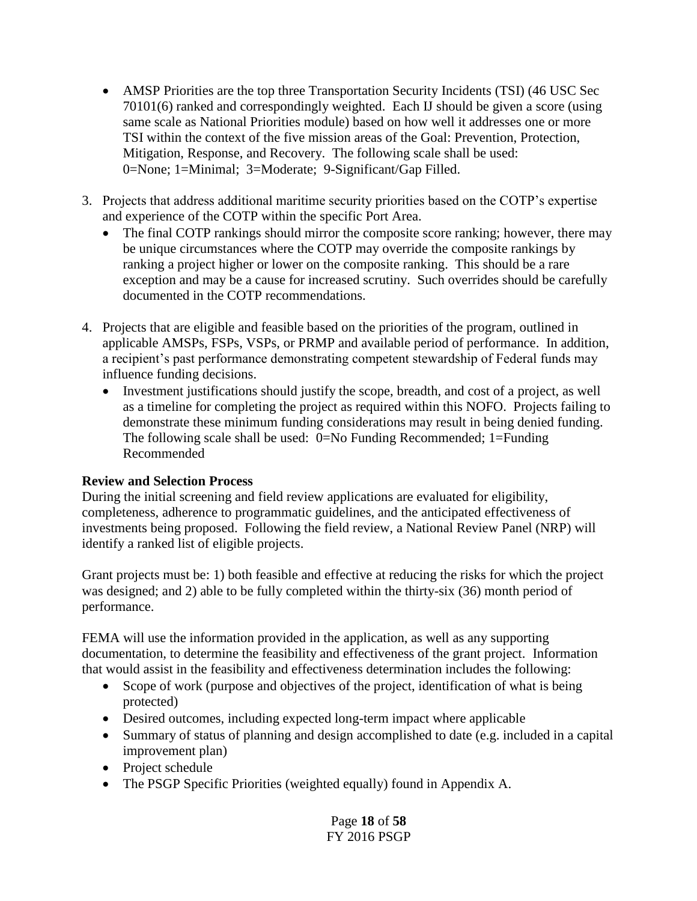- AMSP Priorities are the top three Transportation Security Incidents (TSI) (46 USC Sec 70101(6) ranked and correspondingly weighted. Each IJ should be given a score (using same scale as National Priorities module) based on how well it addresses one or more TSI within the context of the five mission areas of the Goal: Prevention, Protection, Mitigation, Response, and Recovery. The following scale shall be used: 0=None; 1=Minimal; 3=Moderate; 9-Significant/Gap Filled.
- 3. Projects that address additional maritime security priorities based on the COTP's expertise and experience of the COTP within the specific Port Area.
	- The final COTP rankings should mirror the composite score ranking; however, there may be unique circumstances where the COTP may override the composite rankings by ranking a project higher or lower on the composite ranking. This should be a rare exception and may be a cause for increased scrutiny. Such overrides should be carefully documented in the COTP recommendations.
- 4. Projects that are eligible and feasible based on the priorities of the program, outlined in applicable AMSPs, FSPs, VSPs, or PRMP and available period of performance. In addition, a recipient's past performance demonstrating competent stewardship of Federal funds may influence funding decisions.
	- Investment justifications should justify the scope, breadth, and cost of a project, as well as a timeline for completing the project as required within this NOFO. Projects failing to demonstrate these minimum funding considerations may result in being denied funding. The following scale shall be used: 0=No Funding Recommended; 1=Funding Recommended

## **Review and Selection Process**

During the initial screening and field review applications are evaluated for eligibility, completeness, adherence to programmatic guidelines, and the anticipated effectiveness of investments being proposed. Following the field review, a National Review Panel (NRP) will identify a ranked list of eligible projects.

Grant projects must be: 1) both feasible and effective at reducing the risks for which the project was designed; and 2) able to be fully completed within the thirty-six (36) month period of performance.

FEMA will use the information provided in the application, as well as any supporting documentation, to determine the feasibility and effectiveness of the grant project. Information that would assist in the feasibility and effectiveness determination includes the following:

- Scope of work (purpose and objectives of the project, identification of what is being protected)
- Desired outcomes, including expected long-term impact where applicable
- Summary of status of planning and design accomplished to date (e.g. included in a capital improvement plan)
- Project schedule
- The PSGP Specific Priorities (weighted equally) found in Appendix A.

Page **18** of **58** FY 2016 PSGP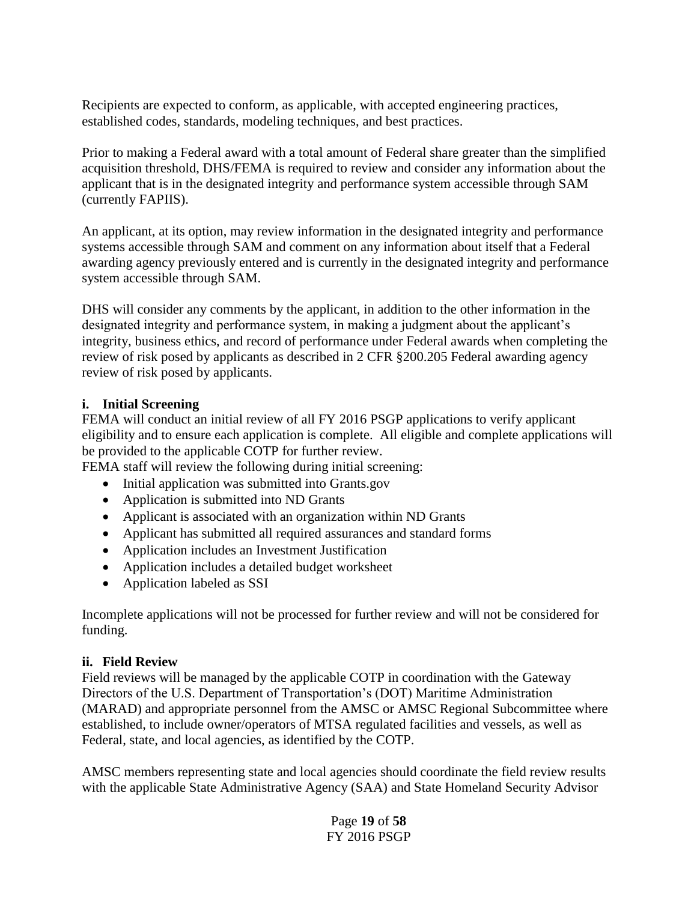Recipients are expected to conform, as applicable, with accepted engineering practices, established codes, standards, modeling techniques, and best practices.

Prior to making a Federal award with a total amount of Federal share greater than the simplified acquisition threshold, DHS/FEMA is required to review and consider any information about the applicant that is in the designated integrity and performance system accessible through SAM (currently FAPIIS).

An applicant, at its option, may review information in the designated integrity and performance systems accessible through SAM and comment on any information about itself that a Federal awarding agency previously entered and is currently in the designated integrity and performance system accessible through SAM.

DHS will consider any comments by the applicant, in addition to the other information in the designated integrity and performance system, in making a judgment about the applicant's integrity, business ethics, and record of performance under Federal awards when completing the review of risk posed by applicants as described in 2 CFR §200.205 Federal awarding agency review of risk posed by applicants.

#### **i. Initial Screening**

FEMA will conduct an initial review of all FY 2016 PSGP applications to verify applicant eligibility and to ensure each application is complete. All eligible and complete applications will be provided to the applicable COTP for further review.

FEMA staff will review the following during initial screening:

- Initial application was submitted into Grants.gov
- Application is submitted into ND Grants
- Applicant is associated with an organization within ND Grants
- Applicant has submitted all required assurances and standard forms
- Application includes an Investment Justification
- Application includes a detailed budget worksheet
- Application labeled as SSI

Incomplete applications will not be processed for further review and will not be considered for funding.

## **ii. Field Review**

Field reviews will be managed by the applicable COTP in coordination with the Gateway Directors of the U.S. Department of Transportation's (DOT) Maritime Administration (MARAD) and appropriate personnel from the AMSC or AMSC Regional Subcommittee where established, to include owner/operators of MTSA regulated facilities and vessels, as well as Federal, state, and local agencies, as identified by the COTP.

AMSC members representing state and local agencies should coordinate the field review results with the applicable State Administrative Agency (SAA) and State Homeland Security Advisor

> Page **19** of **58** FY 2016 PSGP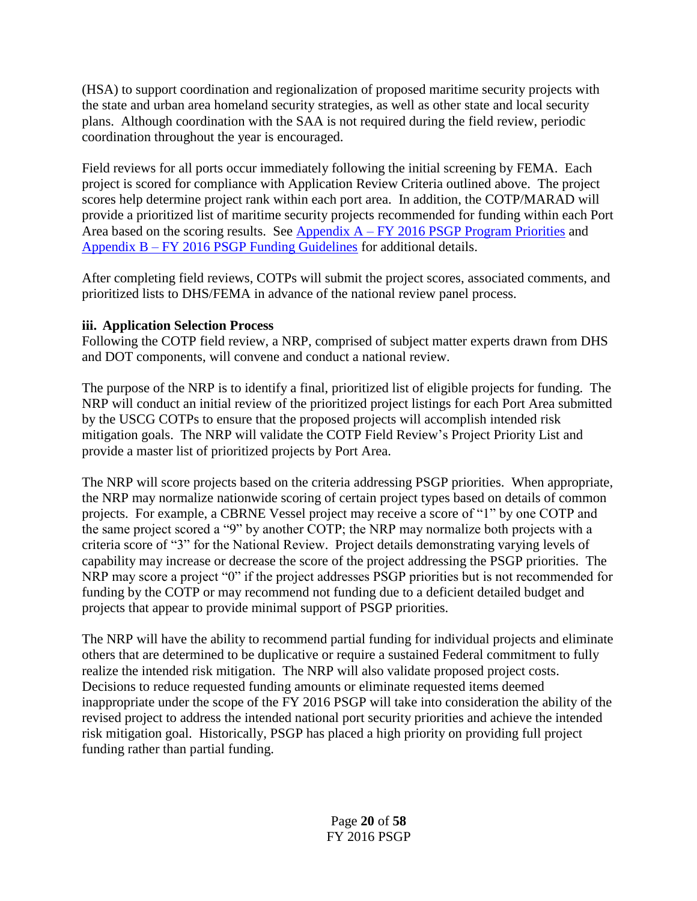(HSA) to support coordination and regionalization of proposed maritime security projects with the state and urban area homeland security strategies, as well as other state and local security plans. Although coordination with the SAA is not required during the field review, periodic coordination throughout the year is encouraged.

Field reviews for all ports occur immediately following the initial screening by FEMA. Each project is scored for compliance with Application Review Criteria outlined above. The project scores help determine project rank within each port area. In addition, the COTP/MARAD will provide a prioritized list of maritime security projects recommended for funding within each Port Area based on the scoring results. See  $\Delta$ ppendix  $A - FY$  2016 PSGP Program Priorities and Appendix B – [FY 2016 PSGP Funding Guidelines](#page-28-0) for additional details.

After completing field reviews, COTPs will submit the project scores, associated comments, and prioritized lists to DHS/FEMA in advance of the national review panel process.

# **iii. Application Selection Process**

Following the COTP field review, a NRP, comprised of subject matter experts drawn from DHS and DOT components, will convene and conduct a national review.

The purpose of the NRP is to identify a final, prioritized list of eligible projects for funding. The NRP will conduct an initial review of the prioritized project listings for each Port Area submitted by the USCG COTPs to ensure that the proposed projects will accomplish intended risk mitigation goals. The NRP will validate the COTP Field Review's Project Priority List and provide a master list of prioritized projects by Port Area.

The NRP will score projects based on the criteria addressing PSGP priorities. When appropriate, the NRP may normalize nationwide scoring of certain project types based on details of common projects. For example, a CBRNE Vessel project may receive a score of "1" by one COTP and the same project scored a "9" by another COTP; the NRP may normalize both projects with a criteria score of "3" for the National Review. Project details demonstrating varying levels of capability may increase or decrease the score of the project addressing the PSGP priorities. The NRP may score a project "0" if the project addresses PSGP priorities but is not recommended for funding by the COTP or may recommend not funding due to a deficient detailed budget and projects that appear to provide minimal support of PSGP priorities.

The NRP will have the ability to recommend partial funding for individual projects and eliminate others that are determined to be duplicative or require a sustained Federal commitment to fully realize the intended risk mitigation. The NRP will also validate proposed project costs. Decisions to reduce requested funding amounts or eliminate requested items deemed inappropriate under the scope of the FY 2016 PSGP will take into consideration the ability of the revised project to address the intended national port security priorities and achieve the intended risk mitigation goal. Historically, PSGP has placed a high priority on providing full project funding rather than partial funding.

> Page **20** of **58** FY 2016 PSGP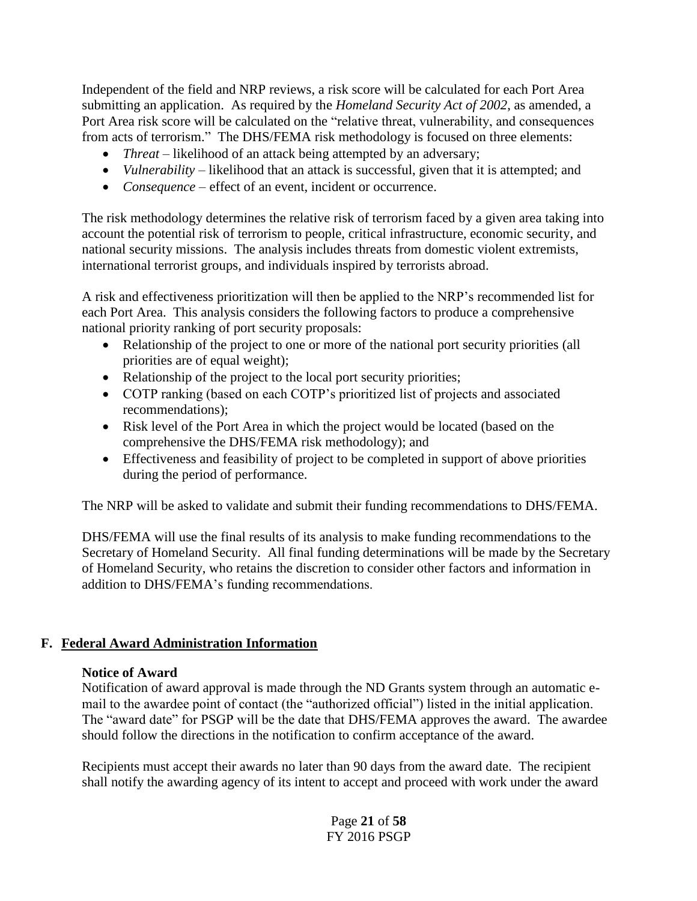Independent of the field and NRP reviews, a risk score will be calculated for each Port Area submitting an application. As required by the *Homeland Security Act of 2002*, as amended, a Port Area risk score will be calculated on the "relative threat, vulnerability, and consequences from acts of terrorism." The DHS/FEMA risk methodology is focused on three elements:

- *Threat* likelihood of an attack being attempted by an adversary;
- *Vulnerability* likelihood that an attack is successful, given that it is attempted; and
- *Consequence –* effect of an event, incident or occurrence.

The risk methodology determines the relative risk of terrorism faced by a given area taking into account the potential risk of terrorism to people, critical infrastructure, economic security, and national security missions. The analysis includes threats from domestic violent extremists, international terrorist groups, and individuals inspired by terrorists abroad.

A risk and effectiveness prioritization will then be applied to the NRP's recommended list for each Port Area. This analysis considers the following factors to produce a comprehensive national priority ranking of port security proposals:

- Relationship of the project to one or more of the national port security priorities (all priorities are of equal weight);
- Relationship of the project to the local port security priorities;
- COTP ranking (based on each COTP's prioritized list of projects and associated recommendations);
- Risk level of the Port Area in which the project would be located (based on the comprehensive the DHS/FEMA risk methodology); and
- Effectiveness and feasibility of project to be completed in support of above priorities during the period of performance.

The NRP will be asked to validate and submit their funding recommendations to DHS/FEMA.

DHS/FEMA will use the final results of its analysis to make funding recommendations to the Secretary of Homeland Security. All final funding determinations will be made by the Secretary of Homeland Security, who retains the discretion to consider other factors and information in addition to DHS/FEMA's funding recommendations.

## **F. Federal Award Administration Information**

#### **Notice of Award**

Notification of award approval is made through the ND Grants system through an automatic email to the awardee point of contact (the "authorized official") listed in the initial application. The "award date" for PSGP will be the date that DHS/FEMA approves the award. The awardee should follow the directions in the notification to confirm acceptance of the award.

Recipients must accept their awards no later than 90 days from the award date. The recipient shall notify the awarding agency of its intent to accept and proceed with work under the award

> Page **21** of **58** FY 2016 PSGP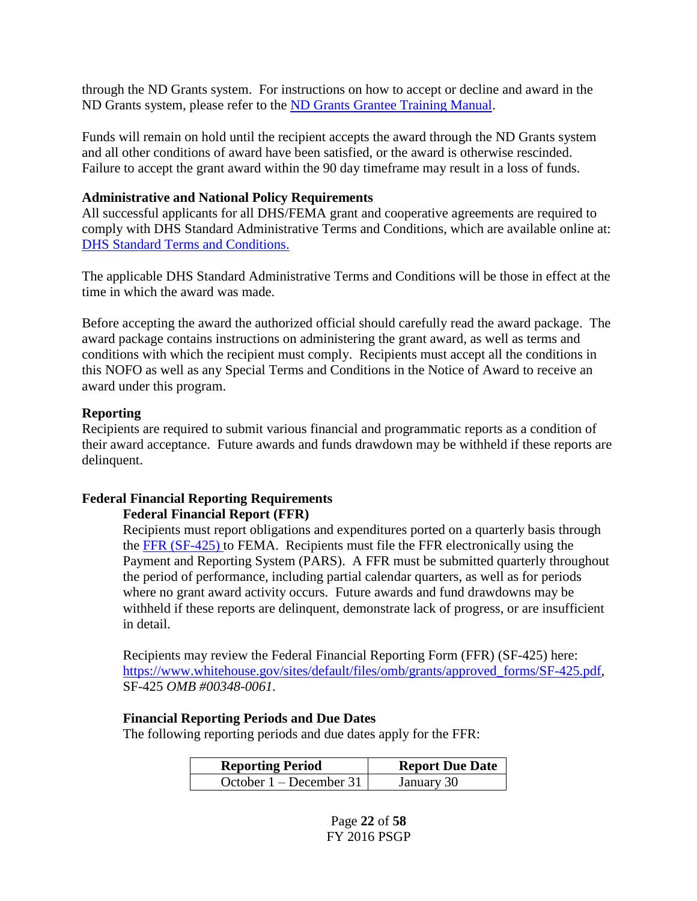through the ND Grants system. For instructions on how to accept or decline and award in the ND Grants system, please refer to the [ND Grants Grantee Training Manual.](https://www.fema.gov/media-library/assets/documents/25949)

Funds will remain on hold until the recipient accepts the award through the ND Grants system and all other conditions of award have been satisfied, or the award is otherwise rescinded. Failure to accept the grant award within the 90 day timeframe may result in a loss of funds.

#### **Administrative and National Policy Requirements**

All successful applicants for all DHS/FEMA grant and cooperative agreements are required to comply with DHS Standard Administrative Terms and Conditions, which are available online at: [DHS Standard Terms and Conditions.](http://www.dhs.gov/publication/fy15-dhs-standard-terms-and-conditions)

The applicable DHS Standard Administrative Terms and Conditions will be those in effect at the time in which the award was made.

Before accepting the award the authorized official should carefully read the award package. The award package contains instructions on administering the grant award, as well as terms and conditions with which the recipient must comply. Recipients must accept all the conditions in this NOFO as well as any Special Terms and Conditions in the Notice of Award to receive an award under this program.

#### **Reporting**

Recipients are required to submit various financial and programmatic reports as a condition of their award acceptance. Future awards and funds drawdown may be withheld if these reports are delinquent.

# **Federal Financial Reporting Requirements**

#### **Federal Financial Report (FFR)**

Recipients must report obligations and expenditures ported on a quarterly basis through the [FFR \(SF-425\)](http://www.whitehouse.gov/sites/default/files/omb/assets/grants_forms/SF-425.pdf) to FEMA. Recipients must file the FFR electronically using the Payment and Reporting System (PARS). A FFR must be submitted quarterly throughout the period of performance, including partial calendar quarters, as well as for periods where no grant award activity occurs. Future awards and fund drawdowns may be withheld if these reports are delinquent, demonstrate lack of progress, or are insufficient in detail.

Recipients may review the Federal Financial Reporting Form (FFR) (SF-425) here: [https://www.whitehouse.gov/sites/default/files/omb/grants/approved\\_forms/SF-425.pdf,](https://www.whitehouse.gov/sites/default/files/omb/grants/approved_forms/SF-425.pdf) SF-425 *OMB #00348-0061.*

#### **Financial Reporting Periods and Due Dates**

The following reporting periods and due dates apply for the FFR:

| <b>Reporting Period</b>   | <b>Report Due Date</b> |
|---------------------------|------------------------|
| October $1 -$ December 31 | January 30             |

Page **22** of **58** FY 2016 PSGP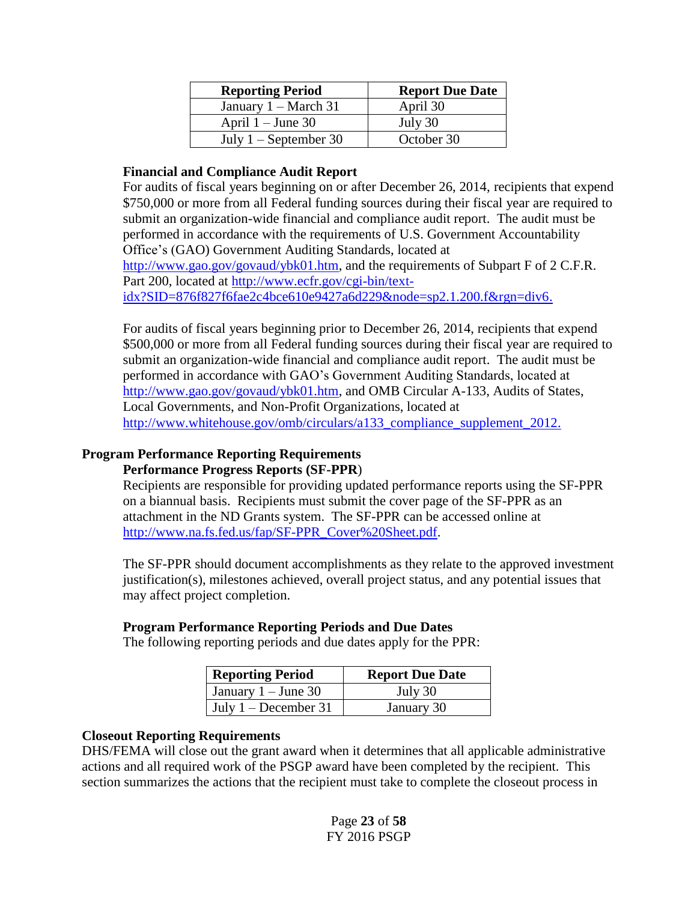| <b>Reporting Period</b>        | <b>Report Due Date</b> |
|--------------------------------|------------------------|
| January $1 - \text{March } 31$ | April 30               |
| April $1 -$ June 30            | July 30                |
| July $1 -$ September 30        | October 30             |

#### **Financial and Compliance Audit Report**

For audits of fiscal years beginning on or after December 26, 2014, recipients that expend \$750,000 or more from all Federal funding sources during their fiscal year are required to submit an organization-wide financial and compliance audit report. The audit must be performed in accordance with the requirements of U.S. Government Accountability Office's (GAO) Government Auditing Standards, located at [http://www.gao.gov/govaud/ybk01.htm,](http://www.gao.gov/govaud/ybk01.htm) and the requirements of Subpart F of 2 C.F.R. Part 200, located at [http://www.ecfr.gov/cgi-bin/text](http://www.ecfr.gov/cgi-bin/text-idx?SID=876f827f6fae2c4bce610e9427a6d229&node=sp2.1.200.f&rgn=div6)[idx?SID=876f827f6fae2c4bce610e9427a6d229&node=sp2.1.200.f&rgn=div6.](http://www.ecfr.gov/cgi-bin/text-idx?SID=876f827f6fae2c4bce610e9427a6d229&node=sp2.1.200.f&rgn=div6)

For audits of fiscal years beginning prior to December 26, 2014, recipients that expend \$500,000 or more from all Federal funding sources during their fiscal year are required to submit an organization-wide financial and compliance audit report. The audit must be performed in accordance with GAO's Government Auditing Standards, located at [http://www.gao.gov/govaud/ybk01.htm,](http://www.gao.gov/govaud/ybk01.htm) and OMB Circular A-133, Audits of States, Local Governments, and Non-Profit Organizations, located at [http://www.whitehouse.gov/omb/circulars/a133\\_compliance\\_supplement\\_2012.](http://www.whitehouse.gov/omb/circulars/a133_compliance_supplement_2012)

# **Program Performance Reporting Requirements**

# **Performance Progress Reports (SF-PPR**)

Recipients are responsible for providing updated performance reports using the SF-PPR on a biannual basis. Recipients must submit the cover page of the SF-PPR as an attachment in the ND Grants system. The SF-PPR can be accessed online at [http://www.na.fs.fed.us/fap/SF-PPR\\_Cover%20Sheet.pdf.](http://www.na.fs.fed.us/fap/SF-PPR_Cover%20Sheet.pdf)

The SF-PPR should document accomplishments as they relate to the approved investment justification(s), milestones achieved, overall project status, and any potential issues that may affect project completion.

## **Program Performance Reporting Periods and Due Dates**

The following reporting periods and due dates apply for the PPR:

| <b>Reporting Period</b>      | <b>Report Due Date</b> |
|------------------------------|------------------------|
| January $1 -$ June 30        | July 30                |
| $\vert$ July 1 – December 31 | January 30             |

## **Closeout Reporting Requirements**

DHS/FEMA will close out the grant award when it determines that all applicable administrative actions and all required work of the PSGP award have been completed by the recipient. This section summarizes the actions that the recipient must take to complete the closeout process in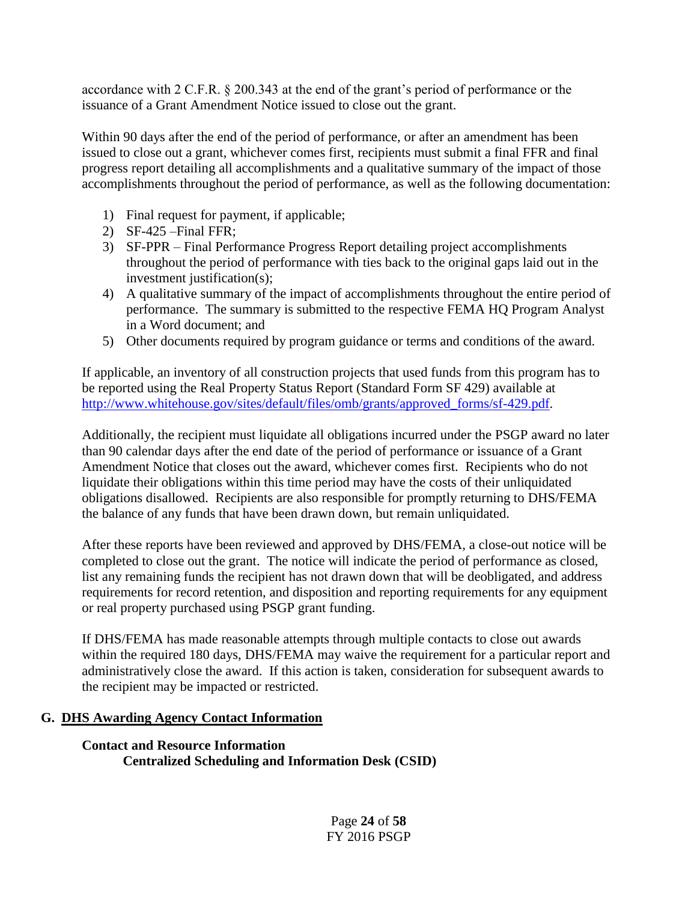accordance with 2 C.F.R. § 200.343 at the end of the grant's period of performance or the issuance of a Grant Amendment Notice issued to close out the grant.

Within 90 days after the end of the period of performance, or after an amendment has been issued to close out a grant, whichever comes first, recipients must submit a final FFR and final progress report detailing all accomplishments and a qualitative summary of the impact of those accomplishments throughout the period of performance, as well as the following documentation:

- 1) Final request for payment, if applicable;
- 2) SF-425 –Final FFR;
- 3) SF-PPR Final Performance Progress Report detailing project accomplishments throughout the period of performance with ties back to the original gaps laid out in the investment justification(s);
- 4) A qualitative summary of the impact of accomplishments throughout the entire period of performance. The summary is submitted to the respective FEMA HQ Program Analyst in a Word document; and
- 5) Other documents required by program guidance or terms and conditions of the award.

If applicable, an inventory of all construction projects that used funds from this program has to be reported using the Real Property Status Report (Standard Form SF 429) available at [http://www.whitehouse.gov/sites/default/files/omb/grants/approved\\_forms/sf-429.pdf.](http://www.whitehouse.gov/sites/default/files/omb/grants/approved_forms/sf-429.pdf)

Additionally, the recipient must liquidate all obligations incurred under the PSGP award no later than 90 calendar days after the end date of the period of performance or issuance of a Grant Amendment Notice that closes out the award, whichever comes first. Recipients who do not liquidate their obligations within this time period may have the costs of their unliquidated obligations disallowed. Recipients are also responsible for promptly returning to DHS/FEMA the balance of any funds that have been drawn down, but remain unliquidated.

After these reports have been reviewed and approved by DHS/FEMA*,* a close-out notice will be completed to close out the grant. The notice will indicate the period of performance as closed, list any remaining funds the recipient has not drawn down that will be deobligated, and address requirements for record retention, and disposition and reporting requirements for any equipment or real property purchased using PSGP grant funding.

If DHS/FEMA has made reasonable attempts through multiple contacts to close out awards within the required 180 days, DHS/FEMA may waive the requirement for a particular report and administratively close the award. If this action is taken, consideration for subsequent awards to the recipient may be impacted or restricted.

## **G. DHS Awarding Agency Contact Information**

# **Contact and Resource Information Centralized Scheduling and Information Desk (CSID)**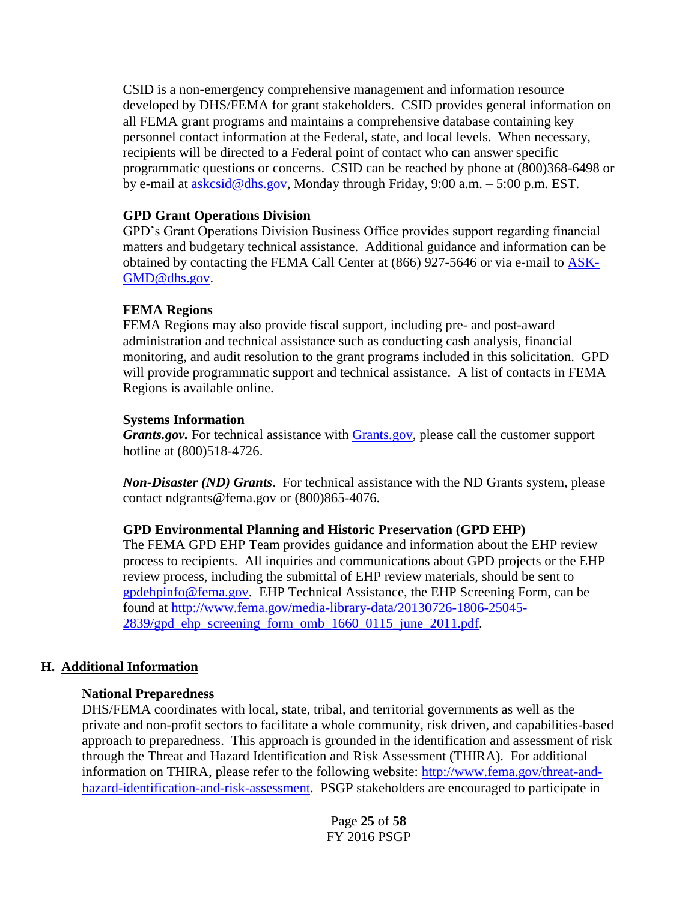CSID is a non-emergency comprehensive management and information resource developed by DHS/FEMA for grant stakeholders. CSID provides general information on all FEMA grant programs and maintains a comprehensive database containing key personnel contact information at the Federal, state, and local levels. When necessary, recipients will be directed to a Federal point of contact who can answer specific programmatic questions or concerns. CSID can be reached by phone at (800)368-6498 or by e-mail at  $askcsid@dhs.gov$ , Monday through Friday, 9:00 a.m.  $-5:00$  p.m. EST.

## **GPD Grant Operations Division**

GPD's Grant Operations Division Business Office provides support regarding financial matters and budgetary technical assistance. Additional guidance and information can be obtained by contacting the FEMA Call Center at (866) 927-5646 or via e-mail to **ASK**-[GMD@dhs.gov.](mailto:ASK-GMD@dhs.gov)

# **FEMA Regions**

FEMA Regions may also provide fiscal support, including pre- and post-award administration and technical assistance such as conducting cash analysis, financial monitoring, and audit resolution to the grant programs included in this solicitation. GPD will provide programmatic support and technical assistance. A list of contacts in FEMA [Regions](http://www.fema.gov/about/contact/regions.shtm) is available online.

# **Systems Information**

*Grants.gov.* For technical assistance with *Grants.gov*, please call the customer support hotline at (800)518-4726.

*Non-Disaster (ND) Grants*. For technical assistance with the ND Grants system, please contact [ndgrants@fema.gov](mailto:ndgrants@fema.gov) or (800)865-4076.

# **GPD Environmental Planning and Historic Preservation (GPD EHP)**

The FEMA GPD EHP Team provides guidance and information about the EHP review process to recipients. All inquiries and communications about GPD projects or the EHP review process, including the submittal of EHP review materials, should be sent to [gpdehpinfo@fema.gov.](mailto:gpdehpinfo@fema.gov) EHP Technical Assistance, the EHP Screening Form, can be found at [http://www.fema.gov/media-library-data/20130726-1806-25045-](http://www.fema.gov/media-library-data/20130726-1806-25045-2839/gpd_ehp_screening_form_omb_1660_0115_june_2011.pdf) [2839/gpd\\_ehp\\_screening\\_form\\_omb\\_1660\\_0115\\_june\\_2011.pdf.](http://www.fema.gov/media-library-data/20130726-1806-25045-2839/gpd_ehp_screening_form_omb_1660_0115_june_2011.pdf)

# **H. Additional Information**

## **National Preparedness**

DHS/FEMA coordinates with local, state, tribal, and territorial governments as well as the private and non-profit sectors to facilitate a whole community, risk driven, and capabilities-based approach to preparedness. This approach is grounded in the identification and assessment of risk through the Threat and Hazard Identification and Risk Assessment (THIRA). For additional information on THIRA, please refer to the following website: [http://www.fema.gov/threat-and](http://www.fema.gov/threat-and-hazard-identification-and-risk-assessment)[hazard-identification-and-risk-assessment.](http://www.fema.gov/threat-and-hazard-identification-and-risk-assessment) PSGP stakeholders are encouraged to participate in

> Page **25** of **58** FY 2016 PSGP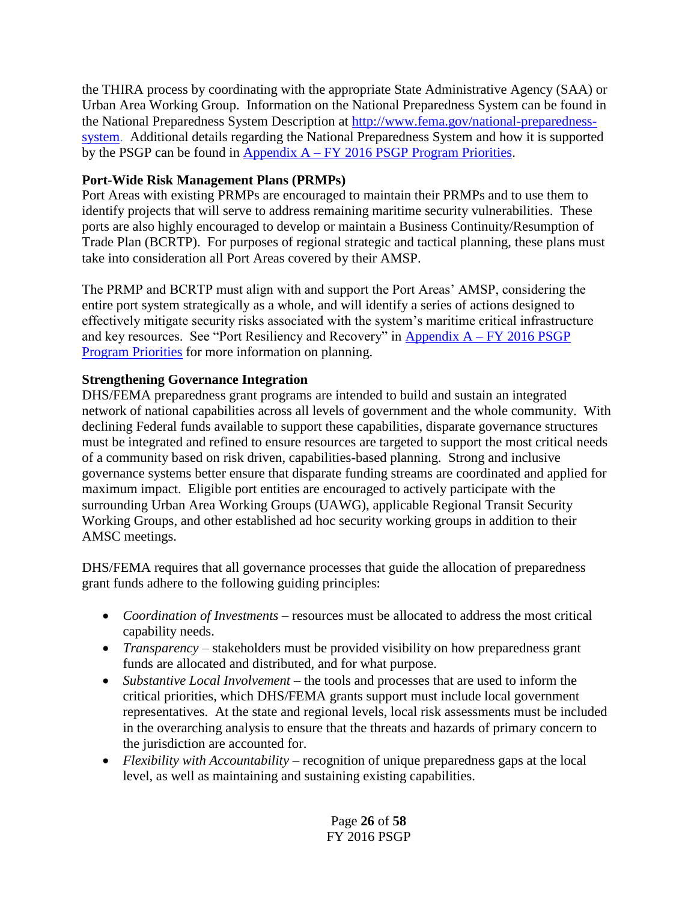the THIRA process by coordinating with the appropriate State Administrative Agency (SAA) or Urban Area Working Group. Information on the National Preparedness System can be found in the National Preparedness System Description at [http://www.fema.gov/national-preparedness](http://www.fema.gov/national-preparedness-system)[system.](http://www.fema.gov/national-preparedness-system) Additional details regarding the National Preparedness System and how it is supported by the PSGP can be found in Appendix  $A - FY$  2016 PSGP Program Priorities.

# **Port-Wide Risk Management Plans (PRMPs)**

Port Areas with existing PRMPs are encouraged to maintain their PRMPs and to use them to identify projects that will serve to address remaining maritime security vulnerabilities. These ports are also highly encouraged to develop or maintain a Business Continuity/Resumption of Trade Plan (BCRTP). For purposes of regional strategic and tactical planning, these plans must take into consideration all Port Areas covered by their AMSP.

The PRMP and BCRTP must align with and support the Port Areas' AMSP, considering the entire port system strategically as a whole, and will identify a series of actions designed to effectively mitigate security risks associated with the system's maritime critical infrastructure and key resources. See "Port Resiliency and Recovery" in  $\Delta$ ppendix  $A$  – FY 2016 PSGP [Program Priorities](#page-28-0) for more information on planning.

# **Strengthening Governance Integration**

DHS/FEMA preparedness grant programs are intended to build and sustain an integrated network of national capabilities across all levels of government and the whole community. With declining Federal funds available to support these capabilities, disparate governance structures must be integrated and refined to ensure resources are targeted to support the most critical needs of a community based on risk driven, capabilities-based planning. Strong and inclusive governance systems better ensure that disparate funding streams are coordinated and applied for maximum impact. Eligible port entities are encouraged to actively participate with the surrounding Urban Area Working Groups (UAWG), applicable Regional Transit Security Working Groups, and other established ad hoc security working groups in addition to their AMSC meetings.

DHS/FEMA requires that all governance processes that guide the allocation of preparedness grant funds adhere to the following guiding principles:

- *Coordination of Investments* resources must be allocated to address the most critical capability needs.
- *Transparency* stakeholders must be provided visibility on how preparedness grant funds are allocated and distributed, and for what purpose.
- *Substantive Local Involvement* the tools and processes that are used to inform the critical priorities, which DHS/FEMA grants support must include local government representatives. At the state and regional levels, local risk assessments must be included in the overarching analysis to ensure that the threats and hazards of primary concern to the jurisdiction are accounted for.
- *Flexibility with Accountability* recognition of unique preparedness gaps at the local level, as well as maintaining and sustaining existing capabilities.

Page **26** of **58** FY 2016 PSGP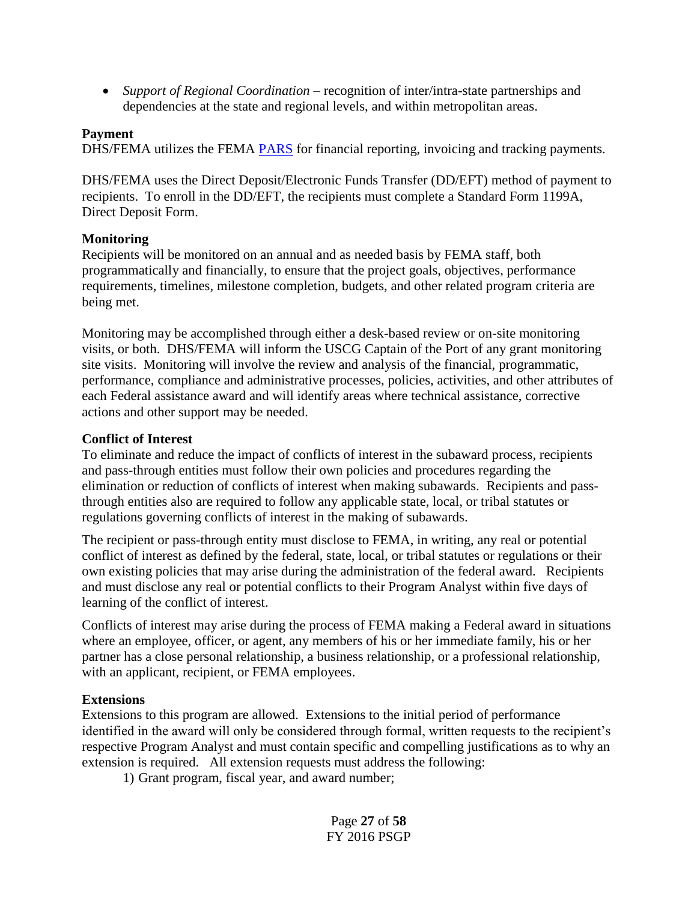*Support of Regional Coordination* – recognition of inter/intra-state partnerships and dependencies at the state and regional levels, and within metropolitan areas.

#### **Payment**

DHS/FEMA utilizes the FEMA **PARS** for financial reporting, invoicing and tracking payments.

DHS/FEMA uses the Direct Deposit/Electronic Funds Transfer (DD/EFT) method of payment to recipients. To enroll in the DD/EFT, the recipients must complete a Standard Form 1199A, Direct Deposit Form.

#### **Monitoring**

Recipients will be monitored on an annual and as needed basis by FEMA staff, both programmatically and financially, to ensure that the project goals, objectives, performance requirements, timelines, milestone completion, budgets, and other related program criteria are being met.

Monitoring may be accomplished through either a desk-based review or on-site monitoring visits, or both. DHS/FEMA will inform the USCG Captain of the Port of any grant monitoring site visits. Monitoring will involve the review and analysis of the financial, programmatic, performance, compliance and administrative processes, policies, activities, and other attributes of each Federal assistance award and will identify areas where technical assistance, corrective actions and other support may be needed.

#### **Conflict of Interest**

To eliminate and reduce the impact of conflicts of interest in the subaward process, recipients and pass-through entities must follow their own policies and procedures regarding the elimination or reduction of conflicts of interest when making subawards. Recipients and passthrough entities also are required to follow any applicable state, local, or tribal statutes or regulations governing conflicts of interest in the making of subawards.

The recipient or pass-through entity must disclose to FEMA, in writing, any real or potential conflict of interest as defined by the federal, state, local, or tribal statutes or regulations or their own existing policies that may arise during the administration of the federal award. Recipients and must disclose any real or potential conflicts to their Program Analyst within five days of learning of the conflict of interest.

Conflicts of interest may arise during the process of FEMA making a Federal award in situations where an employee, officer, or agent, any members of his or her immediate family, his or her partner has a close personal relationship, a business relationship, or a professional relationship, with an applicant, recipient, or FEMA employees.

#### **Extensions**

Extensions to this program are allowed. Extensions to the initial period of performance identified in the award will only be considered through formal, written requests to the recipient's respective Program Analyst and must contain specific and compelling justifications as to why an extension is required. All extension requests must address the following:

1) Grant program, fiscal year, and award number;

Page **27** of **58** FY 2016 PSGP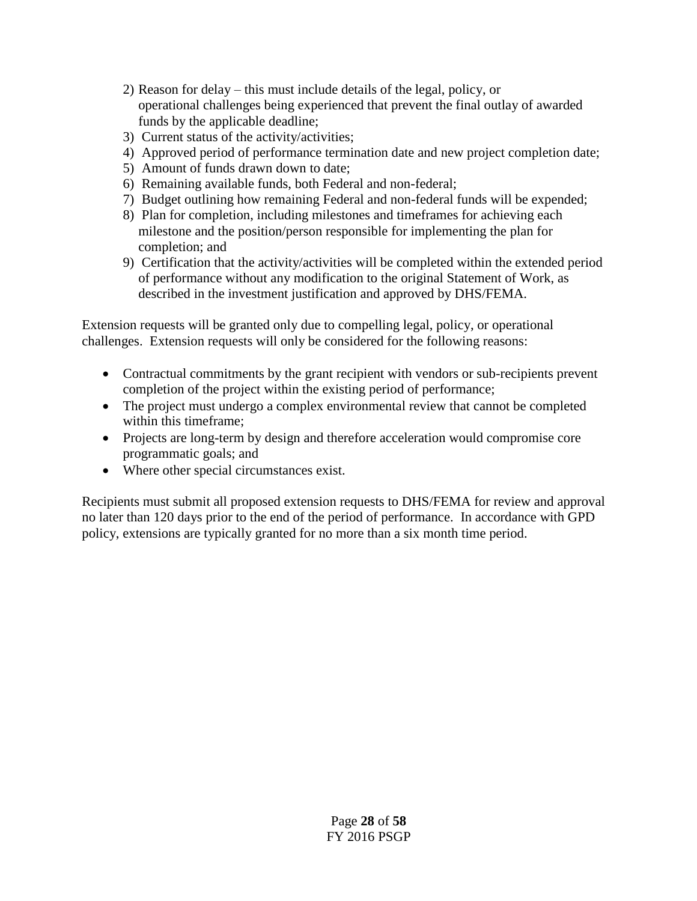- 2) Reason for delay this must include details of the legal, policy, or operational challenges being experienced that prevent the final outlay of awarded funds by the applicable deadline;
- 3) Current status of the activity/activities;
- 4) Approved period of performance termination date and new project completion date;
- 5) Amount of funds drawn down to date;
- 6) Remaining available funds, both Federal and non-federal;
- 7) Budget outlining how remaining Federal and non-federal funds will be expended;
- 8) Plan for completion, including milestones and timeframes for achieving each milestone and the position/person responsible for implementing the plan for completion; and
- 9) Certification that the activity/activities will be completed within the extended period of performance without any modification to the original Statement of Work, as described in the investment justification and approved by DHS/FEMA.

Extension requests will be granted only due to compelling legal, policy, or operational challenges. Extension requests will only be considered for the following reasons:

- Contractual commitments by the grant recipient with vendors or sub-recipients prevent completion of the project within the existing period of performance;
- The project must undergo a complex environmental review that cannot be completed within this timeframe;
- Projects are long-term by design and therefore acceleration would compromise core programmatic goals; and
- Where other special circumstances exist.

Recipients must submit all proposed extension requests to DHS/FEMA for review and approval no later than 120 days prior to the end of the period of performance. In accordance with GPD policy, extensions are typically granted for no more than a six month time period.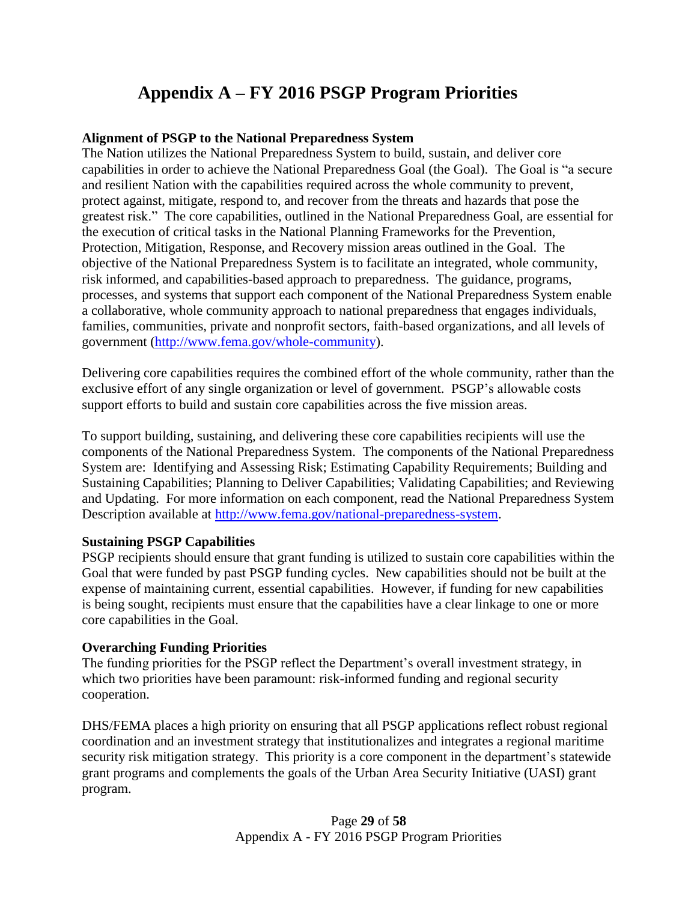# **Appendix A – FY 2016 PSGP Program Priorities**

## <span id="page-28-0"></span>**Alignment of PSGP to the National Preparedness System**

The Nation utilizes the National Preparedness System to build, sustain, and deliver core capabilities in order to achieve the National Preparedness Goal (the Goal). The Goal is "a secure and resilient Nation with the capabilities required across the whole community to prevent, protect against, mitigate, respond to, and recover from the threats and hazards that pose the greatest risk." The core capabilities, outlined in the National Preparedness Goal, are essential for the execution of critical tasks in the National Planning Frameworks for the Prevention, Protection, Mitigation, Response, and Recovery mission areas outlined in the Goal. The objective of the National Preparedness System is to facilitate an integrated, whole community, risk informed, and capabilities-based approach to preparedness. The guidance, programs, processes, and systems that support each component of the National Preparedness System enable a collaborative, whole community approach to national preparedness that engages individuals, families, communities, private and nonprofit sectors, faith-based organizations, and all levels of government [\(http://www.fema.gov/whole-community\)](http://www.fema.gov/whole-community).

Delivering core capabilities requires the combined effort of the whole community, rather than the exclusive effort of any single organization or level of government. PSGP's allowable costs support efforts to build and sustain core capabilities across the five mission areas.

To support building, sustaining, and delivering these core capabilities recipients will use the components of the National Preparedness System. The components of the National Preparedness System are: Identifying and Assessing Risk; Estimating Capability Requirements; Building and Sustaining Capabilities; Planning to Deliver Capabilities; Validating Capabilities; and Reviewing and Updating. For more information on each component, read the National Preparedness System Description available at [http://www.fema.gov/national-preparedness-system.](http://www.fema.gov/national-preparedness-system)

## **Sustaining PSGP Capabilities**

PSGP recipients should ensure that grant funding is utilized to sustain core capabilities within the Goal that were funded by past PSGP funding cycles. New capabilities should not be built at the expense of maintaining current, essential capabilities. However, if funding for new capabilities is being sought, recipients must ensure that the capabilities have a clear linkage to one or more core capabilities in the Goal.

## **Overarching Funding Priorities**

The funding priorities for the PSGP reflect the Department's overall investment strategy, in which two priorities have been paramount: risk-informed funding and regional security cooperation.

DHS/FEMA places a high priority on ensuring that all PSGP applications reflect robust regional coordination and an investment strategy that institutionalizes and integrates a regional maritime security risk mitigation strategy. This priority is a core component in the department's statewide grant programs and complements the goals of the Urban Area Security Initiative (UASI) grant program.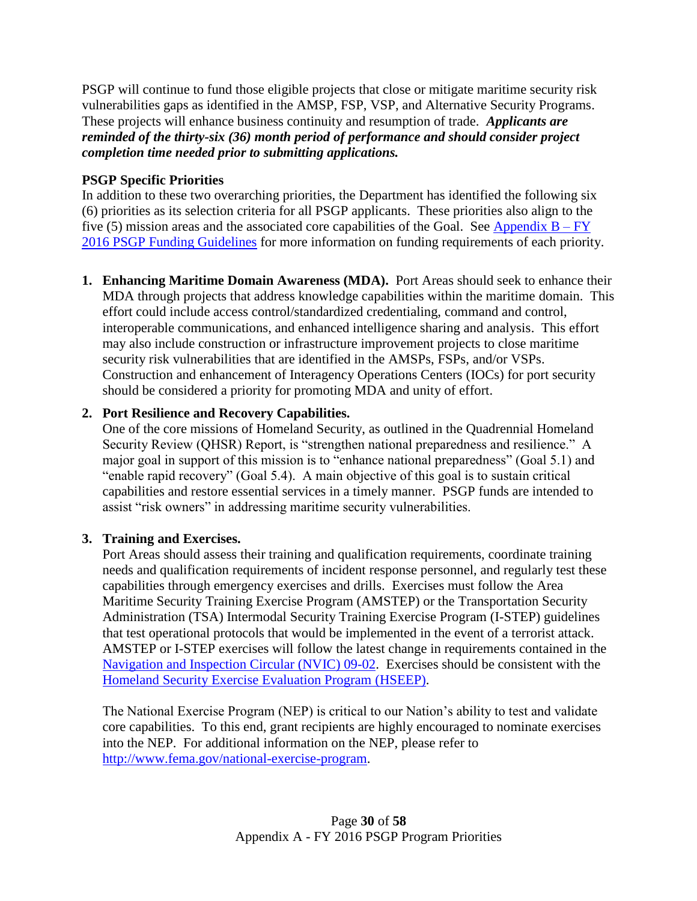PSGP will continue to fund those eligible projects that close or mitigate maritime security risk vulnerabilities gaps as identified in the AMSP, FSP, VSP, and Alternative Security Programs. These projects will enhance business continuity and resumption of trade. *Applicants are reminded of the thirty-six (36) month period of performance and should consider project completion time needed prior to submitting applications.*

# **PSGP Specific Priorities**

In addition to these two overarching priorities, the Department has identified the following six (6) priorities as its selection criteria for all PSGP applicants. These priorities also align to the five (5) mission areas and the associated core capabilities of the Goal. See [Appendix](#page-32-0)  $B - FY$ [2016 PSGP Funding Guidelines](#page-32-0) for more information on funding requirements of each priority.

**1. Enhancing Maritime Domain Awareness (MDA).** Port Areas should seek to enhance their MDA through projects that address knowledge capabilities within the maritime domain. This effort could include access control/standardized credentialing, command and control, interoperable communications, and enhanced intelligence sharing and analysis. This effort may also include construction or infrastructure improvement projects to close maritime security risk vulnerabilities that are identified in the AMSPs, FSPs, and/or VSPs. Construction and enhancement of Interagency Operations Centers (IOCs) for port security should be considered a priority for promoting MDA and unity of effort.

# **2. Port Resilience and Recovery Capabilities.**

One of the core missions of Homeland Security, as outlined in the Quadrennial Homeland Security Review (QHSR) Report, is "strengthen national preparedness and resilience." A major goal in support of this mission is to "enhance national preparedness" (Goal 5.1) and "enable rapid recovery" (Goal 5.4). A main objective of this goal is to sustain critical capabilities and restore essential services in a timely manner. PSGP funds are intended to assist "risk owners" in addressing maritime security vulnerabilities.

# **3. Training and Exercises.**

Port Areas should assess their training and qualification requirements, coordinate training needs and qualification requirements of incident response personnel, and regularly test these capabilities through emergency exercises and drills. Exercises must follow the Area Maritime Security Training Exercise Program (AMSTEP) or the Transportation Security Administration (TSA) Intermodal Security Training Exercise Program (I-STEP) guidelines that test operational protocols that would be implemented in the event of a terrorist attack. AMSTEP or I-STEP exercises will follow the latest change in requirements contained in the [Navigation and Inspection Circular \(NVIC\) 09-02.](http://www.uscg.mil/hq/cg5/nvic/2000s.ASP) Exercises should be consistent with the [Homeland Security Exercise Evaluation Program \(HSEEP\).](https://www.fema.gov/exercise)

The National Exercise Program (NEP) is critical to our Nation's ability to test and validate core capabilities. To this end, grant recipients are highly encouraged to nominate exercises into the NEP. For additional information on the NEP, please refer to [http://www.fema.gov/national-exercise-program.](http://www.fema.gov/national-exercise-program)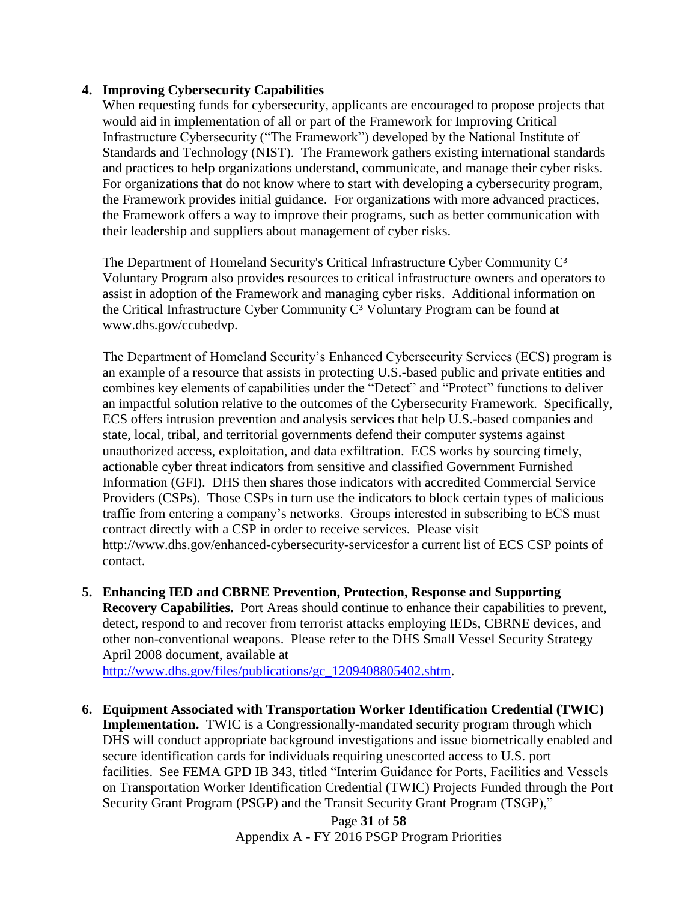#### **4. Improving Cybersecurity Capabilities**

When requesting funds for cybersecurity, applicants are encouraged to propose projects that would aid in implementation of all or part of the Framework for Improving Critical Infrastructure Cybersecurity ("The Framework") developed by the National Institute of Standards and Technology (NIST). The Framework gathers existing international standards and practices to help organizations understand, communicate, and manage their cyber risks. For organizations that do not know where to start with developing a cybersecurity program, the Framework provides initial guidance. For organizations with more advanced practices, the Framework offers a way to improve their programs, such as better communication with their leadership and suppliers about management of cyber risks.

The Department of Homeland Security's Critical Infrastructure Cyber Community C<sup>3</sup> Voluntary Program also provides resources to critical infrastructure owners and operators to assist in adoption of the Framework and managing cyber risks. Additional information on the Critical Infrastructure Cyber Community  $C<sup>3</sup>$  Voluntary Program can be found at www.dhs.gov/ccubedvp.

The Department of Homeland Security's Enhanced Cybersecurity Services (ECS) program is an example of a resource that assists in protecting U.S.-based public and private entities and combines key elements of capabilities under the "Detect" and "Protect" functions to deliver an impactful solution relative to the outcomes of the Cybersecurity Framework. Specifically, ECS offers intrusion prevention and analysis services that help U.S.-based companies and state, local, tribal, and territorial governments defend their computer systems against unauthorized access, exploitation, and data exfiltration. ECS works by sourcing timely, actionable cyber threat indicators from sensitive and classified Government Furnished Information (GFI). DHS then shares those indicators with accredited Commercial Service Providers (CSPs). Those CSPs in turn use the indicators to block certain types of malicious traffic from entering a company's networks. Groups interested in subscribing to ECS must contract directly with a CSP in order to receive services. Please visit http://www.dhs.gov/enhanced-cybersecurity-servicesfor a current list of ECS CSP points of contact.

**5. Enhancing IED and CBRNE Prevention, Protection, Response and Supporting Recovery Capabilities.** Port Areas should continue to enhance their capabilities to prevent, detect, respond to and recover from terrorist attacks employing IEDs, CBRNE devices, and other non-conventional weapons. Please refer to the DHS Small Vessel Security Strategy April 2008 document, available at

[http://www.dhs.gov/files/publications/gc\\_1209408805402.shtm.](http://www.dhs.gov/files/publications/gc_1209408805402.shtm)

**6. Equipment Associated with Transportation Worker Identification Credential (TWIC) Implementation.** TWIC is a Congressionally-mandated security program through which DHS will conduct appropriate background investigations and issue biometrically enabled and secure identification cards for individuals requiring unescorted access to U.S. port facilities. See FEMA GPD IB 343, titled "Interim Guidance for Ports, Facilities and Vessels on Transportation Worker Identification Credential (TWIC) Projects Funded through the Port Security Grant Program (PSGP) and the Transit Security Grant Program (TSGP),"

Page **31** of **58** Appendix A - FY 2016 PSGP Program Priorities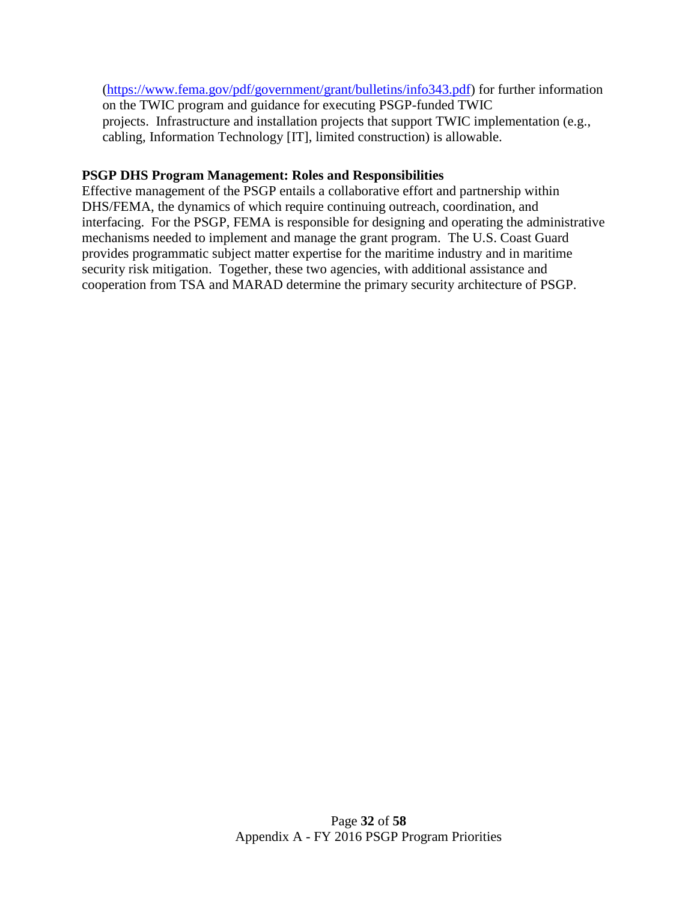[\(https://www.fema.gov/pdf/government/grant/bulletins/info343.pdf\)](https://www.fema.gov/pdf/government/grant/bulletins/info343.pdf) for further information on the TWIC program and guidance for executing PSGP-funded TWIC projects. Infrastructure and installation projects that support TWIC implementation (e.g., cabling, Information Technology [IT], limited construction) is allowable.

#### **PSGP DHS Program Management: Roles and Responsibilities**

Effective management of the PSGP entails a collaborative effort and partnership within DHS/FEMA, the dynamics of which require continuing outreach, coordination, and interfacing. For the PSGP, FEMA is responsible for designing and operating the administrative mechanisms needed to implement and manage the grant program. The U.S. Coast Guard provides programmatic subject matter expertise for the maritime industry and in maritime security risk mitigation. Together, these two agencies, with additional assistance and cooperation from TSA and MARAD determine the primary security architecture of PSGP.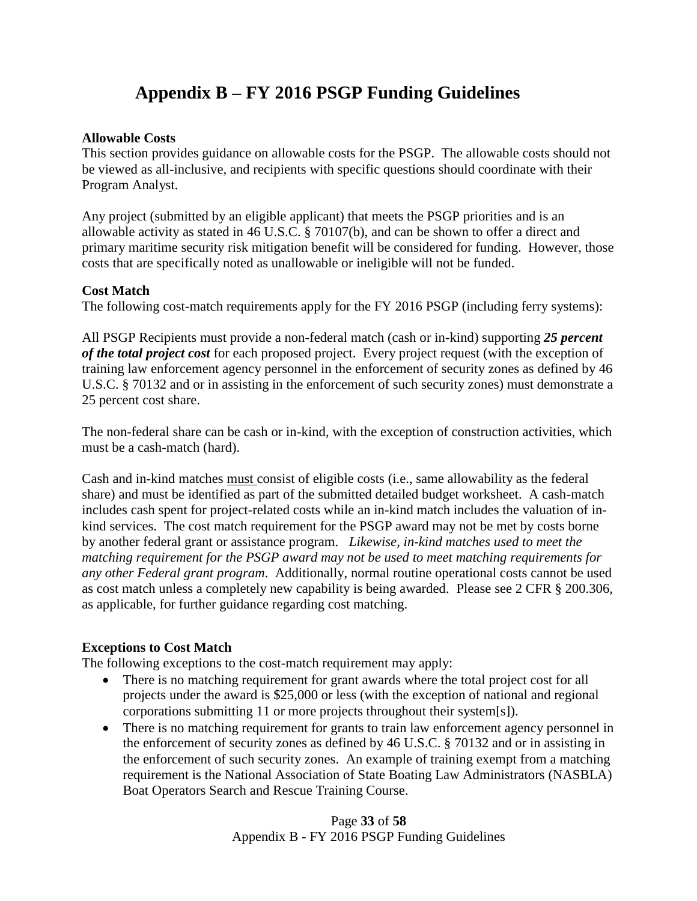# **Appendix B – FY 2016 PSGP Funding Guidelines**

#### <span id="page-32-0"></span>**Allowable Costs**

This section provides guidance on allowable costs for the PSGP. The allowable costs should not be viewed as all-inclusive, and recipients with specific questions should coordinate with their Program Analyst.

Any project (submitted by an eligible applicant) that meets the PSGP priorities and is an allowable activity as stated in 46 U.S.C. § 70107(b), and can be shown to offer a direct and primary maritime security risk mitigation benefit will be considered for funding. However, those costs that are specifically noted as unallowable or ineligible will not be funded.

## **Cost Match**

The following cost-match requirements apply for the FY 2016 PSGP (including ferry systems):

All PSGP Recipients must provide a non-federal match (cash or in-kind) supporting *25 percent of the total project cost* for each proposed project. Every project request (with the exception of training law enforcement agency personnel in the enforcement of security zones as defined by 46 U.S.C. § 70132 and or in assisting in the enforcement of such security zones) must demonstrate a 25 percent cost share.

The non-federal share can be cash or in-kind, with the exception of construction activities, which must be a cash-match (hard).

Cash and in-kind matches must consist of eligible costs (i.e., same allowability as the federal share) and must be identified as part of the submitted detailed budget worksheet. A cash-match includes cash spent for project-related costs while an in-kind match includes the valuation of inkind services. The cost match requirement for the PSGP award may not be met by costs borne by another federal grant or assistance program. *Likewise, in-kind matches used to meet the matching requirement for the PSGP award may not be used to meet matching requirements for any other Federal grant program*. Additionally, normal routine operational costs cannot be used as cost match unless a completely new capability is being awarded. Please see 2 CFR § 200.306, as applicable, for further guidance regarding cost matching.

## **Exceptions to Cost Match**

The following exceptions to the cost-match requirement may apply:

- There is no matching requirement for grant awards where the total project cost for all projects under the award is \$25,000 or less (with the exception of national and regional corporations submitting 11 or more projects throughout their system[s]).
- There is no matching requirement for grants to train law enforcement agency personnel in the enforcement of security zones as defined by 46 U.S.C. § 70132 and or in assisting in the enforcement of such security zones. An example of training exempt from a matching requirement is the National Association of State Boating Law Administrators (NASBLA) Boat Operators Search and Rescue Training Course.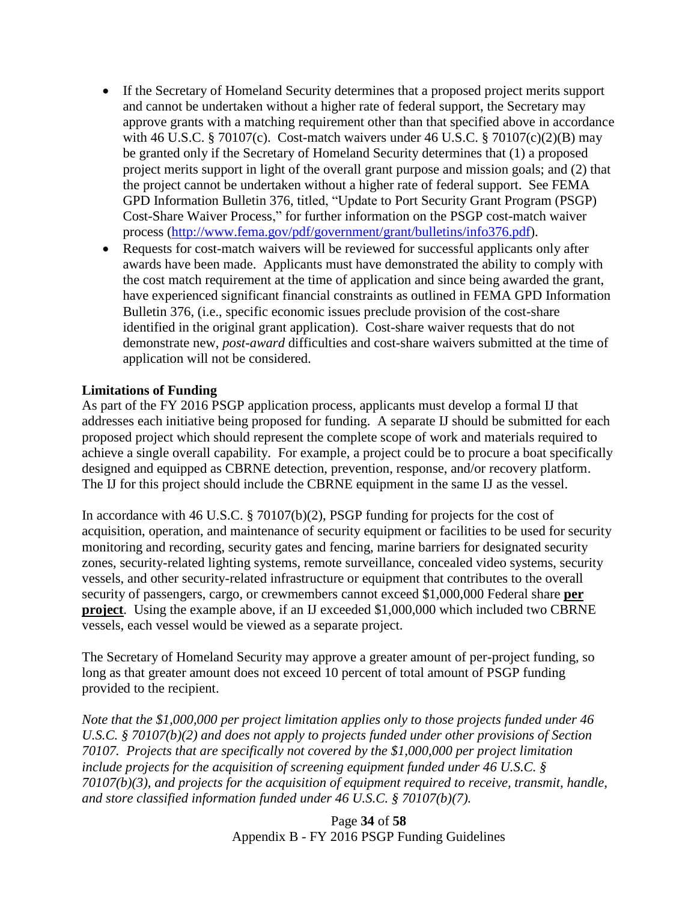- If the Secretary of Homeland Security determines that a proposed project merits support and cannot be undertaken without a higher rate of federal support, the Secretary may approve grants with a matching requirement other than that specified above in accordance with 46 U.S.C. § 70107(c). Cost-match waivers under 46 U.S.C. § 70107(c)(2)(B) may be granted only if the Secretary of Homeland Security determines that (1) a proposed project merits support in light of the overall grant purpose and mission goals; and (2) that the project cannot be undertaken without a higher rate of federal support. See FEMA GPD Information Bulletin 376, titled, "Update to Port Security Grant Program (PSGP) Cost-Share Waiver Process," for further information on the PSGP cost-match waiver process [\(http://www.fema.gov/pdf/government/grant/bulletins/info376.pdf\)](http://www.fema.gov/pdf/government/grant/bulletins/info376.pdf).
- Requests for cost-match waivers will be reviewed for successful applicants only after awards have been made. Applicants must have demonstrated the ability to comply with the cost match requirement at the time of application and since being awarded the grant, have experienced significant financial constraints as outlined in FEMA GPD Information Bulletin 376, (i.e., specific economic issues preclude provision of the cost-share identified in the original grant application). Cost-share waiver requests that do not demonstrate new, *post-award* difficulties and cost-share waivers submitted at the time of application will not be considered.

#### **Limitations of Funding**

As part of the FY 2016 PSGP application process, applicants must develop a formal IJ that addresses each initiative being proposed for funding. A separate IJ should be submitted for each proposed project which should represent the complete scope of work and materials required to achieve a single overall capability. For example, a project could be to procure a boat specifically designed and equipped as CBRNE detection, prevention, response, and/or recovery platform. The IJ for this project should include the CBRNE equipment in the same IJ as the vessel.

In accordance with 46 U.S.C. § 70107(b)(2), PSGP funding for projects for the cost of acquisition, operation, and maintenance of security equipment or facilities to be used for security monitoring and recording, security gates and fencing, marine barriers for designated security zones, security-related lighting systems, remote surveillance, concealed video systems, security vessels, and other security-related infrastructure or equipment that contributes to the overall security of passengers, cargo, or crewmembers cannot exceed \$1,000,000 Federal share **per project**. Using the example above, if an IJ exceeded \$1,000,000 which included two CBRNE vessels, each vessel would be viewed as a separate project.

The Secretary of Homeland Security may approve a greater amount of per-project funding, so long as that greater amount does not exceed 10 percent of total amount of PSGP funding provided to the recipient.

*Note that the \$1,000,000 per project limitation applies only to those projects funded under 46 U.S.C. § 70107(b)(2) and does not apply to projects funded under other provisions of Section 70107. Projects that are specifically not covered by the \$1,000,000 per project limitation include projects for the acquisition of screening equipment funded under 46 U.S.C. § 70107(b)(3), and projects for the acquisition of equipment required to receive, transmit, handle, and store classified information funded under 46 U.S.C. § 70107(b)(7).*

> Page **34** of **58** Appendix B - FY 2016 PSGP Funding Guidelines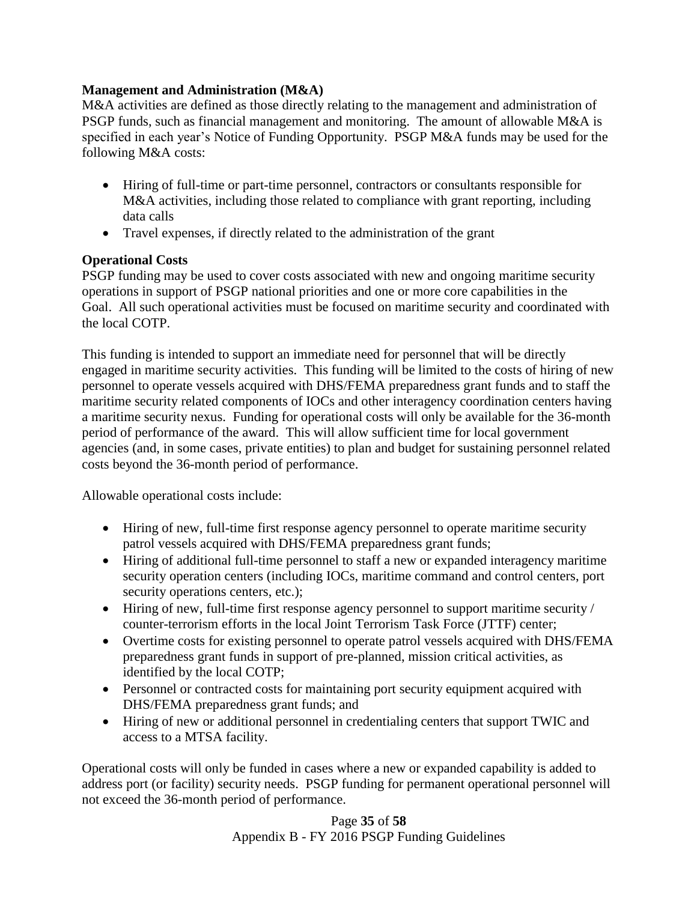### **Management and Administration (M&A)**

M&A activities are defined as those directly relating to the management and administration of PSGP funds, such as financial management and monitoring. The amount of allowable M&A is specified in each year's Notice of Funding Opportunity. PSGP M&A funds may be used for the following M&A costs:

- Hiring of full-time or part-time personnel, contractors or consultants responsible for M&A activities, including those related to compliance with grant reporting, including data calls
- Travel expenses, if directly related to the administration of the grant

# **Operational Costs**

PSGP funding may be used to cover costs associated with new and ongoing maritime security operations in support of PSGP national priorities and one or more core capabilities in the Goal. All such operational activities must be focused on maritime security and coordinated with the local COTP.

This funding is intended to support an immediate need for personnel that will be directly engaged in maritime security activities. This funding will be limited to the costs of hiring of new personnel to operate vessels acquired with DHS/FEMA preparedness grant funds and to staff the maritime security related components of IOCs and other interagency coordination centers having a maritime security nexus. Funding for operational costs will only be available for the 36-month period of performance of the award. This will allow sufficient time for local government agencies (and, in some cases, private entities) to plan and budget for sustaining personnel related costs beyond the 36-month period of performance.

Allowable operational costs include:

- Hiring of new, full-time first response agency personnel to operate maritime security patrol vessels acquired with DHS/FEMA preparedness grant funds;
- Hiring of additional full-time personnel to staff a new or expanded interagency maritime security operation centers (including IOCs, maritime command and control centers, port security operations centers, etc.);
- Hiring of new, full-time first response agency personnel to support maritime security / counter-terrorism efforts in the local Joint Terrorism Task Force (JTTF) center;
- Overtime costs for existing personnel to operate patrol vessels acquired with DHS/FEMA preparedness grant funds in support of pre-planned, mission critical activities, as identified by the local COTP;
- Personnel or contracted costs for maintaining port security equipment acquired with DHS/FEMA preparedness grant funds; and
- Hiring of new or additional personnel in credentialing centers that support TWIC and access to a MTSA facility.

Operational costs will only be funded in cases where a new or expanded capability is added to address port (or facility) security needs. PSGP funding for permanent operational personnel will not exceed the 36-month period of performance.

> Page **35** of **58** Appendix B - FY 2016 PSGP Funding Guidelines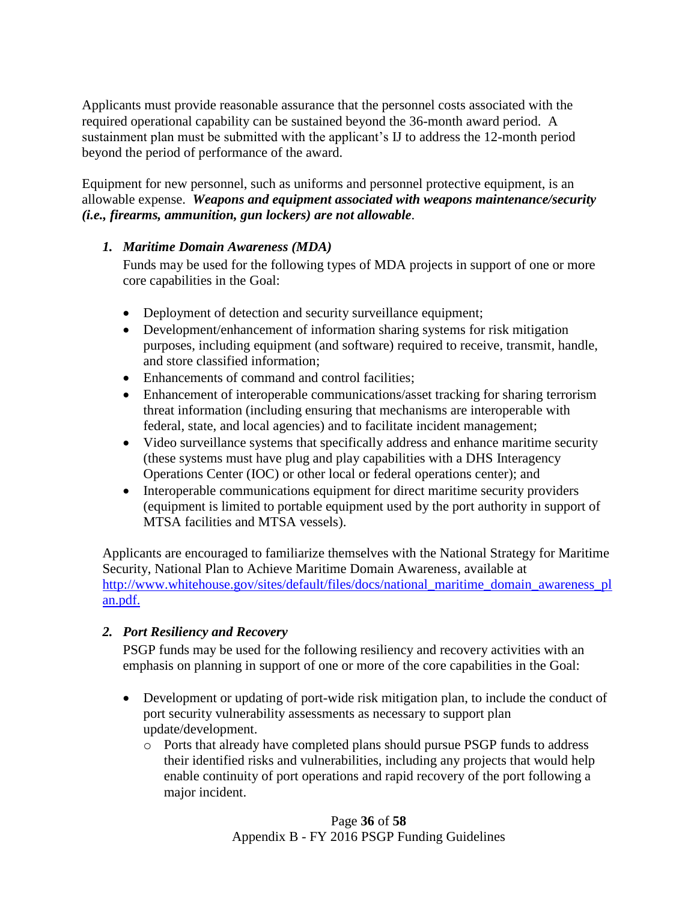Applicants must provide reasonable assurance that the personnel costs associated with the required operational capability can be sustained beyond the 36-month award period. A sustainment plan must be submitted with the applicant's IJ to address the 12-month period beyond the period of performance of the award.

Equipment for new personnel, such as uniforms and personnel protective equipment, is an allowable expense. *Weapons and equipment associated with weapons maintenance/security (i.e., firearms, ammunition, gun lockers) are not allowable*.

## *1. Maritime Domain Awareness (MDA)*

Funds may be used for the following types of MDA projects in support of one or more core capabilities in the Goal:

- Deployment of detection and security surveillance equipment;
- Development/enhancement of information sharing systems for risk mitigation purposes, including equipment (and software) required to receive, transmit, handle, and store classified information;
- Enhancements of command and control facilities:
- Enhancement of interoperable communications/asset tracking for sharing terrorism threat information (including ensuring that mechanisms are interoperable with federal, state, and local agencies) and to facilitate incident management;
- Video surveillance systems that specifically address and enhance maritime security (these systems must have plug and play capabilities with a DHS Interagency Operations Center (IOC) or other local or federal operations center); and
- Interoperable communications equipment for direct maritime security providers (equipment is limited to portable equipment used by the port authority in support of MTSA facilities and MTSA vessels).

Applicants are encouraged to familiarize themselves with the National Strategy for Maritime Security, National Plan to Achieve Maritime Domain Awareness, available at [http://www.whitehouse.gov/sites/default/files/docs/national\\_maritime\\_domain\\_awareness\\_pl](http://www.whitehouse.gov/sites/default/files/docs/national_maritime_domain_awareness_plan.pdf) [an.pdf.](http://www.whitehouse.gov/sites/default/files/docs/national_maritime_domain_awareness_plan.pdf)

# *2. Port Resiliency and Recovery*

PSGP funds may be used for the following resiliency and recovery activities with an emphasis on planning in support of one or more of the core capabilities in the Goal:

- Development or updating of port-wide risk mitigation plan, to include the conduct of port security vulnerability assessments as necessary to support plan update/development.
	- o Ports that already have completed plans should pursue PSGP funds to address their identified risks and vulnerabilities, including any projects that would help enable continuity of port operations and rapid recovery of the port following a major incident.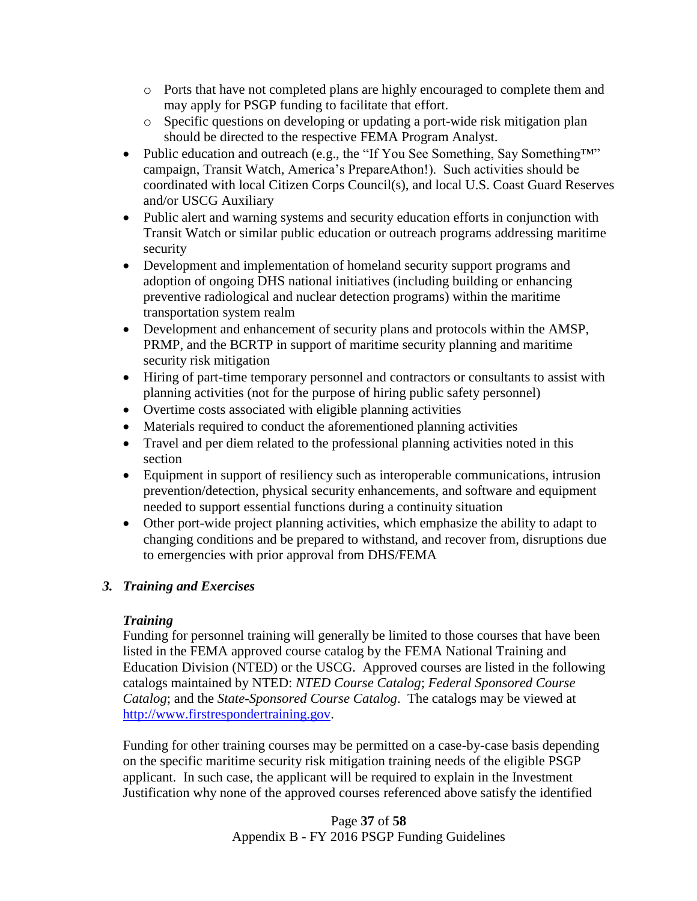- o Ports that have not completed plans are highly encouraged to complete them and may apply for PSGP funding to facilitate that effort.
- o Specific questions on developing or updating a port-wide risk mitigation plan should be directed to the respective FEMA Program Analyst.
- Public education and outreach (e.g., the "If You See Something, Say Something™" campaign, Transit Watch, America's PrepareAthon!). Such activities should be coordinated with local Citizen Corps Council(s), and local U.S. Coast Guard Reserves and/or USCG Auxiliary
- Public alert and warning systems and security education efforts in conjunction with Transit Watch or similar public education or outreach programs addressing maritime security
- Development and implementation of homeland security support programs and adoption of ongoing DHS national initiatives (including building or enhancing preventive radiological and nuclear detection programs) within the maritime transportation system realm
- Development and enhancement of security plans and protocols within the AMSP, PRMP, and the BCRTP in support of maritime security planning and maritime security risk mitigation
- Hiring of part-time temporary personnel and contractors or consultants to assist with planning activities (not for the purpose of hiring public safety personnel)
- Overtime costs associated with eligible planning activities
- Materials required to conduct the aforementioned planning activities
- Travel and per diem related to the professional planning activities noted in this section
- Equipment in support of resiliency such as interoperable communications, intrusion prevention/detection, physical security enhancements, and software and equipment needed to support essential functions during a continuity situation
- Other port-wide project planning activities, which emphasize the ability to adapt to changing conditions and be prepared to withstand, and recover from, disruptions due to emergencies with prior approval from DHS/FEMA

# *3. Training and Exercises*

# *Training*

Funding for personnel training will generally be limited to those courses that have been listed in the FEMA approved course catalog by the FEMA National Training and Education Division (NTED) or the USCG. Approved courses are listed in the following catalogs maintained by NTED: *NTED Course Catalog*; *Federal Sponsored Course Catalog*; and the *State-Sponsored Course Catalog*. The catalogs may be viewed at [http://www.firstrespondertraining.gov.](http://www.firstrespondertraining.gov/)

Funding for other training courses may be permitted on a case-by-case basis depending on the specific maritime security risk mitigation training needs of the eligible PSGP applicant. In such case, the applicant will be required to explain in the Investment Justification why none of the approved courses referenced above satisfy the identified

> Page **37** of **58** Appendix B - FY 2016 PSGP Funding Guidelines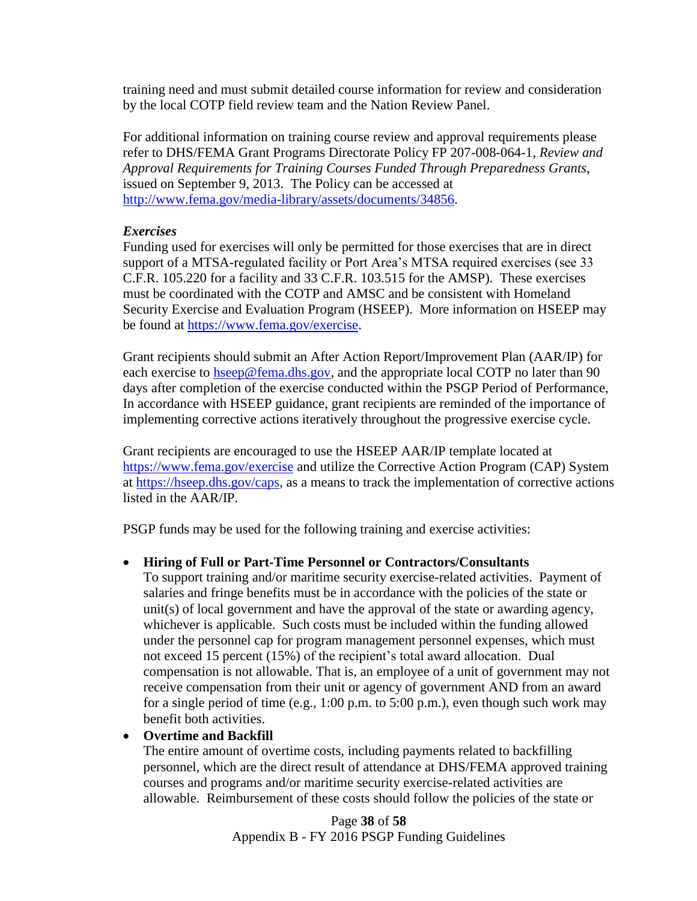training need and must submit detailed course information for review and consideration by the local COTP field review team and the Nation Review Panel.

For additional information on training course review and approval requirements please refer to DHS/FEMA Grant Programs Directorate Policy FP 207-008-064-1, *Review and Approval Requirements for Training Courses Funded Through Preparedness Grants*, issued on September 9, 2013. The Policy can be accessed at [http://www.fema.gov/media-library/assets/documents/34856.](http://www.fema.gov/media-library/assets/documents/34856)

#### *Exercises*

Funding used for exercises will only be permitted for those exercises that are in direct support of a MTSA-regulated facility or Port Area's MTSA required exercises (see 33 C.F.R. 105.220 for a facility and 33 C.F.R. 103.515 for the AMSP). These exercises must be coordinated with the COTP and AMSC and be consistent with Homeland Security Exercise and Evaluation Program (HSEEP). More information on HSEEP may be found at [https://www.fema.gov/exercise.](https://www.fema.gov/exercise)

Grant recipients should submit an After Action Report/Improvement Plan (AAR/IP) for each exercise to [hseep@fema.dhs.gov,](file://HQEI3FR7/GPDShare/FY%202015%20Grant%20Programs/PSGP/FOA%20Development/hseep@fema.dhs.gov) and the appropriate local COTP no later than 90 days after completion of the exercise conducted within the PSGP Period of Performance, In accordance with HSEEP guidance, grant recipients are reminded of the importance of implementing corrective actions iteratively throughout the progressive exercise cycle.

Grant recipients are encouraged to use the HSEEP AAR/IP template located at <https://www.fema.gov/exercise> and utilize the Corrective Action Program (CAP) System at [https://hseep.dhs.gov/caps,](https://hseep.dhs.gov/caps) as a means to track the implementation of corrective actions listed in the AAR/IP.

PSGP funds may be used for the following training and exercise activities:

## **Hiring of Full or Part-Time Personnel or Contractors/Consultants**

To support training and/or maritime security exercise-related activities. Payment of salaries and fringe benefits must be in accordance with the policies of the state or unit(s) of local government and have the approval of the state or awarding agency, whichever is applicable. Such costs must be included within the funding allowed under the personnel cap for program management personnel expenses, which must not exceed 15 percent (15%) of the recipient's total award allocation. Dual compensation is not allowable. That is, an employee of a unit of government may not receive compensation from their unit or agency of government AND from an award for a single period of time (e.g., 1:00 p.m. to 5:00 p.m.), even though such work may benefit both activities.

## **Overtime and Backfill**

The entire amount of overtime costs, including payments related to backfilling personnel, which are the direct result of attendance at DHS/FEMA approved training courses and programs and/or maritime security exercise-related activities are allowable. Reimbursement of these costs should follow the policies of the state or

> Page **38** of **58** Appendix B - FY 2016 PSGP Funding Guidelines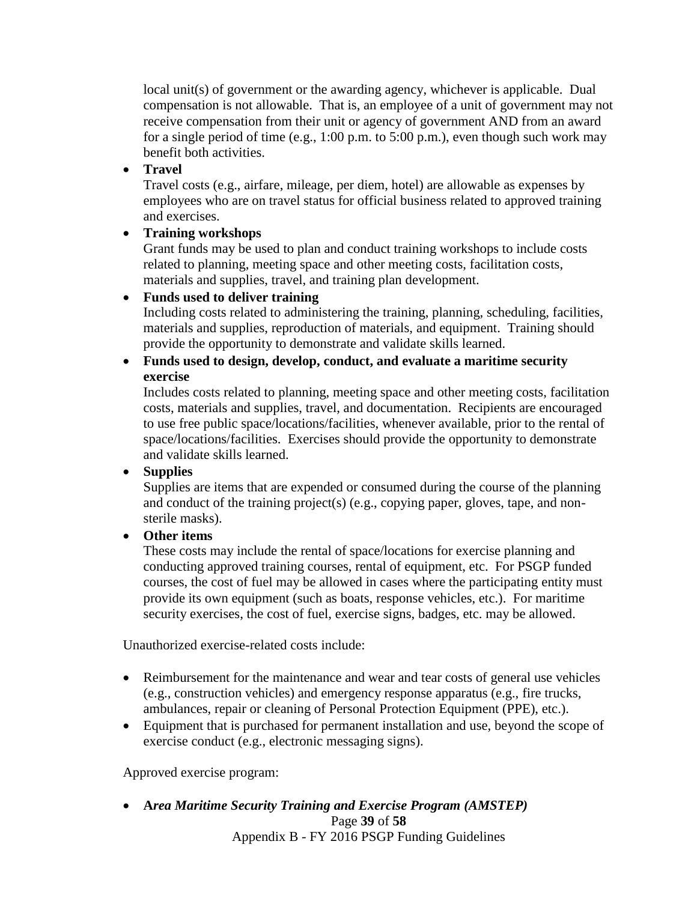local unit(s) of government or the awarding agency, whichever is applicable. Dual compensation is not allowable. That is, an employee of a unit of government may not receive compensation from their unit or agency of government AND from an award for a single period of time (e.g., 1:00 p.m. to 5:00 p.m.), even though such work may benefit both activities.

# **Travel**

Travel costs (e.g., airfare, mileage, per diem, hotel) are allowable as expenses by employees who are on travel status for official business related to approved training and exercises.

# **Training workshops**

Grant funds may be used to plan and conduct training workshops to include costs related to planning, meeting space and other meeting costs, facilitation costs, materials and supplies, travel, and training plan development.

# **Funds used to deliver training**

Including costs related to administering the training, planning, scheduling, facilities, materials and supplies, reproduction of materials, and equipment. Training should provide the opportunity to demonstrate and validate skills learned.

## **Funds used to design, develop, conduct, and evaluate a maritime security exercise**

Includes costs related to planning, meeting space and other meeting costs, facilitation costs, materials and supplies, travel, and documentation. Recipients are encouraged to use free public space/locations/facilities, whenever available, prior to the rental of space/locations/facilities. Exercises should provide the opportunity to demonstrate and validate skills learned.

**Supplies**

Supplies are items that are expended or consumed during the course of the planning and conduct of the training project(s) (e.g., copying paper, gloves, tape, and nonsterile masks).

# **Other items**

These costs may include the rental of space/locations for exercise planning and conducting approved training courses, rental of equipment, etc. For PSGP funded courses, the cost of fuel may be allowed in cases where the participating entity must provide its own equipment (such as boats, response vehicles, etc.). For maritime security exercises, the cost of fuel, exercise signs, badges, etc. may be allowed.

Unauthorized exercise-related costs include:

- Reimbursement for the maintenance and wear and tear costs of general use vehicles (e.g., construction vehicles) and emergency response apparatus (e.g., fire trucks, ambulances, repair or cleaning of Personal Protection Equipment (PPE), etc.).
- Equipment that is purchased for permanent installation and use, beyond the scope of exercise conduct (e.g., electronic messaging signs).

Approved exercise program:

**A***rea Maritime Security Training and Exercise Program (AMSTEP)*

Page **39** of **58**

Appendix B - FY 2016 PSGP Funding Guidelines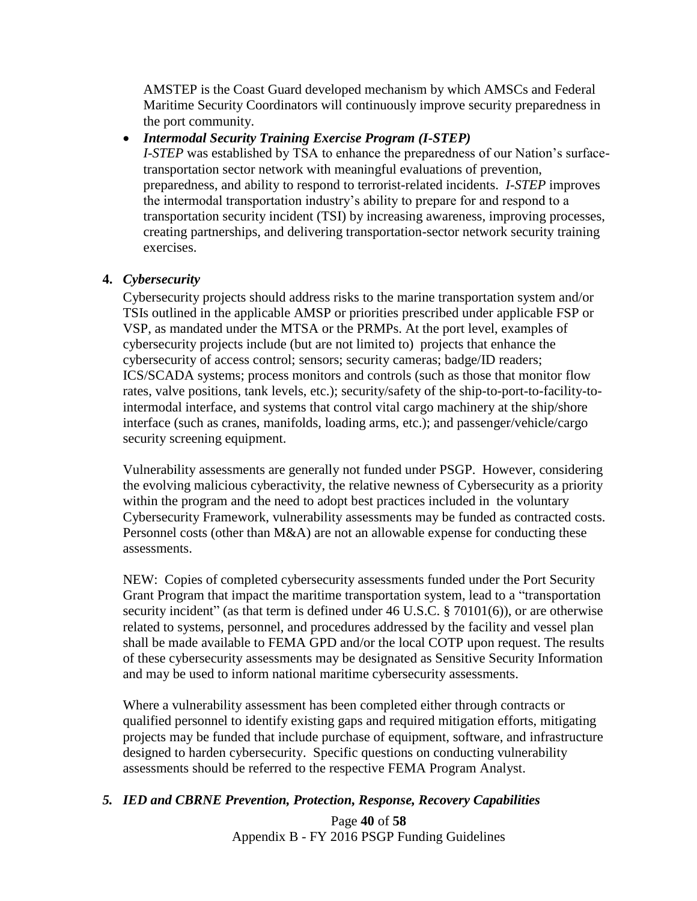AMSTEP is the Coast Guard developed mechanism by which AMSCs and Federal Maritime Security Coordinators will continuously improve security preparedness in the port community.

# *Intermodal Security Training Exercise Program (I-STEP)*

*I-STEP* was established by TSA to enhance the preparedness of our Nation's surfacetransportation sector network with meaningful evaluations of prevention, preparedness, and ability to respond to terrorist-related incidents. *I-STEP* improves the intermodal transportation industry's ability to prepare for and respond to a transportation security incident (TSI) by increasing awareness, improving processes, creating partnerships, and delivering transportation-sector network security training exercises.

# **4.** *Cybersecurity*

Cybersecurity projects should address risks to the marine transportation system and/or TSIs outlined in the applicable AMSP or priorities prescribed under applicable FSP or VSP, as mandated under the MTSA or the PRMPs. At the port level, examples of cybersecurity projects include (but are not limited to) projects that enhance the cybersecurity of access control; sensors; security cameras; badge/ID readers; ICS/SCADA systems; process monitors and controls (such as those that monitor flow rates, valve positions, tank levels, etc.); security/safety of the ship-to-port-to-facility-tointermodal interface, and systems that control vital cargo machinery at the ship/shore interface (such as cranes, manifolds, loading arms, etc.); and passenger/vehicle/cargo security screening equipment.

Vulnerability assessments are generally not funded under PSGP. However, considering the evolving malicious cyberactivity, the relative newness of Cybersecurity as a priority within the program and the need to adopt best practices included in the voluntary Cybersecurity Framework, vulnerability assessments may be funded as contracted costs. Personnel costs (other than M&A) are not an allowable expense for conducting these assessments.

NEW: Copies of completed cybersecurity assessments funded under the Port Security Grant Program that impact the maritime transportation system, lead to a "transportation security incident" (as that term is defined under  $46$  U.S.C. §  $70101(6)$ ), or are otherwise related to systems, personnel, and procedures addressed by the facility and vessel plan shall be made available to FEMA GPD and/or the local COTP upon request. The results of these cybersecurity assessments may be designated as Sensitive Security Information and may be used to inform national maritime cybersecurity assessments.

Where a vulnerability assessment has been completed either through contracts or qualified personnel to identify existing gaps and required mitigation efforts, mitigating projects may be funded that include purchase of equipment, software, and infrastructure designed to harden cybersecurity. Specific questions on conducting vulnerability assessments should be referred to the respective FEMA Program Analyst.

## *5. IED and CBRNE Prevention, Protection, Response, Recovery Capabilities*

Page **40** of **58** Appendix B - FY 2016 PSGP Funding Guidelines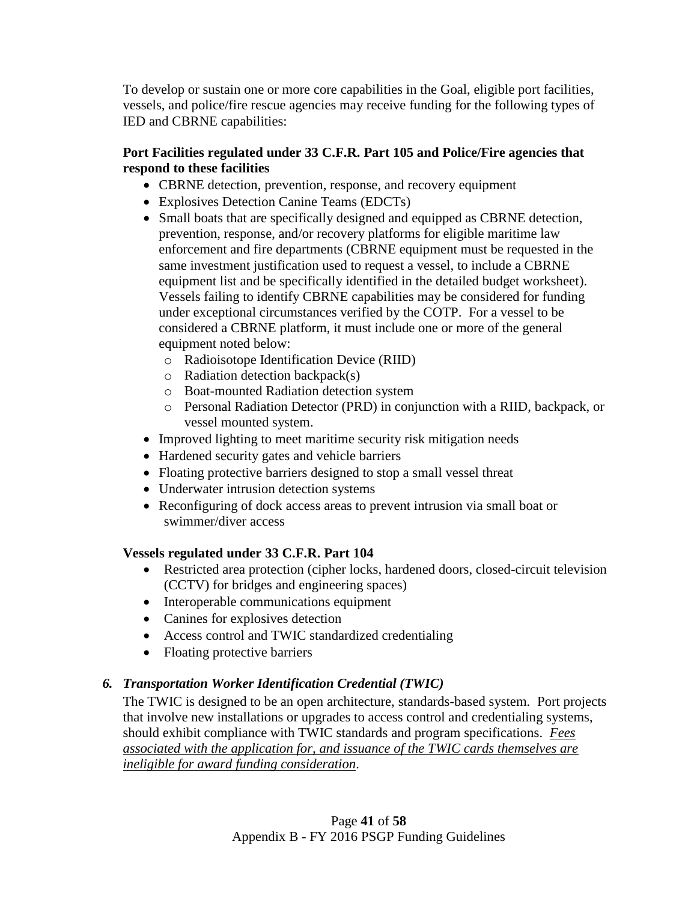To develop or sustain one or more core capabilities in the Goal, eligible port facilities, vessels, and police/fire rescue agencies may receive funding for the following types of IED and CBRNE capabilities:

# **Port Facilities regulated under 33 C.F.R. Part 105 and Police/Fire agencies that respond to these facilities**

- CBRNE detection, prevention, response, and recovery equipment
- Explosives Detection Canine Teams (EDCTs)
- Small boats that are specifically designed and equipped as CBRNE detection, prevention, response, and/or recovery platforms for eligible maritime law enforcement and fire departments (CBRNE equipment must be requested in the same investment justification used to request a vessel, to include a CBRNE equipment list and be specifically identified in the detailed budget worksheet). Vessels failing to identify CBRNE capabilities may be considered for funding under exceptional circumstances verified by the COTP. For a vessel to be considered a CBRNE platform, it must include one or more of the general equipment noted below:
	- o Radioisotope Identification Device (RIID)
	- $\circ$  Radiation detection backpack(s)
	- o Boat-mounted Radiation detection system
	- o Personal Radiation Detector (PRD) in conjunction with a RIID, backpack, or vessel mounted system.
- Improved lighting to meet maritime security risk mitigation needs
- Hardened security gates and vehicle barriers
- Floating protective barriers designed to stop a small vessel threat
- Underwater intrusion detection systems
- Reconfiguring of dock access areas to prevent intrusion via small boat or swimmer/diver access

# **Vessels regulated under 33 C.F.R. Part 104**

- Restricted area protection (cipher locks, hardened doors, closed-circuit television (CCTV) for bridges and engineering spaces)
- Interoperable communications equipment
- Canines for explosives detection
- Access control and TWIC standardized credentialing
- Floating protective barriers

# *6. Transportation Worker Identification Credential (TWIC)*

The TWIC is designed to be an open architecture, standards-based system. Port projects that involve new installations or upgrades to access control and credentialing systems, should exhibit compliance with TWIC standards and program specifications. *Fees associated with the application for, and issuance of the TWIC cards themselves are ineligible for award funding consideration*.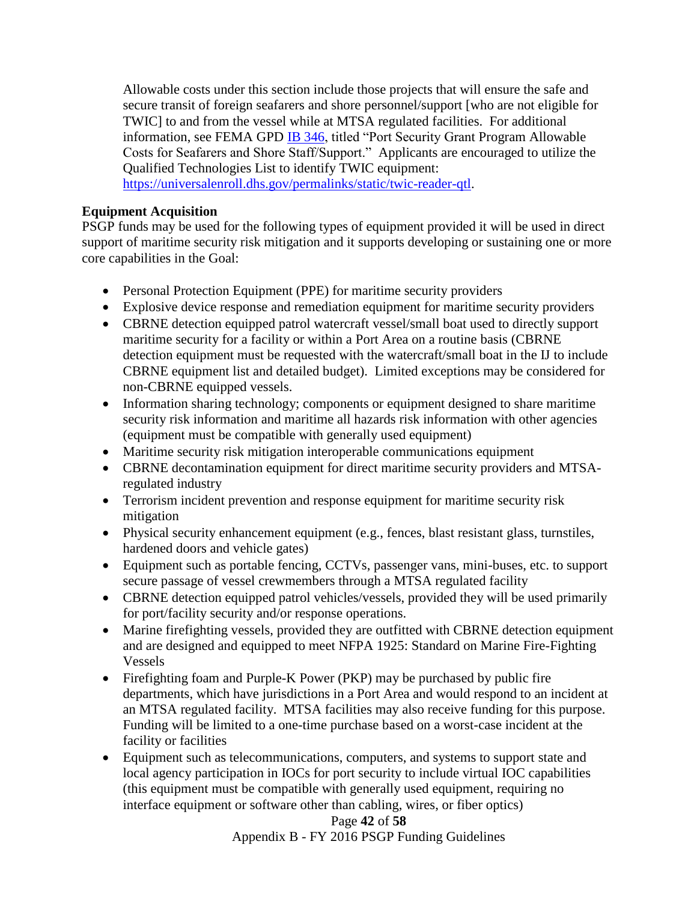Allowable costs under this section include those projects that will ensure the safe and secure transit of foreign seafarers and shore personnel/support [who are not eligible for TWIC] to and from the vessel while at MTSA regulated facilities. For additional information, see FEMA GPD **IB 346**, titled "Port Security Grant Program Allowable Costs for Seafarers and Shore Staff/Support." Applicants are encouraged to utilize the Qualified Technologies List to identify TWIC equipment:

[https://universalenroll.dhs.gov/permalinks/static/twic-reader-qtl.](https://universalenroll.dhs.gov/permalinks/static/twic-reader-qtl)

#### **Equipment Acquisition**

PSGP funds may be used for the following types of equipment provided it will be used in direct support of maritime security risk mitigation and it supports developing or sustaining one or more core capabilities in the Goal:

- Personal Protection Equipment (PPE) for maritime security providers
- Explosive device response and remediation equipment for maritime security providers
- CBRNE detection equipped patrol watercraft vessel/small boat used to directly support maritime security for a facility or within a Port Area on a routine basis (CBRNE detection equipment must be requested with the watercraft/small boat in the IJ to include CBRNE equipment list and detailed budget). Limited exceptions may be considered for non-CBRNE equipped vessels.
- Information sharing technology; components or equipment designed to share maritime security risk information and maritime all hazards risk information with other agencies (equipment must be compatible with generally used equipment)
- Maritime security risk mitigation interoperable communications equipment
- CBRNE decontamination equipment for direct maritime security providers and MTSAregulated industry
- Terrorism incident prevention and response equipment for maritime security risk mitigation
- Physical security enhancement equipment (e.g., fences, blast resistant glass, turnstiles, hardened doors and vehicle gates)
- Equipment such as portable fencing, CCTVs, passenger vans, mini-buses, etc. to support secure passage of vessel crewmembers through a MTSA regulated facility
- CBRNE detection equipped patrol vehicles/vessels, provided they will be used primarily for port/facility security and/or response operations.
- Marine firefighting vessels, provided they are outfitted with CBRNE detection equipment and are designed and equipped to meet NFPA 1925: Standard on Marine Fire-Fighting Vessels
- Firefighting foam and Purple-K Power (PKP) may be purchased by public fire departments, which have jurisdictions in a Port Area and would respond to an incident at an MTSA regulated facility. MTSA facilities may also receive funding for this purpose. Funding will be limited to a one-time purchase based on a worst-case incident at the facility or facilities
- Equipment such as telecommunications, computers, and systems to support state and local agency participation in IOCs for port security to include virtual IOC capabilities (this equipment must be compatible with generally used equipment, requiring no interface equipment or software other than cabling, wires, or fiber optics)

Page **42** of **58** Appendix B - FY 2016 PSGP Funding Guidelines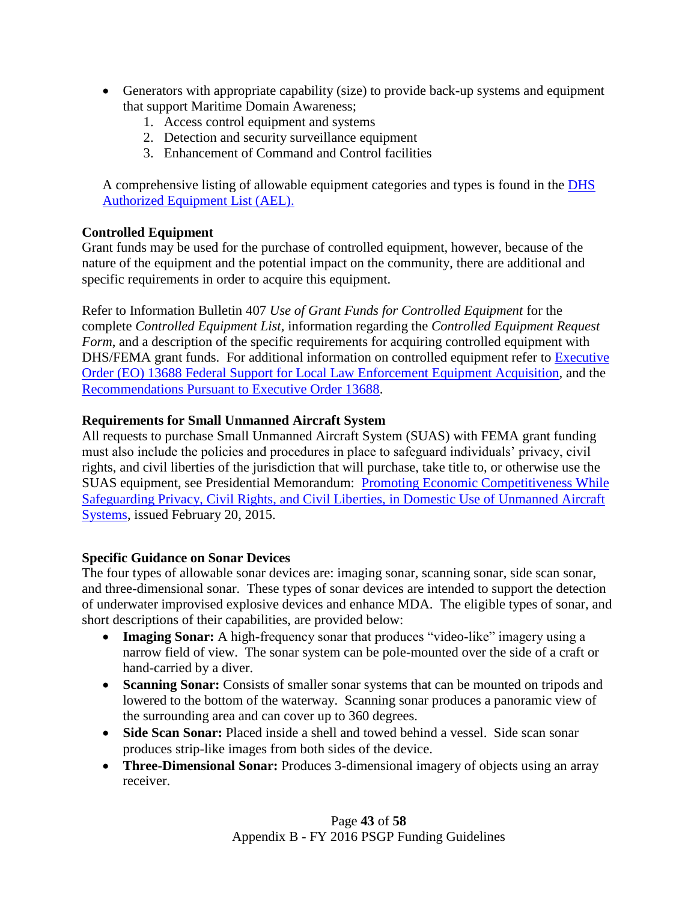- Generators with appropriate capability (size) to provide back-up systems and equipment that support Maritime Domain Awareness;
	- 1. Access control equipment and systems
	- 2. Detection and security surveillance equipment
	- 3. Enhancement of Command and Control facilities

A comprehensive listing of allowable equipment categories and types is found in the [DHS](http://www.fema.gov/authorized-equipment-list)  [Authorized Equipment List \(AEL\).](http://www.fema.gov/authorized-equipment-list)

# **Controlled Equipment**

Grant funds may be used for the purchase of controlled equipment, however, because of the nature of the equipment and the potential impact on the community, there are additional and specific requirements in order to acquire this equipment.

Refer to Information Bulletin 407 *Use of Grant Funds for Controlled Equipment* for the complete *Controlled Equipment List,* information regarding the *Controlled Equipment Request Form*, and a description of the specific requirements for acquiring controlled equipment with DHS/FEMA grant funds. For additional information on controlled equipment refer to [Executive](http://www.gpo.gov/fdsys/pkg/DCPD-201500033/pdf/DCPD-201500033.pdf)  [Order \(EO\) 13688 Federal Support for Local Law Enforcement](http://www.gpo.gov/fdsys/pkg/DCPD-201500033/pdf/DCPD-201500033.pdf) Equipment Acquisition, and the [Recommendations Pursuant to Executive Order 13688.](https://www.whitehouse.gov/sites/default/files/docs/le_equipment_wg_final_report_final.pdf)

# **Requirements for Small Unmanned Aircraft System**

All requests to purchase Small Unmanned Aircraft System (SUAS) with FEMA grant funding must also include the policies and procedures in place to safeguard individuals' privacy, civil rights, and civil liberties of the jurisdiction that will purchase, take title to, or otherwise use the SUAS equipment, see Presidential Memorandum: [Promoting Economic Competitiveness While](https://www.whitehouse.gov/the-press-office/2015/02/15/presidential-memorandum-promoting-economic-competitiveness-while-safegua)  [Safeguarding Privacy, Civil Rights, and Civil Liberties,](https://www.whitehouse.gov/the-press-office/2015/02/15/presidential-memorandum-promoting-economic-competitiveness-while-safegua) in Domestic Use of Unmanned Aircraft [Systems,](https://www.whitehouse.gov/the-press-office/2015/02/15/presidential-memorandum-promoting-economic-competitiveness-while-safegua) issued February 20, 2015.

## **Specific Guidance on Sonar Devices**

The four types of allowable sonar devices are: imaging sonar, scanning sonar, side scan sonar, and three-dimensional sonar. These types of sonar devices are intended to support the detection of underwater improvised explosive devices and enhance MDA. The eligible types of sonar, and short descriptions of their capabilities, are provided below:

- **Imaging Sonar:** A high-frequency sonar that produces "video-like" imagery using a narrow field of view. The sonar system can be pole-mounted over the side of a craft or hand-carried by a diver.
- **Scanning Sonar:** Consists of smaller sonar systems that can be mounted on tripods and lowered to the bottom of the waterway. Scanning sonar produces a panoramic view of the surrounding area and can cover up to 360 degrees.
- **Side Scan Sonar:** Placed inside a shell and towed behind a vessel. Side scan sonar produces strip-like images from both sides of the device.
- **Three-Dimensional Sonar:** Produces 3-dimensional imagery of objects using an array receiver.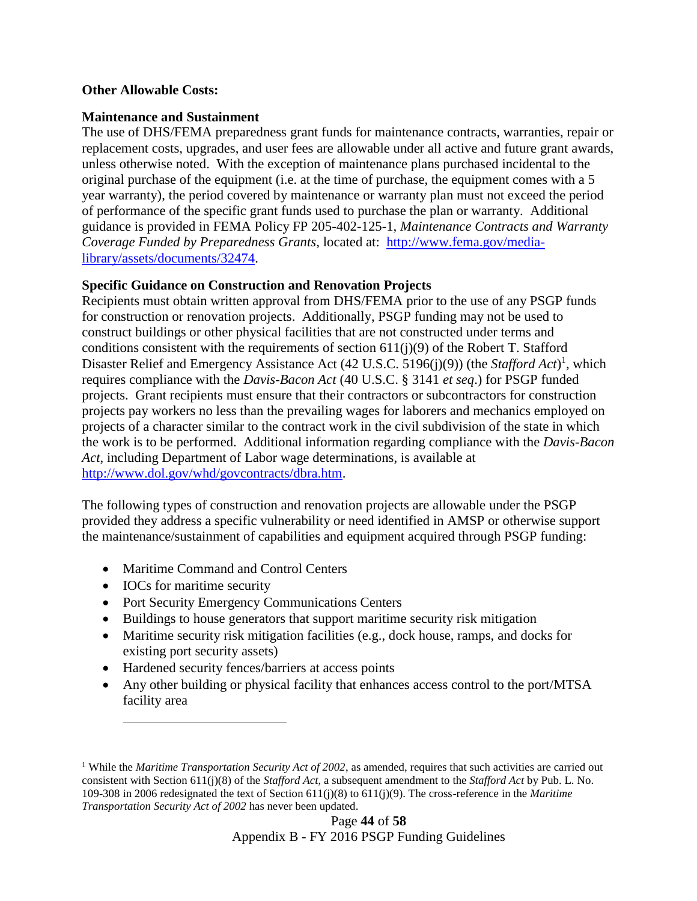#### **Other Allowable Costs:**

#### **Maintenance and Sustainment**

The use of DHS/FEMA preparedness grant funds for maintenance contracts, warranties, repair or replacement costs, upgrades, and user fees are allowable under all active and future grant awards, unless otherwise noted. With the exception of maintenance plans purchased incidental to the original purchase of the equipment (i.e. at the time of purchase, the equipment comes with a 5 year warranty), the period covered by maintenance or warranty plan must not exceed the period of performance of the specific grant funds used to purchase the plan or warranty. Additional guidance is provided in FEMA Policy FP 205-402-125-1, *Maintenance Contracts and Warranty Coverage Funded by Preparedness Grants*, located at: [http://www.fema.gov/media](http://www.fema.gov/media-library/assets/documents/32474)[library/assets/documents/32474.](http://www.fema.gov/media-library/assets/documents/32474)

#### **Specific Guidance on Construction and Renovation Projects**

Recipients must obtain written approval from DHS/FEMA prior to the use of any PSGP funds for construction or renovation projects. Additionally, PSGP funding may not be used to construct buildings or other physical facilities that are not constructed under terms and conditions consistent with the requirements of section  $611(j)(9)$  of the Robert T. Stafford Disaster Relief and Emergency Assistance Act (42 U.S.C. 5196(j)(9)) (the *Stafford Act*)<sup>1</sup>, which requires compliance with the *Davis-Bacon Act* (40 U.S.C. § 3141 *et seq*.) for PSGP funded projects. Grant recipients must ensure that their contractors or subcontractors for construction projects pay workers no less than the prevailing wages for laborers and mechanics employed on projects of a character similar to the contract work in the civil subdivision of the state in which the work is to be performed. Additional information regarding compliance with the *Davis-Bacon Act*, including Department of Labor wage determinations, is available at [http://www.dol.gov/whd/govcontracts/dbra.htm.](http://www.dol.gov/whd/govcontracts/dbra.htm)

The following types of construction and renovation projects are allowable under the PSGP provided they address a specific vulnerability or need identified in AMSP or otherwise support the maintenance/sustainment of capabilities and equipment acquired through PSGP funding:

- Maritime Command and Control Centers
- IOCs for maritime security

 $\overline{a}$ 

- Port Security Emergency Communications Centers
- Buildings to house generators that support maritime security risk mitigation
- Maritime security risk mitigation facilities (e.g., dock house, ramps, and docks for existing port security assets)
- Hardened security fences/barriers at access points
- Any other building or physical facility that enhances access control to the port/MTSA facility area

<sup>&</sup>lt;sup>1</sup> While the *Maritime Transportation Security Act of 2002*, as amended, requires that such activities are carried out consistent with Section 611(j)(8) of the *Stafford Act*, a subsequent amendment to the *Stafford Act* by Pub. L. No. 109-308 in 2006 redesignated the text of Section 611(j)(8) to 611(j)(9). The cross-reference in the *Maritime Transportation Security Act of 2002* has never been updated.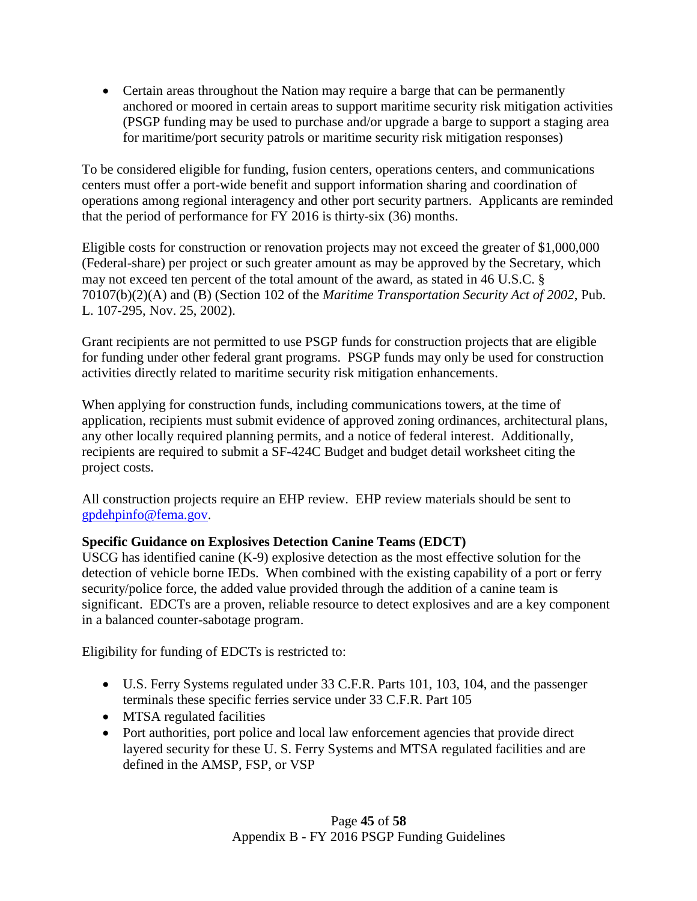Certain areas throughout the Nation may require a barge that can be permanently anchored or moored in certain areas to support maritime security risk mitigation activities (PSGP funding may be used to purchase and/or upgrade a barge to support a staging area for maritime/port security patrols or maritime security risk mitigation responses)

To be considered eligible for funding, fusion centers, operations centers, and communications centers must offer a port-wide benefit and support information sharing and coordination of operations among regional interagency and other port security partners. Applicants are reminded that the period of performance for FY 2016 is thirty-six (36) months.

Eligible costs for construction or renovation projects may not exceed the greater of \$1,000,000 (Federal-share) per project or such greater amount as may be approved by the Secretary, which may not exceed ten percent of the total amount of the award, as stated in 46 U.S.C. § 70107(b)(2)(A) and (B) (Section 102 of the *Maritime Transportation Security Act of 2002*, Pub. L. 107-295, Nov. 25, 2002).

Grant recipients are not permitted to use PSGP funds for construction projects that are eligible for funding under other federal grant programs. PSGP funds may only be used for construction activities directly related to maritime security risk mitigation enhancements.

When applying for construction funds, including communications towers, at the time of application, recipients must submit evidence of approved zoning ordinances, architectural plans, any other locally required planning permits, and a notice of federal interest. Additionally, recipients are required to submit a SF-424C Budget and budget detail worksheet citing the project costs.

All construction projects require an EHP review. EHP review materials should be sent to [gpdehpinfo@fema.gov.](mailto:gpdehpinfo@fema.gov)

# **Specific Guidance on Explosives Detection Canine Teams (EDCT)**

USCG has identified canine (K-9) explosive detection as the most effective solution for the detection of vehicle borne IEDs. When combined with the existing capability of a port or ferry security/police force, the added value provided through the addition of a canine team is significant. EDCTs are a proven, reliable resource to detect explosives and are a key component in a balanced counter-sabotage program.

Eligibility for funding of EDCTs is restricted to:

- U.S. Ferry Systems regulated under 33 C.F.R. Parts 101, 103, 104, and the passenger terminals these specific ferries service under 33 C.F.R. Part 105
- MTSA regulated facilities
- Port authorities, port police and local law enforcement agencies that provide direct layered security for these U. S. Ferry Systems and MTSA regulated facilities and are defined in the AMSP, FSP, or VSP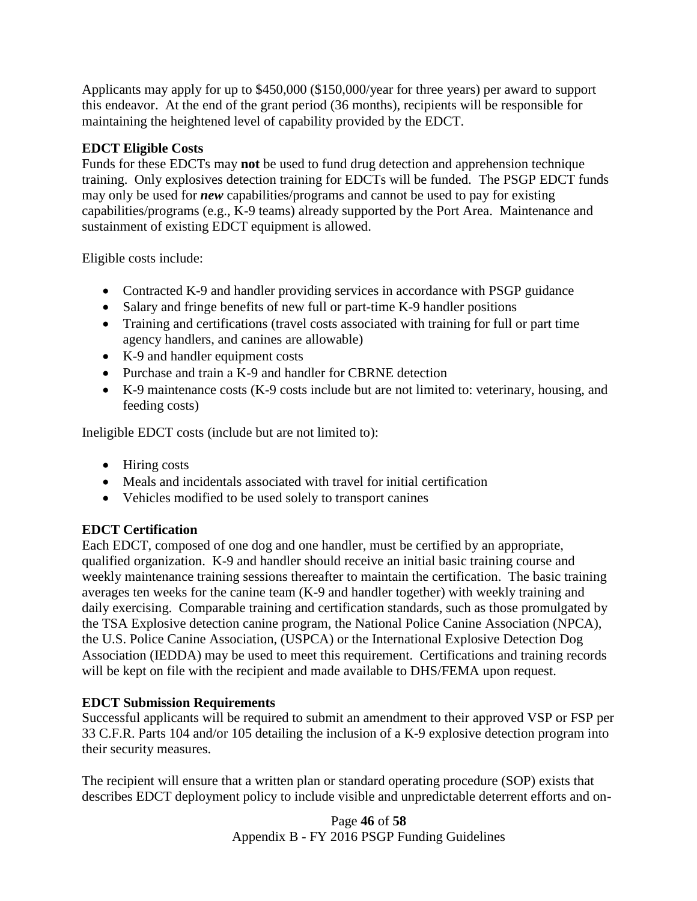Applicants may apply for up to \$450,000 (\$150,000/year for three years) per award to support this endeavor. At the end of the grant period (36 months), recipients will be responsible for maintaining the heightened level of capability provided by the EDCT.

# **EDCT Eligible Costs**

Funds for these EDCTs may **not** be used to fund drug detection and apprehension technique training. Only explosives detection training for EDCTs will be funded. The PSGP EDCT funds may only be used for *new* capabilities/programs and cannot be used to pay for existing capabilities/programs (e.g., K-9 teams) already supported by the Port Area. Maintenance and sustainment of existing EDCT equipment is allowed.

Eligible costs include:

- Contracted K-9 and handler providing services in accordance with PSGP guidance
- Salary and fringe benefits of new full or part-time K-9 handler positions
- Training and certifications (travel costs associated with training for full or part time agency handlers, and canines are allowable)
- K-9 and handler equipment costs
- Purchase and train a K-9 and handler for CBRNE detection
- K-9 maintenance costs (K-9 costs include but are not limited to: veterinary, housing, and feeding costs)

Ineligible EDCT costs (include but are not limited to):

- Hiring costs
- Meals and incidentals associated with travel for initial certification
- Vehicles modified to be used solely to transport canines

# **EDCT Certification**

Each EDCT, composed of one dog and one handler, must be certified by an appropriate, qualified organization. K-9 and handler should receive an initial basic training course and weekly maintenance training sessions thereafter to maintain the certification. The basic training averages ten weeks for the canine team (K-9 and handler together) with weekly training and daily exercising. Comparable training and certification standards, such as those promulgated by the TSA Explosive detection canine program, the National Police Canine Association (NPCA), the U.S. Police Canine Association, (USPCA) or the International Explosive Detection Dog Association (IEDDA) may be used to meet this requirement. Certifications and training records will be kept on file with the recipient and made available to DHS/FEMA upon request.

# **EDCT Submission Requirements**

Successful applicants will be required to submit an amendment to their approved VSP or FSP per 33 C.F.R. Parts 104 and/or 105 detailing the inclusion of a K-9 explosive detection program into their security measures.

The recipient will ensure that a written plan or standard operating procedure (SOP) exists that describes EDCT deployment policy to include visible and unpredictable deterrent efforts and on-

> Page **46** of **58** Appendix B - FY 2016 PSGP Funding Guidelines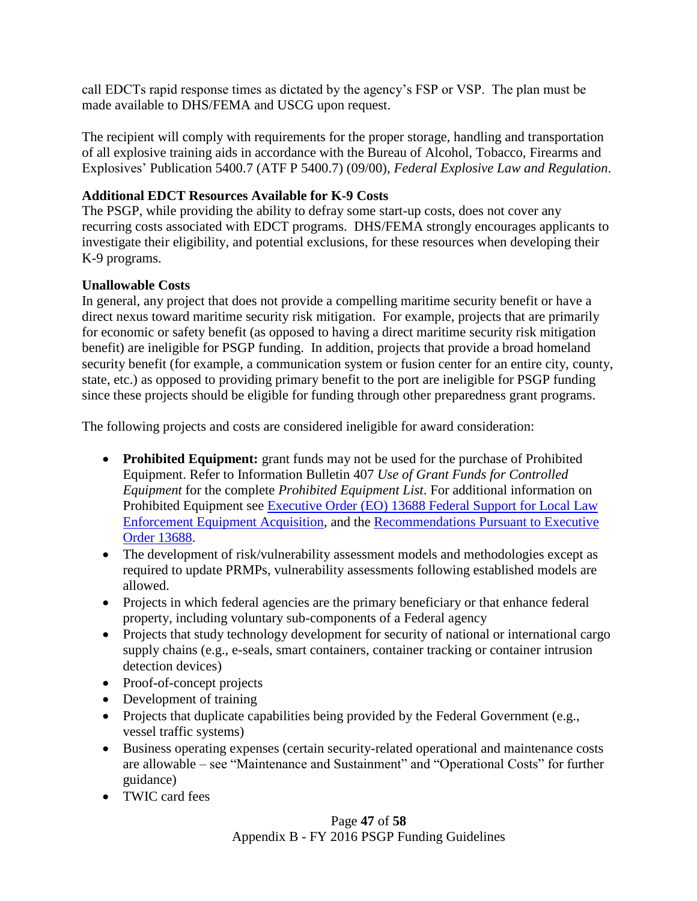call EDCTs rapid response times as dictated by the agency's FSP or VSP. The plan must be made available to DHS/FEMA and USCG upon request.

The recipient will comply with requirements for the proper storage, handling and transportation of all explosive training aids in accordance with the Bureau of Alcohol, Tobacco, Firearms and Explosives' Publication 5400.7 (ATF P 5400.7) (09/00), *Federal Explosive Law and Regulation*.

# **Additional EDCT Resources Available for K-9 Costs**

The PSGP, while providing the ability to defray some start-up costs, does not cover any recurring costs associated with EDCT programs. DHS/FEMA strongly encourages applicants to investigate their eligibility, and potential exclusions, for these resources when developing their K-9 programs.

## **Unallowable Costs**

In general, any project that does not provide a compelling maritime security benefit or have a direct nexus toward maritime security risk mitigation. For example, projects that are primarily for economic or safety benefit (as opposed to having a direct maritime security risk mitigation benefit) are ineligible for PSGP funding. In addition, projects that provide a broad homeland security benefit (for example, a communication system or fusion center for an entire city, county, state, etc.) as opposed to providing primary benefit to the port are ineligible for PSGP funding since these projects should be eligible for funding through other preparedness grant programs.

The following projects and costs are considered ineligible for award consideration:

- **Prohibited Equipment:** grant funds may not be used for the purchase of Prohibited Equipment. Refer to Information Bulletin 407 *Use of Grant Funds for Controlled Equipment* for the complete *Prohibited Equipment List*. For additional information on Prohibited Equipment see [Executive Order \(EO\) 13688 Federal Support for Local Law](http://www.gpo.gov/fdsys/pkg/DCPD-201500033/pdf/DCPD-201500033.pdf)  [Enforcement Equipment Acquisition,](http://www.gpo.gov/fdsys/pkg/DCPD-201500033/pdf/DCPD-201500033.pdf) and the [Recommendations Pursuant to Executive](https://www.whitehouse.gov/sites/default/files/docs/le_equipment_wg_final_report_final.pdf)  [Order 13688.](https://www.whitehouse.gov/sites/default/files/docs/le_equipment_wg_final_report_final.pdf)
- The development of risk/vulnerability assessment models and methodologies except as required to update PRMPs, vulnerability assessments following established models are allowed.
- Projects in which federal agencies are the primary beneficiary or that enhance federal property, including voluntary sub-components of a Federal agency
- Projects that study technology development for security of national or international cargo supply chains (e.g., e-seals, smart containers, container tracking or container intrusion detection devices)
- Proof-of-concept projects
- Development of training
- Projects that duplicate capabilities being provided by the Federal Government (e.g., vessel traffic systems)
- Business operating expenses (certain security-related operational and maintenance costs are allowable – see "Maintenance and Sustainment" and "Operational Costs" for further guidance)
- TWIC card fees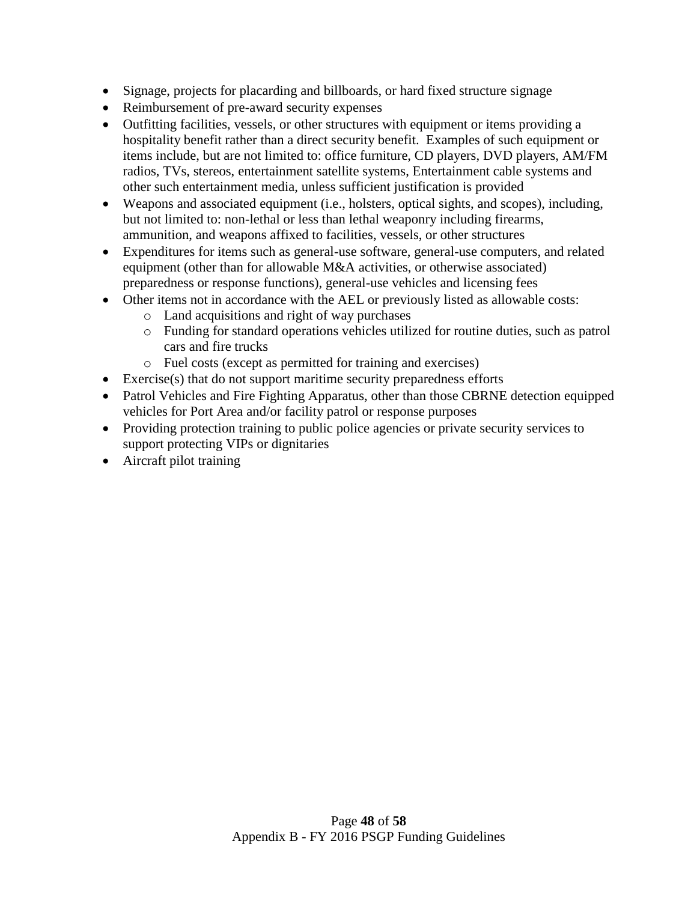- Signage, projects for placarding and billboards, or hard fixed structure signage
- Reimbursement of pre-award security expenses
- Outfitting facilities, vessels, or other structures with equipment or items providing a hospitality benefit rather than a direct security benefit. Examples of such equipment or items include, but are not limited to: office furniture, CD players, DVD players, AM/FM radios, TVs, stereos, entertainment satellite systems, Entertainment cable systems and other such entertainment media, unless sufficient justification is provided
- Weapons and associated equipment (i.e., holsters, optical sights, and scopes), including, but not limited to: non-lethal or less than lethal weaponry including firearms, ammunition, and weapons affixed to facilities, vessels, or other structures
- Expenditures for items such as general-use software, general-use computers, and related equipment (other than for allowable M&A activities, or otherwise associated) preparedness or response functions), general-use vehicles and licensing fees
- Other items not in accordance with the AEL or previously listed as allowable costs:
	- o Land acquisitions and right of way purchases
	- o Funding for standard operations vehicles utilized for routine duties, such as patrol cars and fire trucks
	- o Fuel costs (except as permitted for training and exercises)
- Exercise(s) that do not support maritime security preparedness efforts
- Patrol Vehicles and Fire Fighting Apparatus, other than those CBRNE detection equipped vehicles for Port Area and/or facility patrol or response purposes
- Providing protection training to public police agencies or private security services to support protecting VIPs or dignitaries
- Aircraft pilot training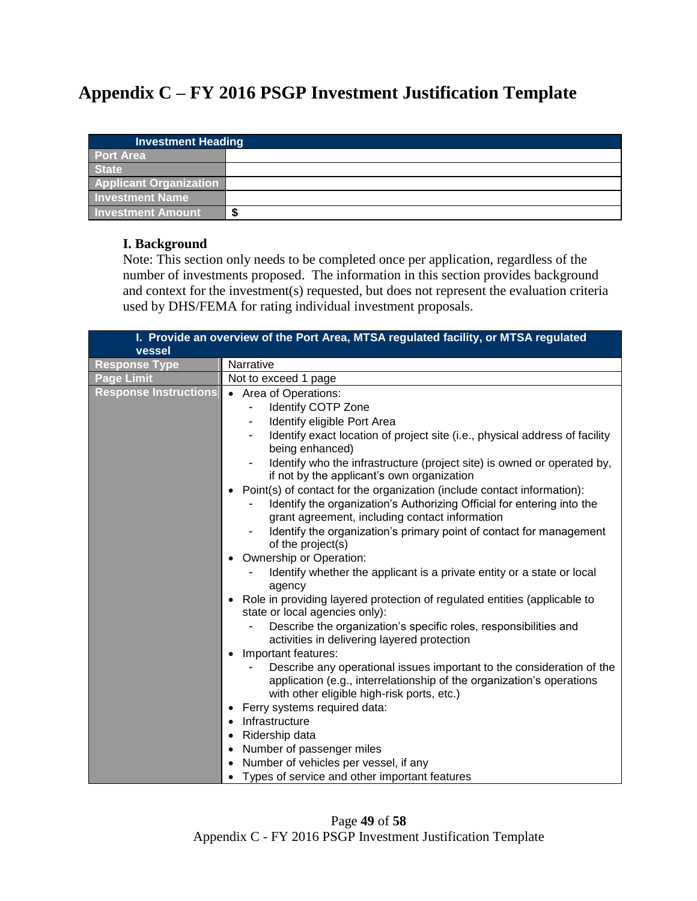# <span id="page-48-0"></span>**Appendix C – FY 2016 PSGP Investment Justification Template**

| <b>Investment Heading</b>     |        |
|-------------------------------|--------|
| <b>Port Area</b>              |        |
| <b>State</b>                  |        |
| <b>Applicant Organization</b> |        |
| <b>Investment Name</b>        |        |
| <b>Investment Amount</b>      | œ<br>Ð |

#### **I. Background**

Note: This section only needs to be completed once per application, regardless of the number of investments proposed. The information in this section provides background and context for the investment(s) requested, but does not represent the evaluation criteria used by DHS/FEMA for rating individual investment proposals.

| I. Provide an overview of the Port Area, MTSA regulated facility, or MTSA regulated<br>vessel |                                                                                                                                                                                              |
|-----------------------------------------------------------------------------------------------|----------------------------------------------------------------------------------------------------------------------------------------------------------------------------------------------|
| <b>Response Type</b>                                                                          | Narrative                                                                                                                                                                                    |
| <b>Page Limit</b>                                                                             | Not to exceed 1 page                                                                                                                                                                         |
| <b>Response Instructions</b>                                                                  | • Area of Operations:                                                                                                                                                                        |
|                                                                                               | Identify COTP Zone                                                                                                                                                                           |
|                                                                                               | Identify eligible Port Area                                                                                                                                                                  |
|                                                                                               | Identify exact location of project site (i.e., physical address of facility<br>being enhanced)                                                                                               |
|                                                                                               | Identify who the infrastructure (project site) is owned or operated by,<br>if not by the applicant's own organization                                                                        |
|                                                                                               | Point(s) of contact for the organization (include contact information):                                                                                                                      |
|                                                                                               | Identify the organization's Authorizing Official for entering into the<br>grant agreement, including contact information                                                                     |
|                                                                                               | Identify the organization's primary point of contact for management<br>of the project(s)                                                                                                     |
|                                                                                               | Ownership or Operation:                                                                                                                                                                      |
|                                                                                               | Identify whether the applicant is a private entity or a state or local<br>agency                                                                                                             |
|                                                                                               | • Role in providing layered protection of regulated entities (applicable to<br>state or local agencies only):                                                                                |
|                                                                                               | Describe the organization's specific roles, responsibilities and<br>activities in delivering layered protection                                                                              |
|                                                                                               | Important features:                                                                                                                                                                          |
|                                                                                               | Describe any operational issues important to the consideration of the<br>application (e.g., interrelationship of the organization's operations<br>with other eligible high-risk ports, etc.) |
|                                                                                               | Ferry systems required data:                                                                                                                                                                 |
|                                                                                               | Infrastructure<br>$\bullet$                                                                                                                                                                  |
|                                                                                               | • Ridership data                                                                                                                                                                             |
|                                                                                               | • Number of passenger miles                                                                                                                                                                  |
|                                                                                               | Number of vehicles per vessel, if any                                                                                                                                                        |
|                                                                                               | • Types of service and other important features                                                                                                                                              |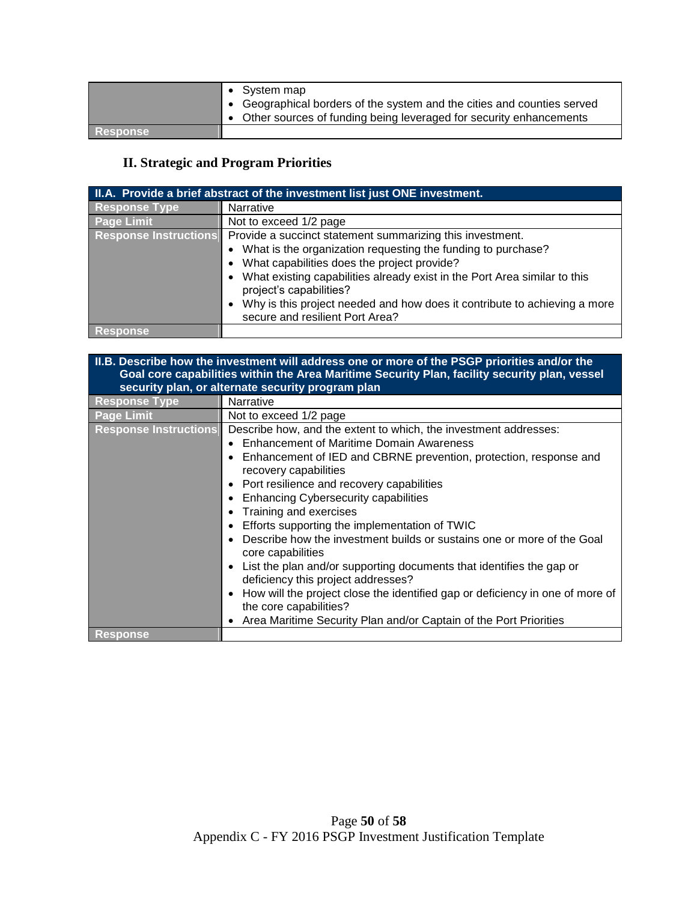|          | • System map                                                                                                                                    |
|----------|-------------------------------------------------------------------------------------------------------------------------------------------------|
|          | • Geographical borders of the system and the cities and counties served<br>• Other sources of funding being leveraged for security enhancements |
|          |                                                                                                                                                 |
| Response |                                                                                                                                                 |

# **II. Strategic and Program Priorities**

| II.A. Provide a brief abstract of the investment list just ONE investment. |                                                                                                              |
|----------------------------------------------------------------------------|--------------------------------------------------------------------------------------------------------------|
| <b>Response Type</b>                                                       | Narrative                                                                                                    |
| <b>Page Limit</b>                                                          | Not to exceed 1/2 page                                                                                       |
| <b>Response Instructions</b>                                               | Provide a succinct statement summarizing this investment.                                                    |
|                                                                            | • What is the organization requesting the funding to purchase?                                               |
|                                                                            | What capabilities does the project provide?                                                                  |
|                                                                            | • What existing capabilities already exist in the Port Area similar to this<br>project's capabilities?       |
|                                                                            | Why is this project needed and how does it contribute to achieving a more<br>secure and resilient Port Area? |
| <b>Response</b>                                                            |                                                                                                              |

| II.B. Describe how the investment will address one or more of the PSGP priorities and/or the<br>Goal core capabilities within the Area Maritime Security Plan, facility security plan, vessel<br>security plan, or alternate security program plan |                                                                                                                                                                                                                                                                                                                                                                                                                                                                                                                                                                                                                                                                                                                                                                                   |
|----------------------------------------------------------------------------------------------------------------------------------------------------------------------------------------------------------------------------------------------------|-----------------------------------------------------------------------------------------------------------------------------------------------------------------------------------------------------------------------------------------------------------------------------------------------------------------------------------------------------------------------------------------------------------------------------------------------------------------------------------------------------------------------------------------------------------------------------------------------------------------------------------------------------------------------------------------------------------------------------------------------------------------------------------|
| <b>Response Type</b>                                                                                                                                                                                                                               | Narrative                                                                                                                                                                                                                                                                                                                                                                                                                                                                                                                                                                                                                                                                                                                                                                         |
| <b>Page Limit</b>                                                                                                                                                                                                                                  | Not to exceed 1/2 page                                                                                                                                                                                                                                                                                                                                                                                                                                                                                                                                                                                                                                                                                                                                                            |
| <b>Response Instructions</b>                                                                                                                                                                                                                       | Describe how, and the extent to which, the investment addresses:<br>• Enhancement of Maritime Domain Awareness<br>• Enhancement of IED and CBRNE prevention, protection, response and<br>recovery capabilities<br>• Port resilience and recovery capabilities<br>• Enhancing Cybersecurity capabilities<br>Training and exercises<br>Efforts supporting the implementation of TWIC<br>Describe how the investment builds or sustains one or more of the Goal<br>core capabilities<br>List the plan and/or supporting documents that identifies the gap or<br>deficiency this project addresses?<br>• How will the project close the identified gap or deficiency in one of more of<br>the core capabilities?<br>Area Maritime Security Plan and/or Captain of the Port Priorities |
| <b>Response</b>                                                                                                                                                                                                                                    |                                                                                                                                                                                                                                                                                                                                                                                                                                                                                                                                                                                                                                                                                                                                                                                   |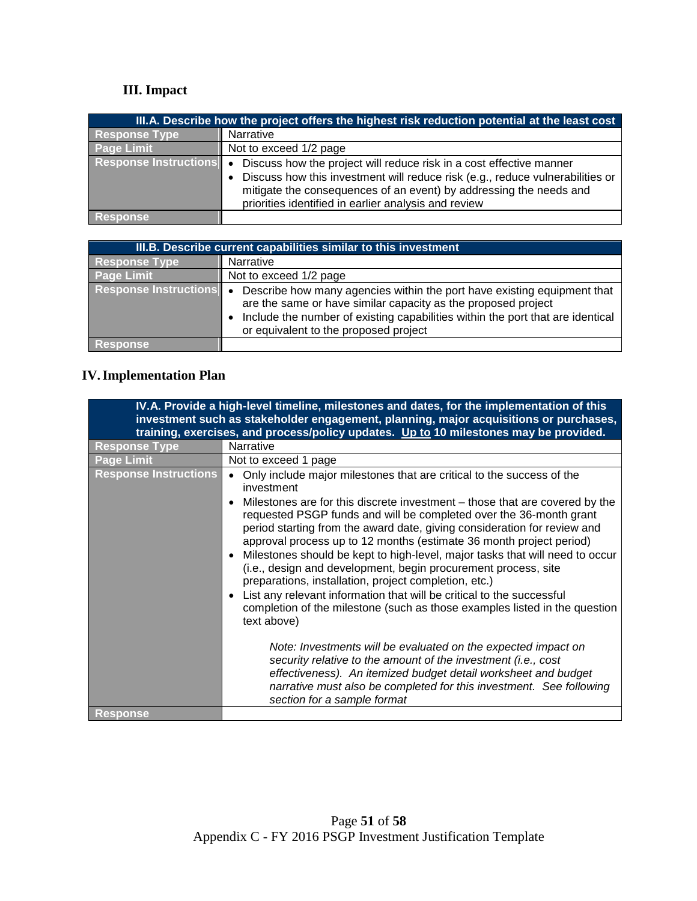# **III. Impact**

| III.A. Describe how the project offers the highest risk reduction potential at the least cost |                                                                                                                                                                                                                                                                                    |  |
|-----------------------------------------------------------------------------------------------|------------------------------------------------------------------------------------------------------------------------------------------------------------------------------------------------------------------------------------------------------------------------------------|--|
| <b>Response Type</b>                                                                          | Narrative                                                                                                                                                                                                                                                                          |  |
| <b>Page Limit</b>                                                                             | Not to exceed 1/2 page                                                                                                                                                                                                                                                             |  |
| <b>Response Instructions o</b>                                                                | Discuss how the project will reduce risk in a cost effective manner<br>Discuss how this investment will reduce risk (e.g., reduce vulnerabilities or<br>mitigate the consequences of an event) by addressing the needs and<br>priorities identified in earlier analysis and review |  |
| <b>Response</b>                                                                               |                                                                                                                                                                                                                                                                                    |  |

| III.B. Describe current capabilities similar to this investment |                                                                                                                                                                                                                                                                     |  |
|-----------------------------------------------------------------|---------------------------------------------------------------------------------------------------------------------------------------------------------------------------------------------------------------------------------------------------------------------|--|
| <b>Response Type</b>                                            | Narrative                                                                                                                                                                                                                                                           |  |
| <b>Page Limit</b>                                               | Not to exceed 1/2 page                                                                                                                                                                                                                                              |  |
| <b>Response Instructions</b>                                    | Describe how many agencies within the port have existing equipment that<br>are the same or have similar capacity as the proposed project<br>Include the number of existing capabilities within the port that are identical<br>or equivalent to the proposed project |  |
| Response                                                        |                                                                                                                                                                                                                                                                     |  |

# **IV.Implementation Plan**

|                              | IV.A. Provide a high-level timeline, milestones and dates, for the implementation of this<br>investment such as stakeholder engagement, planning, major acquisitions or purchases,<br>training, exercises, and process/policy updates. Up to 10 milestones may be provided.                                                                                                                                                                                                                                                                                                                                                                                                                                                                                                                                                                   |
|------------------------------|-----------------------------------------------------------------------------------------------------------------------------------------------------------------------------------------------------------------------------------------------------------------------------------------------------------------------------------------------------------------------------------------------------------------------------------------------------------------------------------------------------------------------------------------------------------------------------------------------------------------------------------------------------------------------------------------------------------------------------------------------------------------------------------------------------------------------------------------------|
| <b>Response Type</b>         | Narrative                                                                                                                                                                                                                                                                                                                                                                                                                                                                                                                                                                                                                                                                                                                                                                                                                                     |
| <b>Page Limit</b>            | Not to exceed 1 page                                                                                                                                                                                                                                                                                                                                                                                                                                                                                                                                                                                                                                                                                                                                                                                                                          |
| <b>Response Instructions</b> | Only include major milestones that are critical to the success of the<br>investment<br>Milestones are for this discrete investment – those that are covered by the<br>requested PSGP funds and will be completed over the 36-month grant<br>period starting from the award date, giving consideration for review and<br>approval process up to 12 months (estimate 36 month project period)<br>Milestones should be kept to high-level, major tasks that will need to occur<br>(i.e., design and development, begin procurement process, site<br>preparations, installation, project completion, etc.)<br>List any relevant information that will be critical to the successful<br>completion of the milestone (such as those examples listed in the question<br>text above)<br>Note: Investments will be evaluated on the expected impact on |
|                              | security relative to the amount of the investment (i.e., cost<br>effectiveness). An itemized budget detail worksheet and budget<br>narrative must also be completed for this investment. See following<br>section for a sample format                                                                                                                                                                                                                                                                                                                                                                                                                                                                                                                                                                                                         |
| <b>Response</b>              |                                                                                                                                                                                                                                                                                                                                                                                                                                                                                                                                                                                                                                                                                                                                                                                                                                               |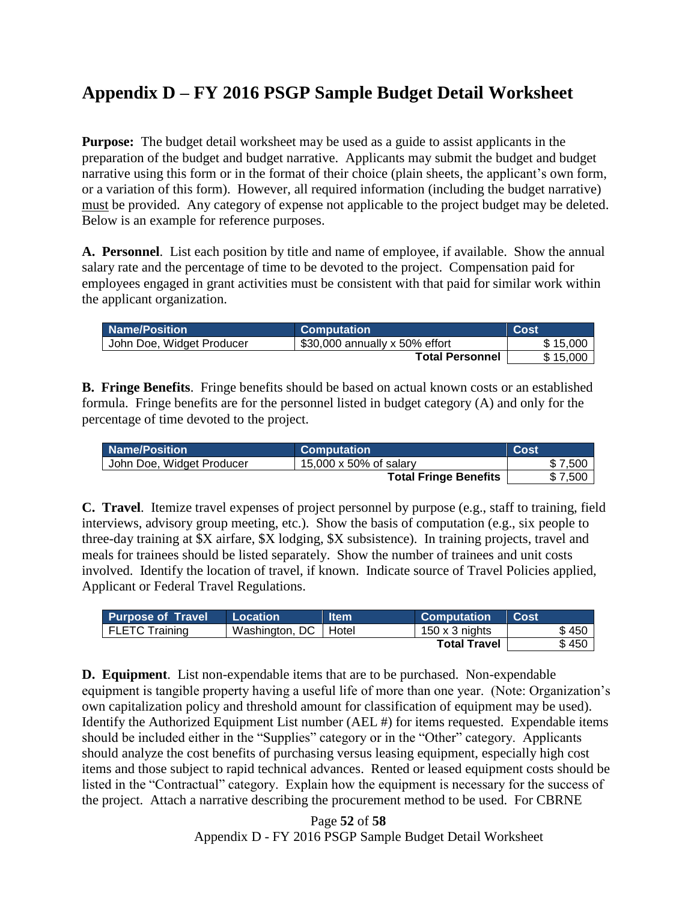# <span id="page-51-0"></span>**Appendix D – FY 2016 PSGP Sample Budget Detail Worksheet**

**Purpose:** The budget detail worksheet may be used as a guide to assist applicants in the preparation of the budget and budget narrative. Applicants may submit the budget and budget narrative using this form or in the format of their choice (plain sheets, the applicant's own form, or a variation of this form). However, all required information (including the budget narrative) must be provided. Any category of expense not applicable to the project budget may be deleted. Below is an example for reference purposes.

**A. Personnel**. List each position by title and name of employee, if available. Show the annual salary rate and the percentage of time to be devoted to the project. Compensation paid for employees engaged in grant activities must be consistent with that paid for similar work within the applicant organization.

| <b>Name/Position</b>      | <b>Computation</b>             | Cost     |
|---------------------------|--------------------------------|----------|
| John Doe, Widget Producer | \$30,000 annually x 50% effort | \$15,000 |
|                           | <b>Total Personnel</b>         | \$15,000 |

**B. Fringe Benefits**. Fringe benefits should be based on actual known costs or an established formula. Fringe benefits are for the personnel listed in budget category (A) and only for the percentage of time devoted to the project.

| <b>Name/Position</b>      | <b>Computation</b>           | Cost    |
|---------------------------|------------------------------|---------|
| John Doe, Widget Producer | 15,000 x 50% of salary       | \$7.500 |
|                           | <b>Total Fringe Benefits</b> | \$7,500 |

**C. Travel**. Itemize travel expenses of project personnel by purpose (e.g., staff to training, field interviews, advisory group meeting, etc.). Show the basis of computation (e.g., six people to three-day training at \$X airfare, \$X lodging, \$X subsistence). In training projects, travel and meals for trainees should be listed separately. Show the number of trainees and unit costs involved. Identify the location of travel, if known. Indicate source of Travel Policies applied, Applicant or Federal Travel Regulations.

| <b>Purpose of Travel</b> | <b>Location</b>        | <b>Item</b> | <b>Computation</b>  | <b>Cost</b> |
|--------------------------|------------------------|-------------|---------------------|-------------|
| I FLETC Training         | Washington, DC   Hotel |             | 150 x 3 nights      | \$450       |
|                          |                        |             | <b>Total Travel</b> | \$450       |

**D. Equipment**. List non-expendable items that are to be purchased. Non-expendable equipment is tangible property having a useful life of more than one year. (Note: Organization's own capitalization policy and threshold amount for classification of equipment may be used). Identify the Authorized Equipment List number (AEL #) for items requested. Expendable items should be included either in the "Supplies" category or in the "Other" category. Applicants should analyze the cost benefits of purchasing versus leasing equipment, especially high cost items and those subject to rapid technical advances. Rented or leased equipment costs should be listed in the "Contractual" category. Explain how the equipment is necessary for the success of the project. Attach a narrative describing the procurement method to be used. For CBRNE

> Page **52** of **58** Appendix D - FY 2016 PSGP Sample Budget Detail Worksheet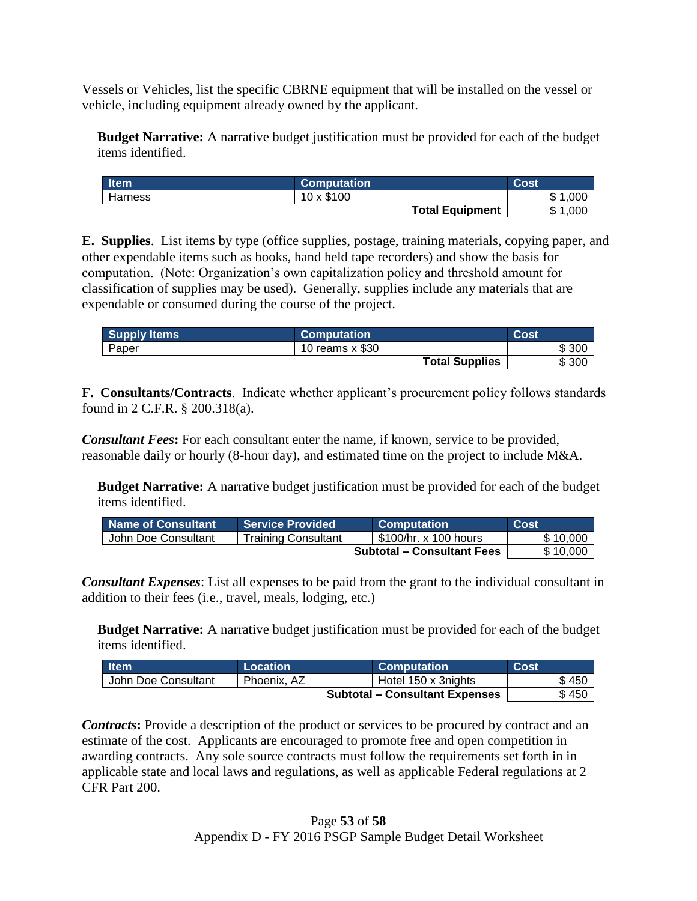Vessels or Vehicles, list the specific CBRNE equipment that will be installed on the vessel or vehicle, including equipment already owned by the applicant.

**Budget Narrative:** A narrative budget justification must be provided for each of the budget items identified.

| <b>Item</b> | <b>Computation</b>     | Cost        |
|-------------|------------------------|-------------|
| Harness     | 10 x \$100             | \$1<br>.00C |
|             | <b>Total Equipment</b> | \$1,000     |

**E. Supplies**. List items by type (office supplies, postage, training materials, copying paper, and other expendable items such as books, hand held tape recorders) and show the basis for computation. (Note: Organization's own capitalization policy and threshold amount for classification of supplies may be used). Generally, supplies include any materials that are expendable or consumed during the course of the project.

| <b>Supply Items</b> | <b>Computation</b>    | Cost  |
|---------------------|-----------------------|-------|
| Paper               | 10 reams x \$30       | \$300 |
|                     | <b>Total Supplies</b> | \$300 |

**F. Consultants/Contracts**. Indicate whether applicant's procurement policy follows standards found in 2 C.F.R. § 200.318(a).

*Consultant Fees***:** For each consultant enter the name, if known, service to be provided, reasonable daily or hourly (8-hour day), and estimated time on the project to include M&A.

**Budget Narrative:** A narrative budget justification must be provided for each of the budget items identified.

| Name of Consultant  | <b>Service Provided</b>    | <b>Computation</b>                | Cost     |
|---------------------|----------------------------|-----------------------------------|----------|
| John Doe Consultant | <b>Training Consultant</b> | \$100/hr. x 100 hours             | \$10,000 |
|                     |                            | <b>Subtotal – Consultant Fees</b> | \$10,000 |

*Consultant Expenses*: List all expenses to be paid from the grant to the individual consultant in addition to their fees (i.e., travel, meals, lodging, etc.)

**Budget Narrative:** A narrative budget justification must be provided for each of the budget items identified.

| <b>াtem</b>         | Location    | <b>Computation</b>                    | <b>Cost</b> |
|---------------------|-------------|---------------------------------------|-------------|
| John Doe Consultant | Phoenix, AZ | Hotel 150 x 3nights                   | \$450       |
|                     |             | <b>Subtotal – Consultant Expenses</b> | \$450       |

**Contracts:** Provide a description of the product or services to be procured by contract and an estimate of the cost. Applicants are encouraged to promote free and open competition in awarding contracts. Any sole source contracts must follow the requirements set forth in in applicable state and local laws and regulations, as well as applicable Federal regulations at 2 CFR Part 200.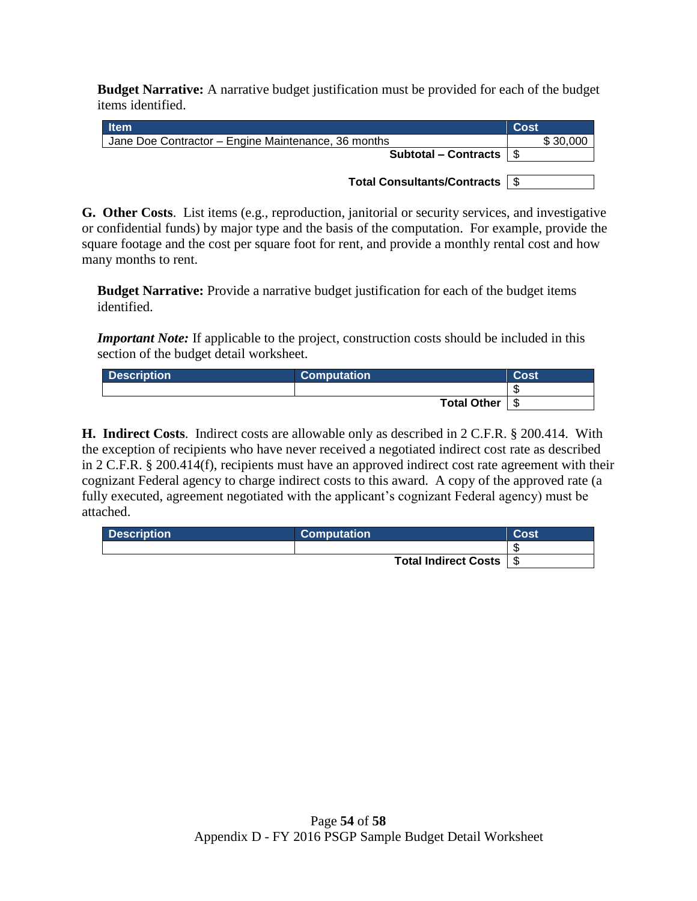**Budget Narrative:** A narrative budget justification must be provided for each of the budget items identified.

| <b>Item</b>                                         | <b>Cost</b> |
|-----------------------------------------------------|-------------|
| Jane Doe Contractor - Engine Maintenance, 36 months | \$30,000    |
| Subtotal – Contracts $\vert \$                      |             |
|                                                     |             |
| Total Consultants/Contracts   \$                    |             |

**G. Other Costs**. List items (e.g., reproduction, janitorial or security services, and investigative or confidential funds) by major type and the basis of the computation. For example, provide the square footage and the cost per square foot for rent, and provide a monthly rental cost and how many months to rent.

**Budget Narrative:** Provide a narrative budget justification for each of the budget items identified.

*Important Note:* If applicable to the project, construction costs should be included in this section of the budget detail worksheet.

| <b>Description</b> | <b>Computation</b> | Cost |
|--------------------|--------------------|------|
|                    |                    | - 11 |
|                    | Total Other        | - \$ |

**H. Indirect Costs**. Indirect costs are allowable only as described in 2 C.F.R. § 200.414. With the exception of recipients who have never received a negotiated indirect cost rate as described in 2 C.F.R. § 200.414(f), recipients must have an approved indirect cost rate agreement with their cognizant Federal agency to charge indirect costs to this award. A copy of the approved rate (a fully executed, agreement negotiated with the applicant's cognizant Federal agency) must be attached.

| <b>Description</b> | <b>Computation</b>        | Cost |
|--------------------|---------------------------|------|
|                    |                           |      |
|                    | Total Indirect Costs   \$ |      |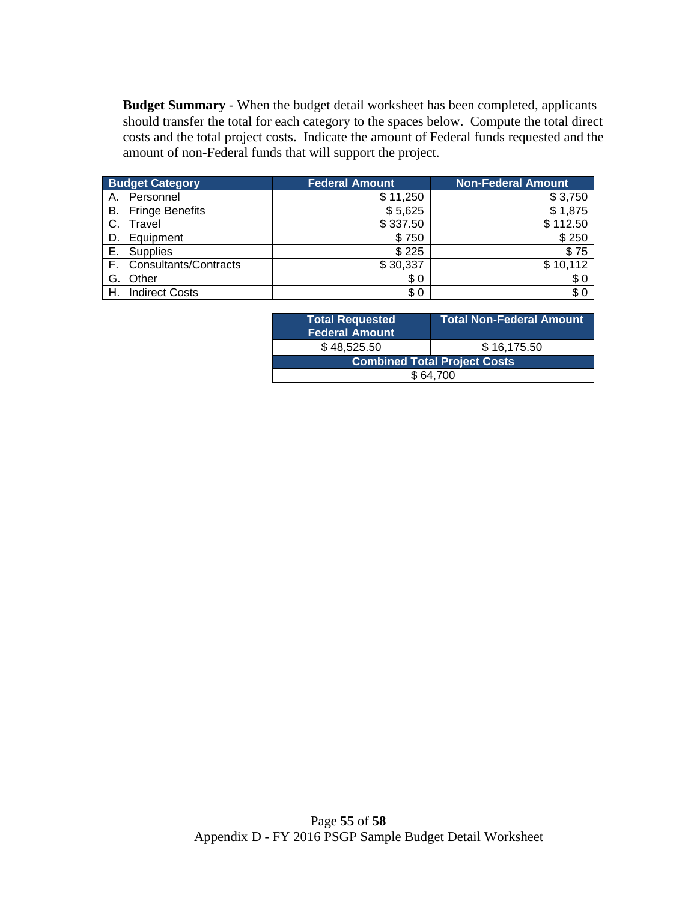**Budget Summary** - When the budget detail worksheet has been completed, applicants should transfer the total for each category to the spaces below. Compute the total direct costs and the total project costs. Indicate the amount of Federal funds requested and the amount of non-Federal funds that will support the project.

| <b>Budget Category</b> |                           | <b>Federal Amount</b> | <b>Non-Federal Amount</b> |
|------------------------|---------------------------|-----------------------|---------------------------|
| А.                     | Personnel                 | \$11,250              | \$3,750                   |
|                        | <b>B.</b> Fringe Benefits | \$5,625               | \$1,875                   |
| C.                     | Travel                    | \$337.50              | \$112.50                  |
|                        | D. Equipment              | \$750                 | \$250                     |
| Е.                     | Supplies                  | \$225                 | \$75                      |
|                        | F. Consultants/Contracts  | \$30,337              | \$10,112                  |
| G.                     | Other                     | \$0                   | \$0                       |
| Н.                     | <b>Indirect Costs</b>     | \$0                   | \$0                       |

| <b>Total Requested</b><br>Federal Amount | <b>Total Non-Federal Amount</b> |  |  |
|------------------------------------------|---------------------------------|--|--|
| \$48,525.50                              | \$16,175.50                     |  |  |
| <b>Combined Total Project Costs</b>      |                                 |  |  |
| \$64.700                                 |                                 |  |  |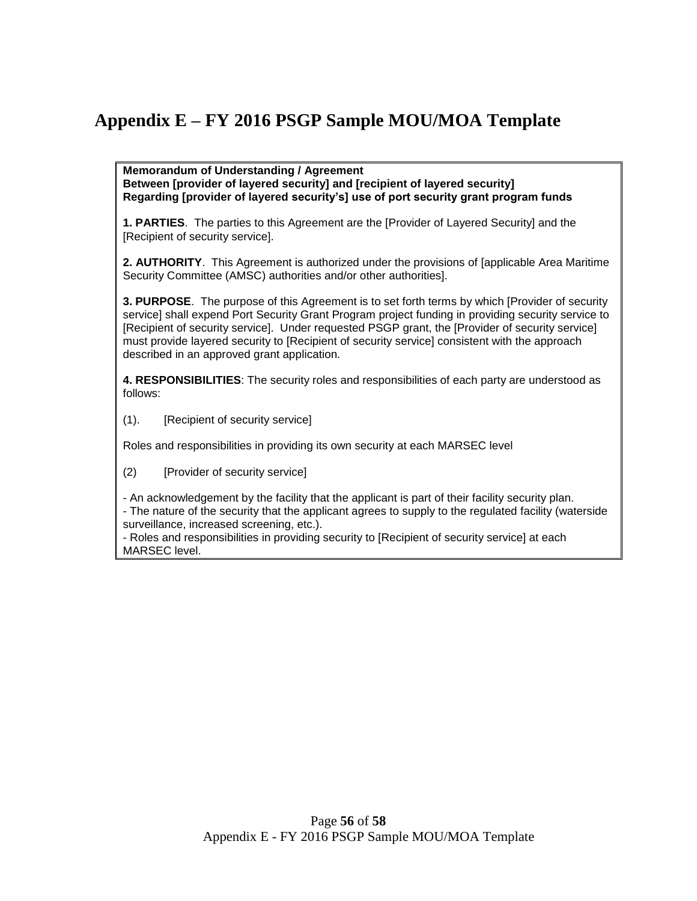# <span id="page-55-0"></span>**Appendix E – FY 2016 PSGP Sample MOU/MOA Template**

**Memorandum of Understanding / Agreement Between [provider of layered security] and [recipient of layered security] Regarding [provider of layered security's] use of port security grant program funds**

**1. PARTIES**. The parties to this Agreement are the [Provider of Layered Security] and the [Recipient of security service].

**2. AUTHORITY**. This Agreement is authorized under the provisions of [applicable Area Maritime Security Committee (AMSC) authorities and/or other authorities].

**3. PURPOSE**. The purpose of this Agreement is to set forth terms by which [Provider of security service] shall expend Port Security Grant Program project funding in providing security service to [Recipient of security service]. Under requested PSGP grant, the [Provider of security service] must provide layered security to [Recipient of security service] consistent with the approach described in an approved grant application.

**4. RESPONSIBILITIES**: The security roles and responsibilities of each party are understood as follows:

(1). [Recipient of security service]

Roles and responsibilities in providing its own security at each MARSEC level

(2) [Provider of security service]

- An acknowledgement by the facility that the applicant is part of their facility security plan.

- The nature of the security that the applicant agrees to supply to the regulated facility (waterside surveillance, increased screening, etc.).

- Roles and responsibilities in providing security to [Recipient of security service] at each MARSEC level.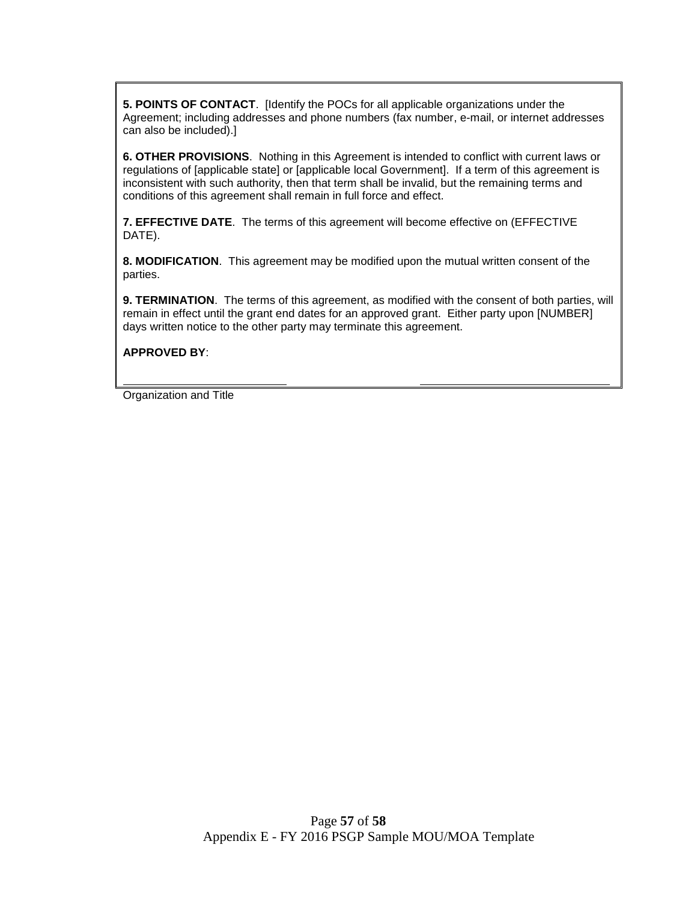**5. POINTS OF CONTACT**. [Identify the POCs for all applicable organizations under the Agreement; including addresses and phone numbers (fax number, e-mail, or internet addresses can also be included).]

**6. OTHER PROVISIONS**. Nothing in this Agreement is intended to conflict with current laws or regulations of [applicable state] or [applicable local Government]. If a term of this agreement is inconsistent with such authority, then that term shall be invalid, but the remaining terms and conditions of this agreement shall remain in full force and effect.

**7. EFFECTIVE DATE**. The terms of this agreement will become effective on (EFFECTIVE DATE).

**8. MODIFICATION**. This agreement may be modified upon the mutual written consent of the parties.

**9. TERMINATION**. The terms of this agreement, as modified with the consent of both parties, will remain in effect until the grant end dates for an approved grant. Either party upon [NUMBER] days written notice to the other party may terminate this agreement.

**APPROVED BY**:

Organization and Title